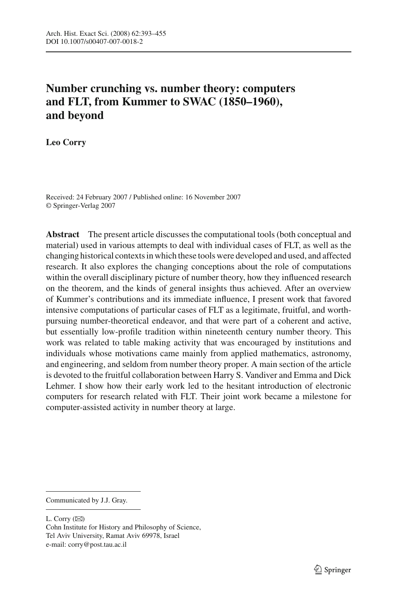# **Number crunching vs. number theory: computers and FLT, from Kummer to SWAC (1850–1960), and beyond**

**Leo Corry**

Received: 24 February 2007 / Published online: 16 November 2007 © Springer-Verlag 2007

**Abstract** The present article discusses the computational tools (both conceptual and material) used in various attempts to deal with individual cases of FLT, as well as the changing historical contexts in which these tools were developed and used, and affected research. It also explores the changing conceptions about the role of computations within the overall disciplinary picture of number theory, how they influenced research on the theorem, and the kinds of general insights thus achieved. After an overview of Kummer's contributions and its immediate influence, I present work that favored intensive computations of particular cases of FLT as a legitimate, fruitful, and worthpursuing number-theoretical endeavor, and that were part of a coherent and active, but essentially low-profile tradition within nineteenth century number theory. This work was related to table making activity that was encouraged by institutions and individuals whose motivations came mainly from applied mathematics, astronomy, and engineering, and seldom from number theory proper. A main section of the article is devoted to the fruitful collaboration between Harry S. Vandiver and Emma and Dick Lehmer. I show how their early work led to the hesitant introduction of electronic computers for research related with FLT. Their joint work became a milestone for computer-assisted activity in number theory at large.

Communicated by J.J. Gray.

L. Corry  $(\boxtimes)$ 

Cohn Institute for History and Philosophy of Science, Tel Aviv University, Ramat Aviv 69978, Israel e-mail: corry@post.tau.ac.il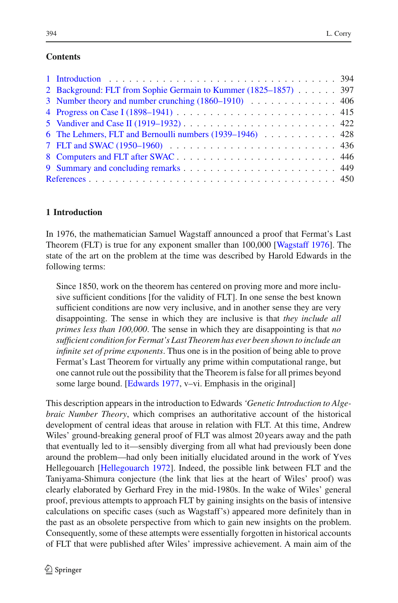## **Contents**

| 2 Background: FLT from Sophie Germain to Kummer (1825–1857) 397 |  |
|-----------------------------------------------------------------|--|
| 3 Number theory and number crunching (1860–1910) 406            |  |
|                                                                 |  |
|                                                                 |  |
| 6 The Lehmers, FLT and Bernoulli numbers (1939–1946) 428        |  |
|                                                                 |  |
| 8 Computers and FLT after SWAC 446                              |  |
|                                                                 |  |
|                                                                 |  |

## <span id="page-1-0"></span>**1 Introduction**

In 1976, the mathematician Samuel Wagstaff announced a proof that Fermat's Last Theorem (FLT) is true for any exponent smaller than 100,000 [\[Wagstaff 1976\]](#page-62-0). The state of the art on the problem at the time was described by Harold Edwards in the following terms:

Since 1850, work on the theorem has centered on proving more and more inclusive sufficient conditions [for the validity of FLT]. In one sense the best known sufficient conditions are now very inclusive, and in another sense they are very disappointing. The sense in which they are inclusive is that *they include all primes less than 100,000*. The sense in which they are disappointing is that *no sufficient condition for Fermat's Last Theorem has ever been shown to include an infinite set of prime exponents*. Thus one is in the position of being able to prove Fermat's Last Theorem for virtually any prime within computational range, but one cannot rule out the possibility that the Theorem is false for all primes beyond some large bound. [\[Edwards 1977,](#page-59-0) v–vi. Emphasis in the original]

This description appears in the introduction to Edwards*'Genetic Introduction to Algebraic Number Theory*, which comprises an authoritative account of the historical development of central ideas that arouse in relation with FLT. At this time, Andrew Wiles' ground-breaking general proof of FLT was almost 20 years away and the path that eventually led to it—sensibly diverging from all what had previously been done around the problem—had only been initially elucidated around in the work of Yves Hellegouarch [\[Hellegouarch 1972\]](#page-59-1). Indeed, the possible link between FLT and the Taniyama-Shimura conjecture (the link that lies at the heart of Wiles' proof) was clearly elaborated by Gerhard Frey in the mid-1980s. In the wake of Wiles' general proof, previous attempts to approach FLT by gaining insights on the basis of intensive calculations on specific cases (such as Wagstaff's) appeared more definitely than in the past as an obsolete perspective from which to gain new insights on the problem. Consequently, some of these attempts were essentially forgotten in historical accounts of FLT that were published after Wiles' impressive achievement. A main aim of the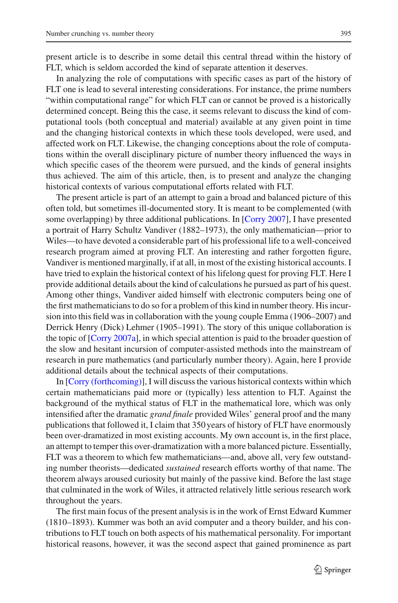present article is to describe in some detail this central thread within the history of FLT, which is seldom accorded the kind of separate attention it deserves.

In analyzing the role of computations with specific cases as part of the history of FLT one is lead to several interesting considerations. For instance, the prime numbers "within computational range" for which FLT can or cannot be proved is a historically determined concept. Being this the case, it seems relevant to discuss the kind of computational tools (both conceptual and material) available at any given point in time and the changing historical contexts in which these tools developed, were used, and affected work on FLT. Likewise, the changing conceptions about the role of computations within the overall disciplinary picture of number theory influenced the ways in which specific cases of the theorem were pursued, and the kinds of general insights thus achieved. The aim of this article, then, is to present and analyze the changing historical contexts of various computational efforts related with FLT.

The present article is part of an attempt to gain a broad and balanced picture of this often told, but sometimes ill-documented story. It is meant to be complemented (with some overlapping) by three additional publications. In [\[Corry 2007\]](#page-58-0), I have presented a portrait of Harry Schultz Vandiver (1882–1973), the only mathematician—prior to Wiles—to have devoted a considerable part of his professional life to a well-conceived research program aimed at proving FLT. An interesting and rather forgotten figure, Vandiver is mentioned marginally, if at all, in most of the existing historical accounts. I have tried to explain the historical context of his lifelong quest for proving FLT. Here I provide additional details about the kind of calculations he pursued as part of his quest. Among other things, Vandiver aided himself with electronic computers being one of the first mathematicians to do so for a problem of this kind in number theory. His incursion into this field was in collaboration with the young couple Emma (1906–2007) and Derrick Henry (Dick) Lehmer (1905–1991). The story of this unique collaboration is the topic of [\[Corry 2007a\]](#page-58-1), in which special attention is paid to the broader question of the slow and hesitant incursion of computer-assisted methods into the mainstream of research in pure mathematics (and particularly number theory). Again, here I provide additional details about the technical aspects of their computations.

In [\[Corry \(forthcoming\)\]](#page-58-2), I will discuss the various historical contexts within which certain mathematicians paid more or (typically) less attention to FLT. Against the background of the mythical status of FLT in the mathematical lore, which was only intensified after the dramatic *grand finale* provided Wiles' general proof and the many publications that followed it, I claim that 350 years of history of FLT have enormously been over-dramatized in most existing accounts. My own account is, in the first place, an attempt to temper this over-dramatization with a more balanced picture. Essentially, FLT was a theorem to which few mathematicians—and, above all, very few outstanding number theorists—dedicated *sustained* research efforts worthy of that name. The theorem always aroused curiosity but mainly of the passive kind. Before the last stage that culminated in the work of Wiles, it attracted relatively little serious research work throughout the years.

The first main focus of the present analysis is in the work of Ernst Edward Kummer (1810–1893). Kummer was both an avid computer and a theory builder, and his contributions to FLT touch on both aspects of his mathematical personality. For important historical reasons, however, it was the second aspect that gained prominence as part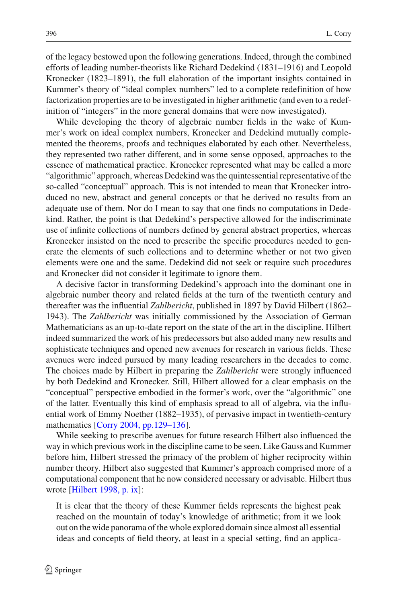of the legacy bestowed upon the following generations. Indeed, through the combined efforts of leading number-theorists like Richard Dedekind (1831–1916) and Leopold Kronecker (1823–1891), the full elaboration of the important insights contained in Kummer's theory of "ideal complex numbers" led to a complete redefinition of how factorization properties are to be investigated in higher arithmetic (and even to a redefinition of "integers" in the more general domains that were now investigated).

While developing the theory of algebraic number fields in the wake of Kummer's work on ideal complex numbers, Kronecker and Dedekind mutually complemented the theorems, proofs and techniques elaborated by each other. Nevertheless, they represented two rather different, and in some sense opposed, approaches to the essence of mathematical practice. Kronecker represented what may be called a more "algorithmic" approach, whereas Dedekind was the quintessential representative of the so-called "conceptual" approach. This is not intended to mean that Kronecker introduced no new, abstract and general concepts or that he derived no results from an adequate use of them. Nor do I mean to say that one finds no computations in Dedekind. Rather, the point is that Dedekind's perspective allowed for the indiscriminate use of infinite collections of numbers defined by general abstract properties, whereas Kronecker insisted on the need to prescribe the specific procedures needed to generate the elements of such collections and to determine whether or not two given elements were one and the same. Dedekind did not seek or require such procedures and Kronecker did not consider it legitimate to ignore them.

A decisive factor in transforming Dedekind's approach into the dominant one in algebraic number theory and related fields at the turn of the twentieth century and thereafter was the influential *Zahlbericht*, published in 1897 by David Hilbert (1862– 1943). The *Zahlbericht* was initially commissioned by the Association of German Mathematicians as an up-to-date report on the state of the art in the discipline. Hilbert indeed summarized the work of his predecessors but also added many new results and sophisticate techniques and opened new avenues for research in various fields. These avenues were indeed pursued by many leading researchers in the decades to come. The choices made by Hilbert in preparing the *Zahlbericht* were strongly influenced by both Dedekind and Kronecker. Still, Hilbert allowed for a clear emphasis on the "conceptual" perspective embodied in the former's work, over the "algorithmic" one of the latter. Eventually this kind of emphasis spread to all of algebra, via the influential work of Emmy Noether (1882–1935), of pervasive impact in twentieth-century mathematics [\[Corry 2004, pp.129–136\]](#page-58-3).

While seeking to prescribe avenues for future research Hilbert also influenced the way in which previous work in the discipline came to be seen. Like Gauss and Kummer before him, Hilbert stressed the primacy of the problem of higher reciprocity within number theory. Hilbert also suggested that Kummer's approach comprised more of a computational component that he now considered necessary or advisable. Hilbert thus wrote [\[Hilbert 1998, p. ix\]](#page-59-2):

It is clear that the theory of these Kummer fields represents the highest peak reached on the mountain of today's knowledge of arithmetic; from it we look out on the wide panorama of the whole explored domain since almost all essential ideas and concepts of field theory, at least in a special setting, find an applica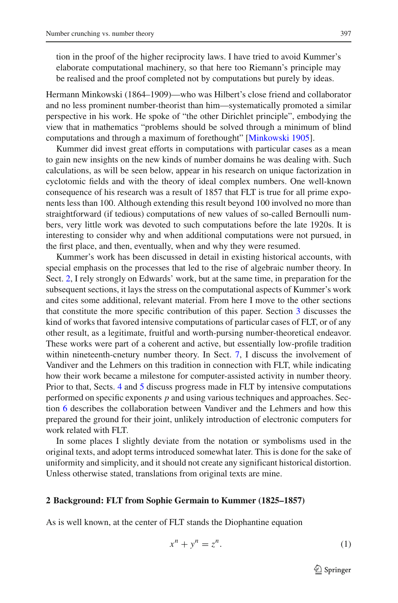tion in the proof of the higher reciprocity laws. I have tried to avoid Kummer's elaborate computational machinery, so that here too Riemann's principle may be realised and the proof completed not by computations but purely by ideas.

Hermann Minkowski (1864–1909)—who was Hilbert's close friend and collaborator and no less prominent number-theorist than him—systematically promoted a similar perspective in his work. He spoke of "the other Dirichlet principle", embodying the view that in mathematics "problems should be solved through a minimum of blind computations and through a maximum of forethought" [\[Minkowski 1905\]](#page-60-0).

Kummer did invest great efforts in computations with particular cases as a mean to gain new insights on the new kinds of number domains he was dealing with. Such calculations, as will be seen below, appear in his research on unique factorization in cyclotomic fields and with the theory of ideal complex numbers. One well-known consequence of his research was a result of 1857 that FLT is true for all prime exponents less than 100. Although extending this result beyond 100 involved no more than straightforward (if tedious) computations of new values of so-called Bernoulli numbers, very little work was devoted to such computations before the late 1920s. It is interesting to consider why and when additional computations were not pursued, in the first place, and then, eventually, when and why they were resumed.

Kummer's work has been discussed in detail in existing historical accounts, with special emphasis on the processes that led to the rise of algebraic number theory. In Sect. [2,](#page-4-0) I rely strongly on Edwards' work, but at the same time, in preparation for the subsequent sections, it lays the stress on the computational aspects of Kummer's work and cites some additional, relevant material. From here I move to the other sections that constitute the more specific contribution of this paper. Section [3](#page-13-0) discusses the kind of works that favored intensive computations of particular cases of FLT, or of any other result, as a legitimate, fruitful and worth-pursing number-theoretical endeavor. These works were part of a coherent and active, but essentially low-profile tradition within nineteenth-cnetury number theory. In Sect. [7,](#page-43-0) I discuss the involvement of Vandiver and the Lehmers on this tradition in connection with FLT, while indicating how their work became a milestone for computer-assisted activity in number theory. Prior to that, Sects. [4](#page-22-0) and [5](#page-29-0) discuss progress made in FLT by intensive computations performed on specific exponents *p* and using various techniques and approaches. Section [6](#page-35-0) describes the collaboration between Vandiver and the Lehmers and how this prepared the ground for their joint, unlikely introduction of electronic computers for work related with FLT.

In some places I slightly deviate from the notation or symbolisms used in the original texts, and adopt terms introduced somewhat later. This is done for the sake of uniformity and simplicity, and it should not create any significant historical distortion. Unless otherwise stated, translations from original texts are mine.

#### <span id="page-4-0"></span>**2 Background: FLT from Sophie Germain to Kummer (1825–1857)**

<span id="page-4-1"></span>As is well known, at the center of FLT stands the Diophantine equation

$$
x^n + y^n = z^n. \tag{1}
$$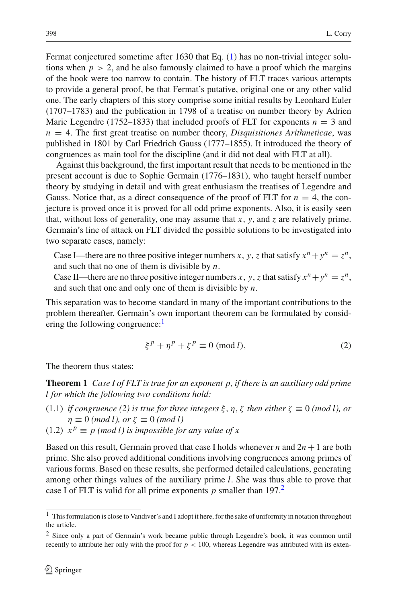Fermat conjectured sometime after 1630 that Eq. [\(1\)](#page-4-1) has no non-trivial integer solutions when  $p > 2$ , and he also famously claimed to have a proof which the margins of the book were too narrow to contain. The history of FLT traces various attempts to provide a general proof, be that Fermat's putative, original one or any other valid one. The early chapters of this story comprise some initial results by Leonhard Euler (1707–1783) and the publication in 1798 of a treatise on number theory by Adrien Marie Legendre (1752–1833) that included proofs of FLT for exponents  $n = 3$  and *n* = 4. The first great treatise on number theory, *Disquisitiones Arithmeticae*, was published in 1801 by Carl Friedrich Gauss (1777–1855). It introduced the theory of congruences as main tool for the discipline (and it did not deal with FLT at all).

Against this background, the first important result that needs to be mentioned in the present account is due to Sophie Germain (1776–1831), who taught herself number theory by studying in detail and with great enthusiasm the treatises of Legendre and Gauss. Notice that, as a direct consequence of the proof of FLT for  $n = 4$ , the conjecture is proved once it is proved for all odd prime exponents. Also, it is easily seen that, without loss of generality, one may assume that  $x$ ,  $y$ , and  $z$  are relatively prime. Germain's line of attack on FLT divided the possible solutions to be investigated into two separate cases, namely:

Case I—there are no three positive integer numbers *x*, *y*, *z* that satisfy  $x^n + y^n = z^n$ , and such that no one of them is divisible by *n*.

Case II—there are no three positive integer numbers *x*, *y*, *z* that satisfy  $x^n + y^n = z^n$ , and such that one and only one of them is divisible by *n*.

This separation was to become standard in many of the important contributions to the problem thereafter. Germain's own important theorem can be formulated by consid-ering the following congruence:<sup>[1](#page-5-0)</sup>

$$
\xi^p + \eta^p + \zeta^p \equiv 0 \pmod{l},\tag{2}
$$

<span id="page-5-2"></span>The theorem thus states:

**Theorem 1** *Case I of FLT is true for an exponent p, if there is an auxiliary odd prime l for which the following two conditions hold:*

- (1.1) *if congruence* (2) *is true for three integers*  $\xi$ ,  $\eta$ ,  $\zeta$  *then either*  $\zeta \equiv 0 \pmod{l}$ , *or*  $\eta \equiv 0 \pmod{l}$ , or  $\zeta \equiv 0 \pmod{l}$
- (1.2)  $x^p \equiv p \pmod{l}$  *is impossible for any value of x*

Based on this result, Germain proved that case I holds whenever *n* and  $2n + 1$  are both prime. She also proved additional conditions involving congruences among primes of various forms. Based on these results, she performed detailed calculations, generating among other things values of the auxiliary prime *l*. She was thus able to prove that case I of FLT is valid for all prime exponents  $p$  smaller than 197.<sup>2</sup>

<span id="page-5-0"></span> $1$  This formulation is close to Vandiver's and I adopt it here, for the sake of uniformity in notation throughout the article.

<span id="page-5-1"></span> $<sup>2</sup>$  Since only a part of Germain's work became public through Legendre's book, it was common until</sup> recently to attribute her only with the proof for  $p < 100$ , whereas Legendre was attributed with its exten-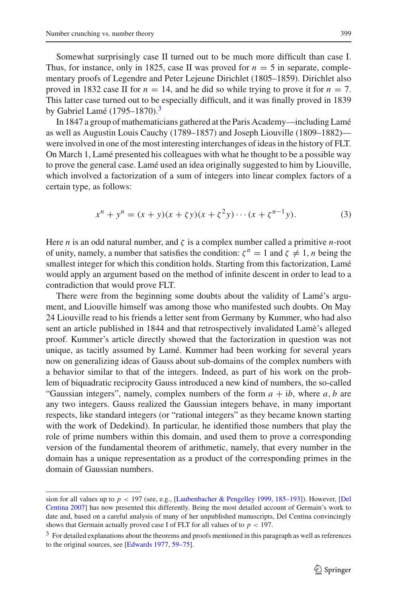Somewhat surprisingly case II turned out to be much more difficult than case I. Thus, for instance, only in 1825, case II was proved for  $n = 5$  in separate, complementary proofs of Legendre and Peter Lejeune Dirichlet (1805–1859). Dirichlet also proved in 1832 case II for  $n = 14$ , and he did so while trying to prove it for  $n = 7$ . This latter case turned out to be especially difficult, and it was finally proved in 1839 by Gabriel Lamé  $(1795-1870)$ .<sup>[3](#page-6-0)</sup>

In 1847 a group of mathematicians gathered at the Paris Academy—including Lamé as well as Augustin Louis Cauchy (1789–1857) and Joseph Liouville (1809–1882) were involved in one of the most interesting interchanges of ideas in the history of FLT. On March 1, Lamé presented his colleagues with what he thought to be a possible way to prove the general case. Lamé used an idea originally suggested to him by Liouville, which involved a factorization of a sum of integers into linear complex factors of a certain type, as follows:

$$
x^{n} + y^{n} = (x + y)(x + \zeta y)(x + \zeta^{2} y) \cdots (x + \zeta^{n-1} y).
$$
 (3)

Here *n* is an odd natural number, and  $\zeta$  is a complex number called a primitive *n*-root of unity, namely, a number that satisfies the condition:  $\zeta^n = 1$  and  $\zeta \neq 1$ , *n* being the smallest integer for which this condition holds. Starting from this factorization, Lamé would apply an argument based on the method of infinite descent in order to lead to a contradiction that would prove FLT.

There were from the beginning some doubts about the validity of Lamé's argument, and Liouville himself was among those who manifested such doubts. On May 24 Liouville read to his friends a letter sent from Germany by Kummer, who had also sent an article published in 1844 and that retrospectively invalidated Lamè's alleged proof. Kummer's article directly showed that the factorization in question was not unique, as tacitly assumed by Lamé. Kummer had been working for several years now on generalizing ideas of Gauss about sub-domains of the complex numbers with a behavior similar to that of the integers. Indeed, as part of his work on the problem of biquadratic reciprocity Gauss introduced a new kind of numbers, the so-called "Gaussian integers", namely, complex numbers of the form  $a + ib$ , where  $a, b$  are any two integers. Gauss realized the Gaussian integers behave, in many important respects, like standard integers (or "rational integers" as they became known starting with the work of Dedekind). In particular, he identified those numbers that play the role of prime numbers within this domain, and used them to prove a corresponding version of the fundamental theorem of arithmetic, namely, that every number in the domain has a unique representation as a product of the corresponding primes in the domain of Gaussian numbers.

sion for all values up to *p* < [197](#page-58-4) [\(see,](#page-58-4) [e.g.,](#page-58-4) [\[Laubenbacher & Pengelley 1999, 185–193\]](#page-60-1)[\).](#page-58-4) [However,](#page-58-4) [\[](#page-58-4)Del Centina 2007] has now presented this differently. Being the most detailed account of Germain's work to date and, based on a careful analysis of many of her unpublished manuscripts, Del Centina convincingly shows that Germain actually proved case I of FLT for all values of to  $p < 197$ .

<span id="page-6-0"></span> $3\,$  For detailed explanations about the theorems and proofs mentioned in this paragraph as well as references to the original sources, see [\[Edwards 1977, 59–75\]](#page-59-0).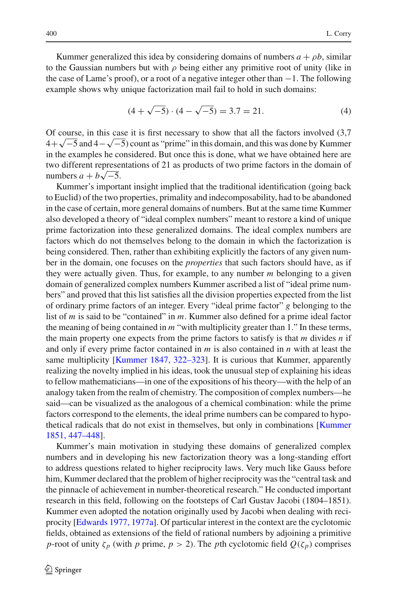Kummer generalized this idea by considering domains of numbers  $a + \rho b$ , similar to the Gaussian numbers but with  $\rho$  being either any primitive root of unity (like in the case of Lame's proof), or a root of a negative integer other than  $-1$ . The following example shows why unique factorization mail fail to hold in such domains:

$$
(4 + \sqrt{-5}) \cdot (4 - \sqrt{-5}) = 3.7 = 21. \tag{4}
$$

Of course, in this case it is first necessary to show that all the factors involved (3,7  $4+\sqrt{-5}$  and  $4-\sqrt{-5}$ ) count as "prime" in this domain, and this was done by Kummer in the examples he considered. But once this is done, what we have obtained here are two different representations of 21 as products of two prime factors in the domain of numbers  $a + b\sqrt{-5}$ .

Kummer's important insight implied that the traditional identification (going back to Euclid) of the two properties, primality and indecomposability, had to be abandoned in the case of certain, more general domains of numbers. But at the same time Kummer also developed a theory of "ideal complex numbers" meant to restore a kind of unique prime factorization into these generalized domains. The ideal complex numbers are factors which do not themselves belong to the domain in which the factorization is being considered. Then, rather than exhibiting explicitly the factors of any given number in the domain, one focuses on the *properties* that such factors should have, as if they were actually given. Thus, for example, to any number *m* belonging to a given domain of generalized complex numbers Kummer ascribed a list of "ideal prime numbers" and proved that this list satisfies all the division properties expected from the list of ordinary prime factors of an integer. Every "ideal prime factor" *g* belonging to the list of *m* is said to be "contained" in *m*. Kummer also defined for a prime ideal factor the meaning of being contained in *m* "with multiplicity greater than 1." In these terms, the main property one expects from the prime factors to satisfy is that *m* divides *n* if and only if every prime factor contained in *m* is also contained in *n* with at least the same multiplicity [\[Kummer 1847, 322–323\]](#page-59-3). It is curious that Kummer, apparently realizing the novelty implied in his ideas, took the unusual step of explaining his ideas to fellow mathematicians—in one of the expositions of his theory—with the help of an analogy taken from the realm of chemistry. The composition of complex numbers—he said—can be visualized as the analogous of a chemical combination: while the prime factors correspond to the elements, the ideal prime numbers can be compared to hypothetical radicals that do not exist in themselves, but only in combinations [Kummer 1851, 447–448[\].](#page-60-2)

Kummer's main motivation in studying these domains of generalized complex numbers and in developing his new factorization theory was a long-standing effort to address questions related to higher reciprocity laws. Very much like Gauss before him, Kummer declared that the problem of higher reciprocity was the "central task and the pinnacle of achievement in number-theoretical research." He conducted important research in this field, following on the footsteps of Carl Gustav Jacobi (1804–1851). Kummer even adopted the notation originally used by Jacobi when dealing with reciprocity [\[Edwards 1977, 1977a\]](#page-59-0). Of particular interest in the context are the cyclotomic fields, obtained as extensions of the field of rational numbers by adjoining a primitive *p*-root of unity  $\zeta_p$  (with *p* prime,  $p > 2$ ). The *p*th cyclotomic field  $Q(\zeta_p)$  comprises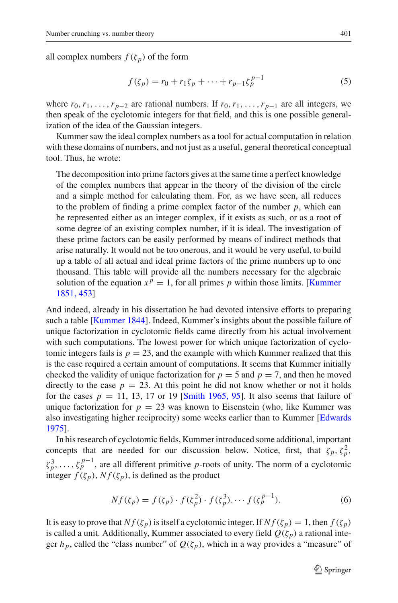all complex numbers  $f(\zeta_p)$  of the form

$$
f(\zeta_p) = r_0 + r_1 \zeta_p + \dots + r_{p-1} \zeta_p^{p-1}
$$
 (5)

where  $r_0, r_1, \ldots, r_{p-2}$  are rational numbers. If  $r_0, r_1, \ldots, r_{p-1}$  are all integers, we then speak of the cyclotomic integers for that field, and this is one possible generalization of the idea of the Gaussian integers.

Kummer saw the ideal complex numbers as a tool for actual computation in relation with these domains of numbers, and not just as a useful, general theoretical conceptual tool. Thus, he wrote:

The decomposition into prime factors gives at the same time a perfect knowledge of the complex numbers that appear in the theory of the division of the circle and a simple method for calculating them. For, as we have seen, all reduces to the problem of finding a prime complex factor of the number *p*, which can be represented either as an integer complex, if it exists as such, or as a root of some degree of an existing complex number, if it is ideal. The investigation of these prime factors can be easily performed by means of indirect methods that arise naturally. It would not be too onerous, and it would be very useful, to build up a table of all actual and ideal prime factors of the prime numbers up to one thousand. This table will provide all the numbers necessary for the algebraic solution of the equation  $x^p = 1$  $x^p = 1$  $x^p = 1$ , for all primes p within those limits. [Kummer 1851, 453]

And indeed, already in his dissertation he had devoted intensive efforts to preparing such a table [\[Kummer 1844\]](#page-59-4). Indeed, Kummer's insights about the possible failure of unique factorization in cyclotomic fields came directly from his actual involvement with such computations. The lowest power for which unique factorization of cyclotomic integers fails is  $p = 23$ , and the example with which Kummer realized that this is the case required a certain amount of computations. It seems that Kummer initially checked the validity of unique factorization for  $p = 5$  and  $p = 7$ , and then he moved directly to the case  $p = 23$ . At this point he did not know whether or not it holds for the cases  $p = 11, 13, 17$  or 19 [\[Smith 1965, 95\]](#page-61-0). It also seems that failure of unique factorization for  $p = 23$  was known to Eisenstein (who, like Kummer was also [investigating](#page-58-5) [higher](#page-58-5) [reciprocity\)](#page-58-5) [some](#page-58-5) [weeks](#page-58-5) [earlier](#page-58-5) [than](#page-58-5) [to](#page-58-5) [Kummer](#page-58-5) [\[](#page-58-5)Edwards 1975].

In his research of cyclotomic fields, Kummer introduced some additional, important concepts that are needed for our discussion below. Notice, first, that  $\zeta_p, \zeta_p^2$ ,  $\zeta_p^3, \ldots, \zeta_p^{p-1}$ , are all different primitive *p*-roots of unity. The norm of a cyclotomic integer  $f(\zeta_p)$ ,  $Nf(\zeta_p)$ , is defined as the product

$$
Nf(\zeta_p) = f(\zeta_p) \cdot f(\zeta_p^2) \cdot f(\zeta_p^3) \cdots f(\zeta_p^{p-1}).
$$
 (6)

It is easy to prove that  $N f(\zeta_p)$  is itself a cyclotomic integer. If  $N f(\zeta_p) = 1$ , then  $f(\zeta_p)$ is called a unit. Additionally, Kummer associated to every field  $Q(\zeta_p)$  a rational integer  $h_p$ , called the "class number" of  $Q(\zeta_p)$ , which in a way provides a "measure" of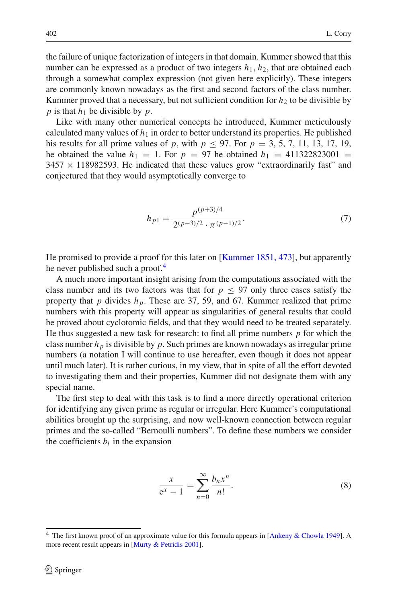the failure of unique factorization of integers in that domain. Kummer showed that this number can be expressed as a product of two integers  $h_1$ ,  $h_2$ , that are obtained each through a somewhat complex expression (not given here explicitly). These integers are commonly known nowadays as the first and second factors of the class number. Kummer proved that a necessary, but not sufficient condition for  $h<sub>2</sub>$  to be divisible by  $p$  is that  $h_1$  be divisible by  $p$ .

Like with many other numerical concepts he introduced, Kummer meticulously calculated many values of  $h_1$  in order to better understand its properties. He published his results for all prime values of *p*, with  $p \le 97$ . For  $p = 3, 5, 7, 11, 13, 17, 19$ , he obtained the value  $h_1 = 1$ . For  $p = 97$  he obtained  $h_1 = 411322823001$  $3457 \times 118982593$ . He indicated that these values grow "extraordinarily fast" and conjectured that they would asymptotically converge to

$$
h_{p1} = \frac{p^{(p+3)/4}}{2^{(p-3)/2} \cdot \pi^{(p-1)/2}}.\tag{7}
$$

He promised to provide a proof for this later on [\[Kummer 1851, 473\]](#page-60-2), but apparently he never published such a proof.<sup>[4](#page-9-0)</sup>

A much more important insight arising from the computations associated with the class number and its two factors was that for  $p \leq 97$  only three cases satisfy the property that  $p$  divides  $h_p$ . These are 37, 59, and 67. Kummer realized that prime numbers with this property will appear as singularities of general results that could be proved about cyclotomic fields, and that they would need to be treated separately. He thus suggested a new task for research: to find all prime numbers *p* for which the class number *h <sup>p</sup>* is divisible by *p*. Such primes are known nowadays as irregular prime numbers (a notation I will continue to use hereafter, even though it does not appear until much later). It is rather curious, in my view, that in spite of all the effort devoted to investigating them and their properties, Kummer did not designate them with any special name.

The first step to deal with this task is to find a more directly operational criterion for identifying any given prime as regular or irregular. Here Kummer's computational abilities brought up the surprising, and now well-known connection between regular primes and the so-called "Bernoulli numbers". To define these numbers we consider the coefficients  $b_i$  in the expansion

<span id="page-9-1"></span>
$$
\frac{x}{e^x - 1} = \sum_{n=0}^{\infty} \frac{b_n x^n}{n!}.
$$
 (8)

<span id="page-9-0"></span><sup>&</sup>lt;sup>4</sup> The first known proof of an approximate value for this formula appears in [\[Ankeny & Chowla 1949\]](#page-57-0). A more recent result appears in [\[Murty & Petridis 2001\]](#page-60-3).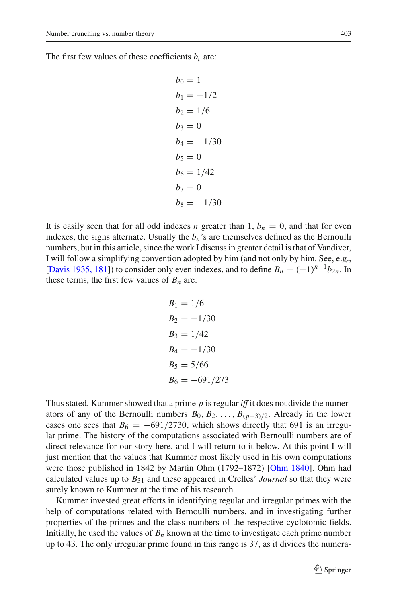The first few values of these coefficients  $b_i$  are:

$$
b0 = 1
$$
  
\n
$$
b1 = -1/2
$$
  
\n
$$
b2 = 1/6
$$
  
\n
$$
b3 = 0
$$
  
\n
$$
b4 = -1/30
$$
  
\n
$$
b5 = 0
$$
  
\n
$$
b6 = 1/42
$$
  
\n
$$
b7 = 0
$$
  
\n
$$
b8 = -1/30
$$

It is easily seen that for all odd indexes *n* greater than 1,  $b_n = 0$ , and that for even indexes, the signs alternate. Usually the  $b_n$ 's are themselves defined as the Bernoulli numbers, but in this article, since the work I discuss in greater detail is that of Vandiver, I will follow a simplifying convention adopted by him (and not only by him. See, e.g., [\[Davis 1935, 181\]](#page-58-6)) to consider only even indexes, and to define  $B_n = (-1)^{n-1} b_{2n}$ . In these terms, the first few values of  $B_n$  are:

$$
B_1 = 1/6
$$
  
\n
$$
B_2 = -1/30
$$
  
\n
$$
B_3 = 1/42
$$
  
\n
$$
B_4 = -1/30
$$
  
\n
$$
B_5 = 5/66
$$
  
\n
$$
B_6 = -691/273
$$

Thus stated, Kummer showed that a prime *p* is regular *iff* it does not divide the numerators of any of the Bernoulli numbers  $B_0, B_2, \ldots, B_{(p-3)/2}$ . Already in the lower cases one sees that  $B_6 = -691/2730$ , which shows directly that 691 is an irregular prime. The history of the computations associated with Bernoulli numbers are of direct relevance for our story here, and I will return to it below. At this point I will just mention that the values that Kummer most likely used in his own computations were those published in 1842 by Martin Ohm (1792–1872) [\[Ohm 1840\]](#page-61-1). Ohm had calculated values up to *B*<sup>31</sup> and these appeared in Crelles' *Journal* so that they were surely known to Kummer at the time of his research.

Kummer invested great efforts in identifying regular and irregular primes with the help of computations related with Bernoulli numbers, and in investigating further properties of the primes and the class numbers of the respective cyclotomic fields. Initially, he used the values of  $B_n$  known at the time to investigate each prime number up to 43. The only irregular prime found in this range is 37, as it divides the numera-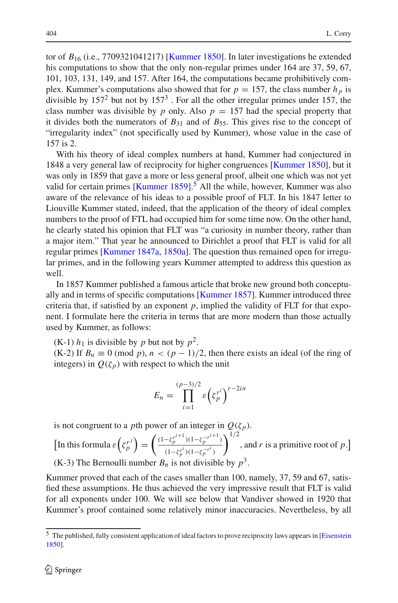tor of  $B_{16}$  (i.e., 7709321041217) [\[Kummer 1850\]](#page-60-4). In later investigations he extended his computations to show that the only non-regular primes under 164 are 37, 59, 67, 101, 103, 131, 149, and 157. After 164, the computations became prohibitively complex. Kummer's computations also showed that for  $p = 157$ , the class number  $h_p$  is divisible by  $157<sup>2</sup>$  but not by  $157<sup>3</sup>$ . For all the other irregular primes under 157, the class number was divisible by *p* only. Also  $p = 157$  had the special property that it divides both the numerators of  $B_{31}$  and of  $B_{55}$ . This gives rise to the concept of "irregularity index" (not specifically used by Kummer), whose value in the case of 157 is 2.

With his theory of ideal complex numbers at hand, Kummer had conjectured in 1848 a very general law of reciprocity for higher congruences [\[Kummer 1850\]](#page-60-4), but it was only in 1859 that gave a more or less general proof, albeit one which was not yet valid for certain primes  $\text{Kummer } 1859$  $\text{Kummer } 1859$  $\text{Kummer } 1859$ . All the while, however, Kummer was also aware of the relevance of his ideas to a possible proof of FLT. In his 1847 letter to Liouville Kummer stated, indeed, that the application of the theory of ideal complex numbers to the proof of FTL had occupied him for some time now. On the other hand, he clearly stated his opinion that FLT was "a curiosity in number theory, rather than a major item." That year he announced to Dirichlet a proof that FLT is valid for all regular primes [Kummer 1847a, 1850a]. The question thus remained open for irregular primes, and in the following years Kummer attempted to address this question as well.

In 1857 Kummer published a famous article that broke new ground both conceptually and in terms of specific computations [\[Kummer 1857\]](#page-60-6). Kummer introduced three criteria that, if satisfied by an exponent  $p$ , implied the validity of FLT for that exponent. I formulate here the criteria in terms that are more modern than those actually used by Kummer, as follows:

 $(K-1)$  *h*<sub>1</sub> is divisible by *p* but not by  $p^2$ .

(K-2) If  $B_n \equiv 0 \pmod{p}$ ,  $n < (p-1)/2$ , then there exists an ideal (of the ring of integers) in  $Q(\zeta_p)$  with respect to which the unit

$$
E_n = \prod_{i=1}^{(p-3)/2} \varepsilon \left(\zeta_p^{r^i}\right)^{r-2in}
$$

is not congruent to a *p*th power of an integer in  $Q(\zeta_p)$ .

 $\left[\text{In this formula } \varepsilon\left(\zeta_p^{r^j}\right) = \frac{\left(\frac{(1-\zeta_p^{r^{i+1}})(1-\zeta_p^{-r^{i+1}})}{(1-r^{r^i})(1-r^{-r^i})}\right)}$  $(1-\zeta_p^{r^i})(1-\zeta_p^{-r^i})$  $\int_{1/2}^{1/2}$ , and *r* is a primitive root of *p*. (K-3) The Bernoulli number  $B_n$  is not divisible by  $p^3$ .

Kummer proved that each of the cases smaller than 100, namely, 37, 59 and 67, satisfied these assumptions. He thus achieved the very impressive result that FLT is valid for all exponents under 100. We will see below that Vandiver showed in 1920 that Kummer's proof contained some relatively minor inaccuracies. Nevertheless, by all

<span id="page-11-0"></span><sup>&</sup>lt;sup>5</sup> Th[e](#page-59-5) [published,](#page-59-5) [fully](#page-59-5) [consistent](#page-59-5) [application](#page-59-5) [of](#page-59-5) [ideal](#page-59-5) [factors](#page-59-5) [to](#page-59-5) [prove](#page-59-5) [reciprocity](#page-59-5) [laws](#page-59-5) [appears](#page-59-5) [in](#page-59-5) [\[](#page-59-5)Eisenstein 1850].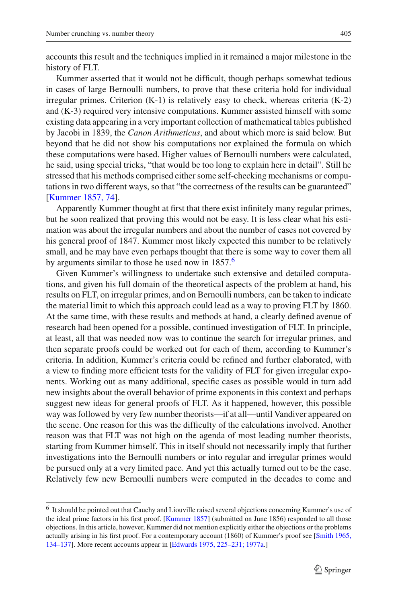accounts this result and the techniques implied in it remained a major milestone in the history of FLT.

Kummer asserted that it would not be difficult, though perhaps somewhat tedious in cases of large Bernoulli numbers, to prove that these criteria hold for individual irregular primes. Criterion (K-1) is relatively easy to check, whereas criteria (K-2) and (K-3) required very intensive computations. Kummer assisted himself with some existing data appearing in a very important collection of mathematical tables published by Jacobi in 1839, the *Canon Arithmeticus*, and about which more is said below. But beyond that he did not show his computations nor explained the formula on which these computations were based. Higher values of Bernoulli numbers were calculated, he said, using special tricks, "that would be too long to explain here in detail". Still he stressed that his methods comprised either some self-checking mechanisms or computations in two different ways, so that "the correctness of the results can be guaranteed" [\[Kummer 1857, 74\]](#page-60-6).

Apparently Kummer thought at first that there exist infinitely many regular primes, but he soon realized that proving this would not be easy. It is less clear what his estimation was about the irregular numbers and about the number of cases not covered by his general proof of 1847. Kummer most likely expected this number to be relatively small, and he may have even perhaps thought that there is some way to cover them all by arguments similar to those he used now in  $1857<sup>6</sup>$  $1857<sup>6</sup>$  $1857<sup>6</sup>$ 

Given Kummer's willingness to undertake such extensive and detailed computations, and given his full domain of the theoretical aspects of the problem at hand, his results on FLT, on irregular primes, and on Bernoulli numbers, can be taken to indicate the material limit to which this approach could lead as a way to proving FLT by 1860. At the same time, with these results and methods at hand, a clearly defined avenue of research had been opened for a possible, continued investigation of FLT. In principle, at least, all that was needed now was to continue the search for irregular primes, and then separate proofs could be worked out for each of them, according to Kummer's criteria. In addition, Kummer's criteria could be refined and further elaborated, with a view to finding more efficient tests for the validity of FLT for given irregular exponents. Working out as many additional, specific cases as possible would in turn add new insights about the overall behavior of prime exponents in this context and perhaps suggest new ideas for general proofs of FLT. As it happened, however, this possible way was followed by very few number theorists—if at all—until Vandiver appeared on the scene. One reason for this was the difficulty of the calculations involved. Another reason was that FLT was not high on the agenda of most leading number theorists, starting from Kummer himself. This in itself should not necessarily imply that further investigations into the Bernoulli numbers or into regular and irregular primes would be pursued only at a very limited pace. And yet this actually turned out to be the case. Relatively few new Bernoulli numbers were computed in the decades to come and

<span id="page-12-0"></span><sup>6</sup> It should be pointed out that Cauchy and Liouville raised several objections concerning Kummer's use of the ideal prime factors in his first proof. [\[Kummer 1857\]](#page-60-6) (submitted on June 1856) responded to all those objections. In this article, however, Kummer did not mention explicitly either the objections or the problems actually arising in his first proof. For a contemporary account (1860) of Kummer's proof see [Smith 1965, 134–137]. More recent accounts appear in [\[Edwards 1975, 225–231; 1977a.](#page-58-5)]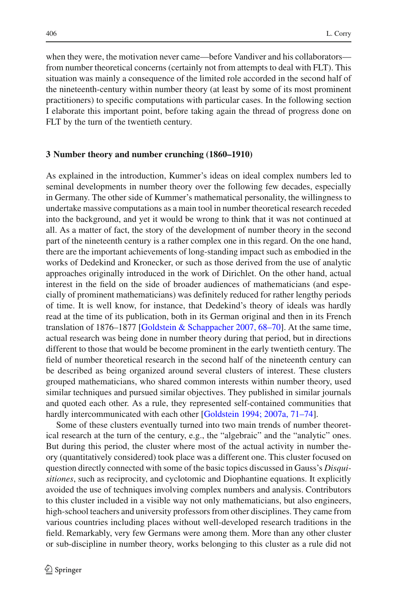when they were, the motivation never came—before Vandiver and his collaborators from number theoretical concerns (certainly not from attempts to deal with FLT). This situation was mainly a consequence of the limited role accorded in the second half of the nineteenth-century within number theory (at least by some of its most prominent practitioners) to specific computations with particular cases. In the following section I elaborate this important point, before taking again the thread of progress done on FLT by the turn of the twentieth century.

#### <span id="page-13-0"></span>**3 Number theory and number crunching (1860–1910)**

As explained in the introduction, Kummer's ideas on ideal complex numbers led to seminal developments in number theory over the following few decades, especially in Germany. The other side of Kummer's mathematical personality, the willingness to undertake massive computations as a main tool in number theoretical research receded into the background, and yet it would be wrong to think that it was not continued at all. As a matter of fact, the story of the development of number theory in the second part of the nineteenth century is a rather complex one in this regard. On the one hand, there are the important achievements of long-standing impact such as embodied in the works of Dedekind and Kronecker, or such as those derived from the use of analytic approaches originally introduced in the work of Dirichlet. On the other hand, actual interest in the field on the side of broader audiences of mathematicians (and especially of prominent mathematicians) was definitely reduced for rather lengthy periods of time. It is well know, for instance, that Dedekind's theory of ideals was hardly read at the time of its publication, both in its German original and then in its French translation of 1876–1877 [\[Goldstein & Schappacher 2007, 68–70\]](#page-59-6). At the same time, actual research was being done in number theory during that period, but in directions different to those that would be become prominent in the early twentieth century. The field of number theoretical research in the second half of the nineteenth century can be described as being organized around several clusters of interest. These clusters grouped mathematicians, who shared common interests within number theory, used similar techniques and pursued similar objectives. They published in similar journals and quoted each other. As a rule, they represented self-contained communities that hardly intercommunicated with each other [Goldstein 1994; 2007a, 71–74].

Some of these clusters eventually turned into two main trends of number theoretical research at the turn of the century, e.g., the "algebraic" and the "analytic" ones. But during this period, the cluster where most of the actual activity in number theory (quantitatively considered) took place was a different one. This cluster focused on question directly connected with some of the basic topics discussed in Gauss's *Disquisitiones*, such as reciprocity, and cyclotomic and Diophantine equations. It explicitly avoided the use of techniques involving complex numbers and analysis. Contributors to this cluster included in a visible way not only mathematicians, but also engineers, high-school teachers and university professors from other disciplines. They came from various countries including places without well-developed research traditions in the field. Remarkably, very few Germans were among them. More than any other cluster or sub-discipline in number theory, works belonging to this cluster as a rule did not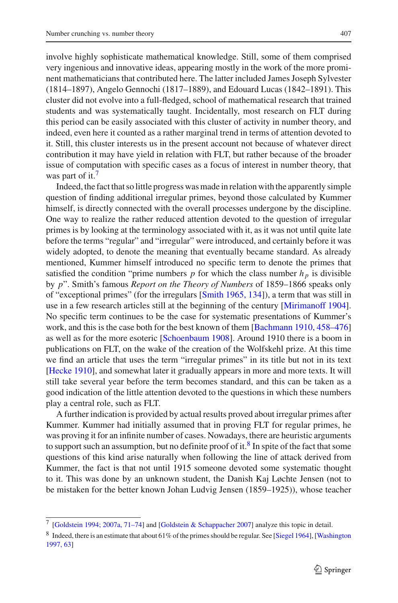involve highly sophisticate mathematical knowledge. Still, some of them comprised very ingenious and innovative ideas, appearing mostly in the work of the more prominent mathematicians that contributed here. The latter included James Joseph Sylvester (1814–1897), Angelo Gennochi (1817–1889), and Edouard Lucas (1842–1891). This cluster did not evolve into a full-fledged, school of mathematical research that trained students and was systematically taught. Incidentally, most research on FLT during this period can be easily associated with this cluster of activity in number theory, and indeed, even here it counted as a rather marginal trend in terms of attention devoted to it. Still, this cluster interests us in the present account not because of whatever direct contribution it may have yield in relation with FLT, but rather because of the broader issue of computation with specific cases as a focus of interest in number theory, that was part of it.<sup>[7](#page-14-0)</sup>

Indeed, the fact that so little progress was made in relation with the apparently simple question of finding additional irregular primes, beyond those calculated by Kummer himself, is directly connected with the overall processes undergone by the discipline. One way to realize the rather reduced attention devoted to the question of irregular primes is by looking at the terminology associated with it, as it was not until quite late before the terms "regular" and "irregular" were introduced, and certainly before it was widely adopted, to denote the meaning that eventually became standard. As already mentioned, Kummer himself introduced no specific term to denote the primes that satisfied the condition "prime numbers  $p$  for which the class number  $h_p$  is divisible by *p*". Smith's famous *Report on the Theory of Numbers* of 1859–1866 speaks only of "exceptional primes" (for the irregulars [\[Smith 1965, 134\]](#page-61-0)), a term that was still in use in a few research articles still at the beginning of the century [\[Mirimanoff 1904\]](#page-60-7). No specific term continues to be the case for systematic presentations of Kummer's work, and this is the case both for the best known of them [\[Bachmann 1910, 458–476\]](#page-57-1) as well as for the more esoteric [\[Schoenbaum 1908\]](#page-61-2). Around 1910 there is a boom in publications on FLT, on the wake of the creation of the Wolfskehl prize. At this time we find an article that uses the term "irregular primes" in its title but not in its text [\[Hecke 1910\]](#page-59-7), and somewhat later it gradually appears in more and more texts. It will still take several year before the term becomes standard, and this can be taken as a good indication of the little attention devoted to the questions in which these numbers play a central role, such as FLT.

A further indication is provided by actual results proved about irregular primes after Kummer. Kummer had initially assumed that in proving FLT for regular primes, he was proving it for an infinite number of cases. Nowadays, there are heuristic arguments to support such an assumption, but no definite proof of it.<sup>8</sup> In spite of the fact that some questions of this kind arise naturally when following the line of attack derived from Kummer, the fact is that not until 1915 someone devoted some systematic thought to it. This was done by an unknown student, the Danish Kaj Løchte Jensen (not to be mistaken for the better known Johan Ludvig Jensen (1859–1925)), whose teacher

<sup>7</sup> [Goldstein 1994; 2007a, 71–74] and [\[Goldstein & Schappacher 2007\]](#page-59-6) analyze this topic in detail.

<span id="page-14-1"></span><span id="page-14-0"></span><sup>8</sup> Indeed, there is an estimate that about 61% of the primes should be regular. See [\[Siegel 1964\]](#page-61-3), [Washington 1997, 63[\]](#page-62-1)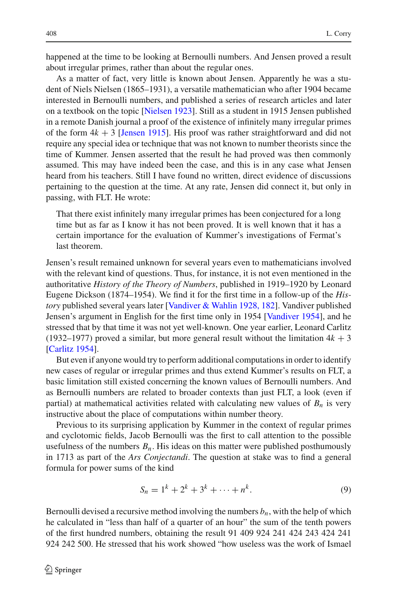happened at the time to be looking at Bernoulli numbers. And Jensen proved a result about irregular primes, rather than about the regular ones.

As a matter of fact, very little is known about Jensen. Apparently he was a student of Niels Nielsen (1865–1931), a versatile mathematician who after 1904 became interested in Bernoulli numbers, and published a series of research articles and later on a textbook on the topic [\[Nielsen 1923\]](#page-60-8). Still as a student in 1915 Jensen published in a remote Danish journal a proof of the existence of infinitely many irregular primes of the form  $4k + 3$  [\[Jensen 1915\]](#page-59-8). His proof was rather straightforward and did not require any special idea or technique that was not known to number theorists since the time of Kummer. Jensen asserted that the result he had proved was then commonly assumed. This may have indeed been the case, and this is in any case what Jensen heard from his teachers. Still I have found no written, direct evidence of discussions pertaining to the question at the time. At any rate, Jensen did connect it, but only in passing, with FLT. He wrote:

That there exist infinitely many irregular primes has been conjectured for a long time but as far as I know it has not been proved. It is well known that it has a certain importance for the evaluation of Kummer's investigations of Fermat's last theorem.

Jensen's result remained unknown for several years even to mathematicians involved with the relevant kind of questions. Thus, for instance, it is not even mentioned in the authoritative *History of the Theory of Numbers*, published in 1919–1920 by Leonard Eugene Dickson (1874–1954). We find it for the first time in a follow-up of the *History* published several years later [\[Vandiver & Wahlin 1928, 182\]](#page-62-2). Vandiver published Jensen's argument in English for the first time only in 1954 [\[Vandiver 1954\]](#page-62-3), and he stressed that by that time it was not yet well-known. One year earlier, Leonard Carlitz (1932–1977) proved a similar, but more general result without the limitation  $4k + 3$ [\[Carlitz 1954\]](#page-58-7).

But even if anyone would try to perform additional computations in order to identify new cases of regular or irregular primes and thus extend Kummer's results on FLT, a basic limitation still existed concerning the known values of Bernoulli numbers. And as Bernoulli numbers are related to broader contexts than just FLT, a look (even if partial) at mathematical activities related with calculating new values of  $B_n$  is very instructive about the place of computations within number theory.

Previous to its surprising application by Kummer in the context of regular primes and cyclotomic fields, Jacob Bernoulli was the first to call attention to the possible usefulness of the numbers  $B_n$ . His ideas on this matter were published posthumously in 1713 as part of the *Ars Conjectandi*. The question at stake was to find a general formula for power sums of the kind

$$
S_n = 1^k + 2^k + 3^k + \dots + n^k.
$$
 (9)

Bernoulli devised a recursive method involving the numbers  $b_n$ , with the help of which he calculated in "less than half of a quarter of an hour" the sum of the tenth powers of the first hundred numbers, obtaining the result 91 409 924 241 424 243 424 241 924 242 500. He stressed that his work showed "how useless was the work of Ismael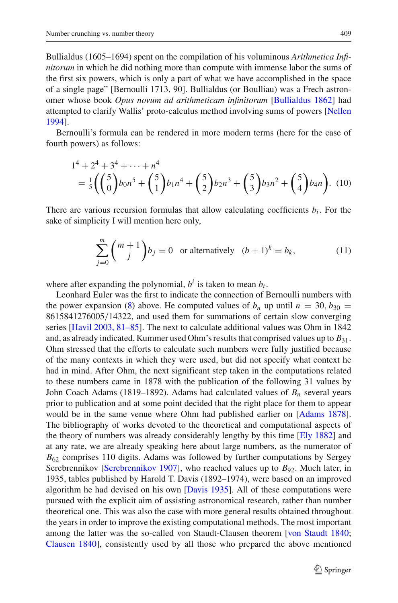Bullialdus (1605–1694) spent on the compilation of his voluminous *Arithmetica Infinitorum* in which he did nothing more than compute with immense labor the sums of the first six powers, which is only a part of what we have accomplished in the space of a single page" [Bernoulli 1713, 90]. Bullialdus (or Boulliau) was a Frech astronomer whose book *Opus novum ad arithmeticam infinitorum* [\[Bullialdus 1862\]](#page-58-8) had atte[mpted](#page-60-9) [to](#page-60-9) [clarify](#page-60-9) [Wallis'](#page-60-9) [proto-calculus](#page-60-9) [method](#page-60-9) [involving](#page-60-9) [sums](#page-60-9) [of](#page-60-9) [powers](#page-60-9) [\[](#page-60-9)Nellen 1994].

Bernoulli's formula can be rendered in more modern terms (here for the case of fourth powers) as follows:

$$
14 + 24 + 34 + \dots + n4
$$
  
=  $\frac{1}{5}$  $\left( {5 \choose 0} b_0 n^5 + {5 \choose 1} b_1 n^4 + {5 \choose 2} b_2 n^3 + {5 \choose 3} b_3 n^2 + {5 \choose 4} b_4 n \right)$ . (10)

There are various recursion formulas that allow calculating coefficients  $b_i$ . For the sake of simplicity I will mention here only,

$$
\sum_{j=0}^{m} {m+1 \choose j} b_j = 0 \text{ or alternatively } (b+1)^k = b_k,
$$
 (11)

where after expanding the polynomial,  $b^i$  is taken to mean  $b_i$ .

Leonhard Euler was the first to indicate the connection of Bernoulli numbers with the power expansion [\(8\)](#page-9-1) above. He computed values of  $b_n$  up until  $n = 30, b_{30}$ 8615841276005/14322, and used them for summations of certain slow converging series [\[Havil 2003, 81–85\]](#page-59-9). The next to calculate additional values was Ohm in 1842 and, as already indicated, Kummer used Ohm's results that comprised values up to *B*31. Ohm stressed that the efforts to calculate such numbers were fully justified because of the many contexts in which they were used, but did not specify what context he had in mind. After Ohm, the next significant step taken in the computations related to these numbers came in 1878 with the publication of the following 31 values by John Coach Adams (1819–1892). Adams had calculated values of  $B_n$  several years prior to publication and at some point decided that the right place for them to appear would be in the same venue where Ohm had published earlier on [\[Adams 1878\]](#page-57-2). The bibliography of works devoted to the theoretical and computational aspects of the theory of numbers was already considerably lengthy by this time [\[Ely 1882\]](#page-59-10) and at any rate, we are already speaking here about large numbers, as the numerator of *B*<sup>62</sup> comprises 110 digits. Adams was followed by further computations by Sergey Serebrennikov [\[Serebrennikov 1907\]](#page-61-4), who reached values up to *B*92. Much later, in 1935, tables published by Harold T. Davis (1892–1974), were based on an improved algorithm he had devised on his own [\[Davis 1935\]](#page-58-6). All of these computations were pursued with the explicit aim of assisting astronomical research, rather than number theoretical one. This was also the case with more general results obtained throughout the years in order to improve the existing computational methods. The most important among the latter was the so-called von Staudt-Clausen theorem [\[von Staudt 1840;](#page-61-5) [Clausen 1840\]](#page-58-9), consistently used by all those who prepared the above mentioned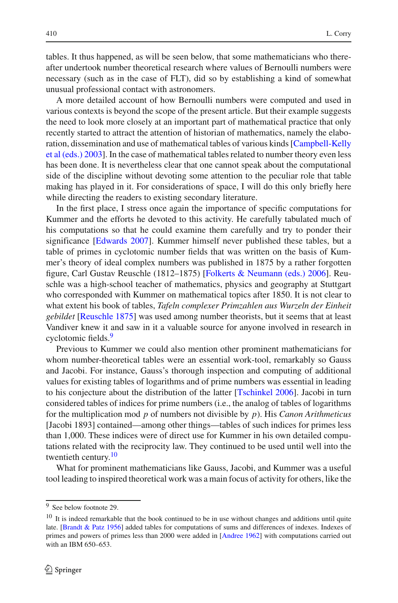tables. It thus happened, as will be seen below, that some mathematicians who thereafter undertook number theoretical research where values of Bernoulli numbers were necessary (such as in the case of FLT), did so by establishing a kind of somewhat unusual professional contact with astronomers.

A more detailed account of how Bernoulli numbers were computed and used in various contexts is beyond the scope of the present article. But their example suggests the need to look more closely at an important part of mathematical practice that only recently started to attract the attention of historian of mathematics, namely the elaboration, dissemination and use of mathematical tables of various kinds [Campbell-Kelly et al (eds.) 2003[\].](#page-58-10) [In](#page-58-10) [the](#page-58-10) [case](#page-58-10) [of](#page-58-10) [mathematical](#page-58-10) [tables](#page-58-10) [related](#page-58-10) [to](#page-58-10) [number](#page-58-10) theory even less has been done. It is nevertheless clear that one cannot speak about the computational side of the discipline without devoting some attention to the peculiar role that table making has played in it. For considerations of space, I will do this only briefly here while directing the readers to existing secondary literature.

In the first place, I stress once again the importance of specific computations for Kummer and the efforts he devoted to this activity. He carefully tabulated much of his computations so that he could examine them carefully and try to ponder their significance [\[Edwards 2007\]](#page-59-11). Kummer himself never published these tables, but a table of primes in cyclotomic number fields that was written on the basis of Kummer's theory of ideal complex numbers was published in 1875 by a rather forgotten figure, Carl Gustav Reuschle (1812–1875) [\[Folkerts & Neumann \(eds.\) 2006\]](#page-59-12). Reuschle was a high-school teacher of mathematics, physics and geography at Stuttgart who corresponded with Kummer on mathematical topics after 1850. It is not clear to what extent his book of tables, *Tafeln complexer Primzahlen aus Wurzeln der Einheit gebildet* [\[Reuschle 1875\]](#page-61-6) was used among number theorists, but it seems that at least Vandiver knew it and saw in it a valuable source for anyone involved in research in cyclotomic fields.<sup>9</sup>

Previous to Kummer we could also mention other prominent mathematicians for whom number-theoretical tables were an essential work-tool, remarkably so Gauss and Jacobi. For instance, Gauss's thorough inspection and computing of additional values for existing tables of logarithms and of prime numbers was essential in leading to his conjecture about the distribution of the latter [\[Tschinkel 2006\]](#page-61-7). Jacobi in turn considered tables of indices for prime numbers (i.e., the analog of tables of logarithms for the multiplication mod *p* of numbers not divisible by *p*). His *Canon Arithmeticus* [Jacobi 1893] contained—among other things—tables of such indices for primes less than 1,000. These indices were of direct use for Kummer in his own detailed computations related with the reciprocity law. They continued to be used until well into the twentieth century.<sup>10</sup>

What for prominent mathematicians like Gauss, Jacobi, and Kummer was a useful tool leading to inspired theoretical work was a main focus of activity for others, like the

<sup>9</sup> See below footnote 29.

<span id="page-17-1"></span><span id="page-17-0"></span> $10$  It is indeed remarkable that the book continued to be in use without changes and additions until quite late. [\[Brandt & Patz 1956\]](#page-58-11) added tables for computations of sums and differences of indexes. Indexes of primes and powers of primes less than 2000 were added in [\[Andree 1962\]](#page-57-3) with computations carried out with an IBM 650–653.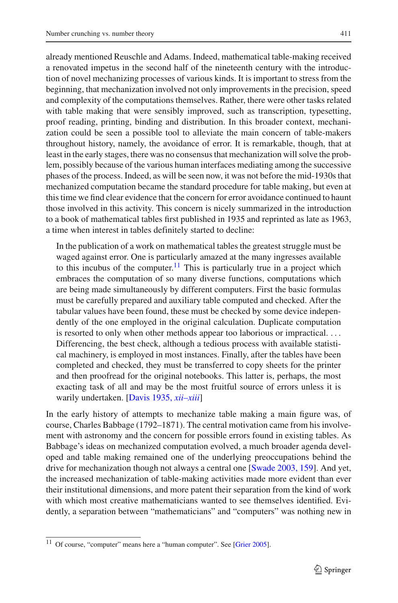already mentioned Reuschle and Adams. Indeed, mathematical table-making received a renovated impetus in the second half of the nineteenth century with the introduction of novel mechanizing processes of various kinds. It is important to stress from the beginning, that mechanization involved not only improvements in the precision, speed and complexity of the computations themselves. Rather, there were other tasks related with table making that were sensibly improved, such as transcription, typesetting, proof reading, printing, binding and distribution. In this broader context, mechanization could be seen a possible tool to alleviate the main concern of table-makers throughout history, namely, the avoidance of error. It is remarkable, though, that at least in the early stages, there was no consensus that mechanization will solve the problem, possibly because of the various human interfaces mediating among the successive phases of the process. Indeed, as will be seen now, it was not before the mid-1930s that mechanized computation became the standard procedure for table making, but even at this time we find clear evidence that the concern for error avoidance continued to haunt those involved in this activity. This concern is nicely summarized in the introduction to a book of mathematical tables first published in 1935 and reprinted as late as 1963, a time when interest in tables definitely started to decline:

In the publication of a work on mathematical tables the greatest struggle must be waged against error. One is particularly amazed at the many ingresses available to this incubus of the computer.<sup>[11](#page-18-0)</sup> This is particularly true in a project which embraces the computation of so many diverse functions, computations which are being made simultaneously by different computers. First the basic formulas must be carefully prepared and auxiliary table computed and checked. After the tabular values have been found, these must be checked by some device independently of the one employed in the original calculation. Duplicate computation is resorted to only when other methods appear too laborious or impractical. ... Differencing, the best check, although a tedious process with available statistical machinery, is employed in most instances. Finally, after the tables have been completed and checked, they must be transferred to copy sheets for the printer and then proofread for the original notebooks. This latter is, perhaps, the most exacting task of all and may be the most fruitful source of errors unless it is warily undertaken. [\[Davis 1935,](#page-58-6) *xii–xiii*]

In the early history of attempts to mechanize table making a main figure was, of course, Charles Babbage (1792–1871). The central motivation came from his involvement with astronomy and the concern for possible errors found in existing tables. As Babbage's ideas on mechanized computation evolved, a much broader agenda developed and table making remained one of the underlying preoccupations behind the drive for mechanization though not always a central one [\[Swade 2003, 159\]](#page-61-8). And yet, the increased mechanization of table-making activities made more evident than ever their institutional dimensions, and more patent their separation from the kind of work with which most creative mathematicians wanted to see themselves identified. Evidently, a separation between "mathematicians" and "computers" was nothing new in

<span id="page-18-0"></span><sup>&</sup>lt;sup>11</sup> Of course, "computer" means here a "human computer". See [\[Grier 2005\]](#page-59-13).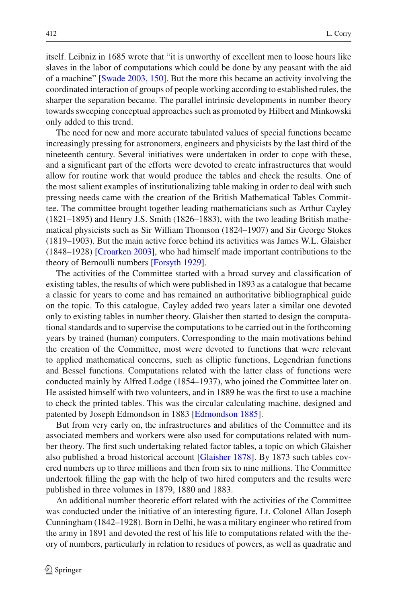itself. Leibniz in 1685 wrote that "it is unworthy of excellent men to loose hours like slaves in the labor of computations which could be done by any peasant with the aid of a machine" [\[Swade 2003, 150\]](#page-61-8). But the more this became an activity involving the coordinated interaction of groups of people working according to established rules, the sharper the separation became. The parallel intrinsic developments in number theory towards sweeping conceptual approaches such as promoted by Hilbert and Minkowski only added to this trend.

The need for new and more accurate tabulated values of special functions became increasingly pressing for astronomers, engineers and physicists by the last third of the nineteenth century. Several initiatives were undertaken in order to cope with these, and a significant part of the efforts were devoted to create infrastructures that would allow for routine work that would produce the tables and check the results. One of the most salient examples of institutionalizing table making in order to deal with such pressing needs came with the creation of the British Mathematical Tables Committee. The committee brought together leading mathematicians such as Arthur Cayley (1821–1895) and Henry J.S. Smith (1826–1883), with the two leading British mathematical physicists such as Sir William Thomson (1824–1907) and Sir George Stokes (1819–1903). But the main active force behind its activities was James W.L. Glaisher (1848–1928) [\[Croarken 2003\]](#page-58-12), who had himself made important contributions to the theory of Bernoulli numbers [\[Forsyth 1929\]](#page-59-14).

The activities of the Committee started with a broad survey and classification of existing tables, the results of which were published in 1893 as a catalogue that became a classic for years to come and has remained an authoritative bibliographical guide on the topic. To this catalogue, Cayley added two years later a similar one devoted only to existing tables in number theory. Glaisher then started to design the computational standards and to supervise the computations to be carried out in the forthcoming years by trained (human) computers. Corresponding to the main motivations behind the creation of the Committee, most were devoted to functions that were relevant to applied mathematical concerns, such as elliptic functions, Legendrian functions and Bessel functions. Computations related with the latter class of functions were conducted mainly by Alfred Lodge (1854–1937), who joined the Committee later on. He assisted himself with two volunteers, and in 1889 he was the first to use a machine to check the printed tables. This was the circular calculating machine, designed and patented by Joseph Edmondson in 1883 [\[Edmondson 1885\]](#page-58-13).

But from very early on, the infrastructures and abilities of the Committee and its associated members and workers were also used for computations related with number theory. The first such undertaking related factor tables, a topic on which Glaisher also published a broad historical account [\[Glaisher 1878\]](#page-59-15). By 1873 such tables covered numbers up to three millions and then from six to nine millions. The Committee undertook filling the gap with the help of two hired computers and the results were published in three volumes in 1879, 1880 and 1883.

An additional number theoretic effort related with the activities of the Committee was conducted under the initiative of an interesting figure, Lt. Colonel Allan Joseph Cunningham (1842–1928). Born in Delhi, he was a military engineer who retired from the army in 1891 and devoted the rest of his life to computations related with the theory of numbers, particularly in relation to residues of powers, as well as quadratic and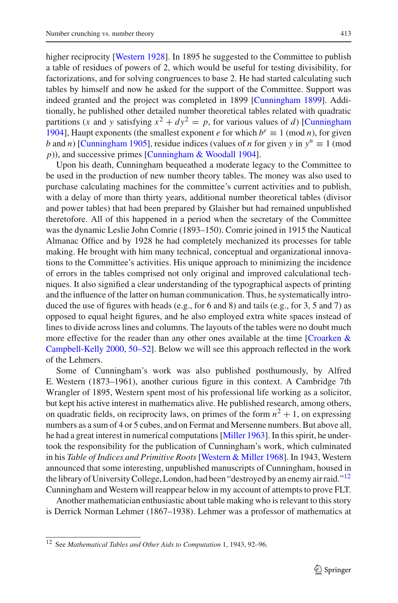higher reciprocity [\[Western 1928\]](#page-62-4). In 1895 he suggested to the Committee to publish a table of residues of powers of 2, which would be useful for testing divisibility, for factorizations, and for solving congruences to base 2. He had started calculating such tables by himself and now he asked for the support of the Committee. Support was indeed granted and the project was completed in 1899 [\[Cunningham 1899\]](#page-58-14). Additionally, he published other detailed number theoretical tables related with quadratic partitions (*x* and *y* satisfying  $x^2 + dy^2 = p$  $x^2 + dy^2 = p$  $x^2 + dy^2 = p$ , for various values of *d*) [Cunningham 1904], Haupt exponents (the smallest exponent *e* for which  $b^e \equiv 1 \pmod{n}$ , for given *b* and *n*) [\[Cunningham 1905\]](#page-58-16), residue indices (values of *n* for given *y* in  $y^n \equiv 1$  (mod *p*)), and successive primes [\[Cunningham & Woodall 1904\]](#page-58-15).

Upon his death, Cunningham bequeathed a moderate legacy to the Committee to be used in the production of new number theory tables. The money was also used to purchase calculating machines for the committee's current activities and to publish, with a delay of more than thirty years, additional number theoretical tables (divisor and power tables) that had been prepared by Glaisher but had remained unpublished theretofore. All of this happened in a period when the secretary of the Committee was the dynamic Leslie John Comrie (1893–150). Comrie joined in 1915 the Nautical Almanac Office and by 1928 he had completely mechanized its processes for table making. He brought with him many technical, conceptual and organizational innovations to the Committee's activities. His unique approach to minimizing the incidence of errors in the tables comprised not only original and improved calculational techniques. It also signified a clear understanding of the typographical aspects of printing and the influence of the latter on human communication. Thus, he systematically introduced the use of figures with heads (e.g., for 6 and 8) and tails (e.g., for 3, 5 and 7) as opposed to equal height figures, and he also employed extra white spaces instead of lines to divide across lines and columns. The layouts of the tables were no doubt much more effective for the reader than any other ones available at the time [Croarken  $\&$ Campbell-Kelly 2000, 50–52]. Below we will see this approach reflected in the work of the Lehmers.

Some of Cunningham's work was also published posthumously, by Alfred E. Western (1873–1961), another curious figure in this context. A Cambridge 7th Wrangler of 1895, Western spent most of his professional life working as a solicitor, but kept his active interest in mathematics alive. He published research, among others, on quadratic fields, on reciprocity laws, on primes of the form  $n^2 + 1$ , on expressing numbers as a sum of 4 or 5 cubes, and on Fermat and Mersenne numbers. But above all, he had a great interest in numerical computations [\[Miller 1963\]](#page-60-10). In this spirit, he undertook the responsibility for the publication of Cunningham's work, which culminated in his *Table of Indices and Primitive Roots* [\[Western & Miller 1968\]](#page-62-5). In 1943, Western announced that some interesting, unpublished manuscripts of Cunningham, housed in the library of University College, London, had been "destroyed by an enemy air raid."<sup>[12](#page-20-0)</sup> Cunningham and Western will reappear below in my account of attempts to prove FLT.

Another mathematician enthusiastic about table making who is relevant to this story is Derrick Norman Lehmer (1867–1938). Lehmer was a professor of mathematics at

<span id="page-20-0"></span><sup>12</sup> See *Mathematical Tables and Other Aids to Computation* 1, 1943, 92–96.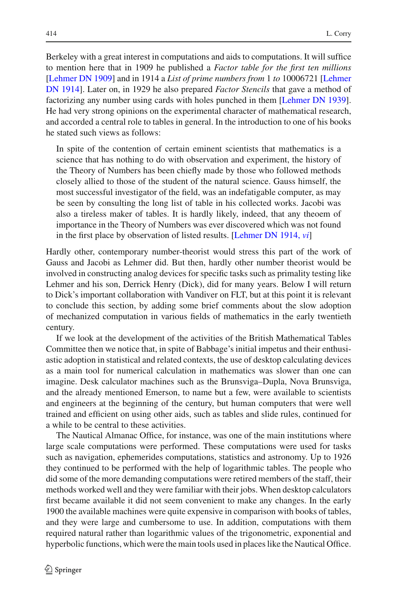Berkeley with a great interest in computations and aids to computations. It will suffice to mention here that in 1909 he published a *Factor table for the first ten millions* [\[Lehmer DN 1909\]](#page-60-11) and in 1914 a *[List](#page-60-12) [of](#page-60-12) [prime](#page-60-12) [numbers](#page-60-12) [from](#page-60-12)* 1 *to* 10006721 [Lehmer DN 1914]. Later on, in 1929 he also prepared *Factor Stencils* that gave a method of factorizing any number using cards with holes punched in them [\[Lehmer DN 1939\]](#page-60-13). He had very strong opinions on the experimental character of mathematical research, and accorded a central role to tables in general. In the introduction to one of his books he stated such views as follows:

In spite of the contention of certain eminent scientists that mathematics is a science that has nothing to do with observation and experiment, the history of the Theory of Numbers has been chiefly made by those who followed methods closely allied to those of the student of the natural science. Gauss himself, the most successful investigator of the field, was an indefatigable computer, as may be seen by consulting the long list of table in his collected works. Jacobi was also a tireless maker of tables. It is hardly likely, indeed, that any theoem of importance in the Theory of Numbers was ever discovered which was not found in the first place by observation of listed results. [\[Lehmer DN 1914,](#page-60-12) *vi*]

Hardly other, contemporary number-theorist would stress this part of the work of Gauss and Jacobi as Lehmer did. But then, hardly other number theorist would be involved in constructing analog devices for specific tasks such as primality testing like Lehmer and his son, Derrick Henry (Dick), did for many years. Below I will return to Dick's important collaboration with Vandiver on FLT, but at this point it is relevant to conclude this section, by adding some brief comments about the slow adoption of mechanized computation in various fields of mathematics in the early twentieth century.

If we look at the development of the activities of the British Mathematical Tables Committee then we notice that, in spite of Babbage's initial impetus and their enthusiastic adoption in statistical and related contexts, the use of desktop calculating devices as a main tool for numerical calculation in mathematics was slower than one can imagine. Desk calculator machines such as the Brunsviga–Dupla, Nova Brunsviga, and the already mentioned Emerson, to name but a few, were available to scientists and engineers at the beginning of the century, but human computers that were well trained and efficient on using other aids, such as tables and slide rules, continued for a while to be central to these activities.

The Nautical Almanac Office, for instance, was one of the main institutions where large scale computations were performed. These computations were used for tasks such as navigation, ephemerides computations, statistics and astronomy. Up to 1926 they continued to be performed with the help of logarithmic tables. The people who did some of the more demanding computations were retired members of the staff, their methods worked well and they were familiar with their jobs. When desktop calculators first became available it did not seem convenient to make any changes. In the early 1900 the available machines were quite expensive in comparison with books of tables, and they were large and cumbersome to use. In addition, computations with them required natural rather than logarithmic values of the trigonometric, exponential and hyperbolic functions, which were the main tools used in places like the Nautical Office.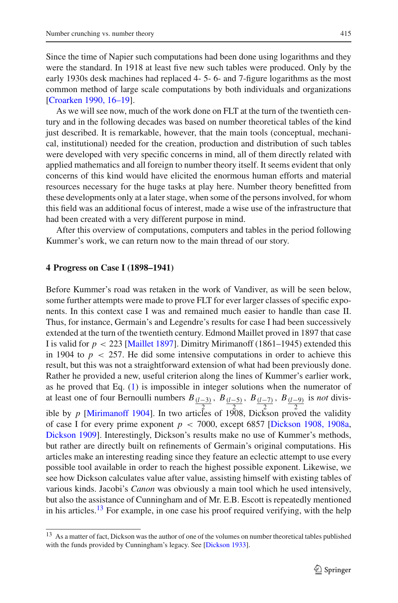Since the time of Napier such computations had been done using logarithms and they were the standard. In 1918 at least five new such tables were produced. Only by the early 1930s desk machines had replaced 4- 5- 6- and 7-figure logarithms as the most common method of large scale computations by both individuals and organizations [\[Croarken 1990, 16–19\]](#page-58-17).

As we will see now, much of the work done on FLT at the turn of the twentieth century and in the following decades was based on number theoretical tables of the kind just described. It is remarkable, however, that the main tools (conceptual, mechanical, institutional) needed for the creation, production and distribution of such tables were developed with very specific concerns in mind, all of them directly related with applied mathematics and all foreign to number theory itself. It seems evident that only concerns of this kind would have elicited the enormous human efforts and material resources necessary for the huge tasks at play here. Number theory benefitted from these developments only at a later stage, when some of the persons involved, for whom this field was an additional focus of interest, made a wise use of the infrastructure that had been created with a very different purpose in mind.

After this overview of computations, computers and tables in the period following Kummer's work, we can return now to the main thread of our story.

#### <span id="page-22-0"></span>**4 Progress on Case I (1898–1941)**

Before Kummer's road was retaken in the work of Vandiver, as will be seen below, some further attempts were made to prove FLT for ever larger classes of specific exponents. In this context case I was and remained much easier to handle than case II. Thus, for instance, Germain's and Legendre's results for case I had been successively extended at the turn of the twentieth century. Edmond Maillet proved in 1897 that case I is valid for  $p < 223$  [\[Maillet 1897\]](#page-60-14). Dimitry Mirimanoff (1861–1945) extended this in 1904 to  $p < 257$ . He did some intensive computations in order to achieve this result, but this was not a straightforward extension of what had been previously done. Rather he provided a new, useful criterion along the lines of Kummer's earlier work, as he proved that Eq. [\(1\)](#page-4-1) is impossible in integer solutions when the numerator of at least one of four Bernoulli numbers  $B_{(l-3)}$ ,  $B_{(l-5)}$ ,  $B_{(l-7)}$ ,  $B_{(l-9)}$ is *not* divisible by  $p$  [\[Mirimanoff 1904\]](#page-60-7). In two articles of 1908, Dickson proved the validity of case I for every prime exponent  $p < 7000$ , except 6857 [Dickson 1908, 1908a, [Dickson 1909\]](#page-58-18). Interestingly, Dickson's results make no use of Kummer's methods, but rather are directly built on refinements of Germain's original computations. His articles make an interesting reading since they feature an eclectic attempt to use every possible tool available in order to reach the highest possible exponent. Likewise, we see how Dickson calculates value after value, assisting himself with existing tables of various kinds. Jacobi's *Canon* was obviously a main tool which he used intensively, but also the assistance of Cunningham and of Mr. E.B. Escott is repeatedly mentioned in his articles.<sup>13</sup> For example, in one case his proof required verifying, with the help

<span id="page-22-1"></span><sup>13</sup> As a matter of fact, Dickson was the author of one of the volumes on number theoretical tables published with the funds provided by Cunningham's legacy. See [\[Dickson 1933\]](#page-58-19).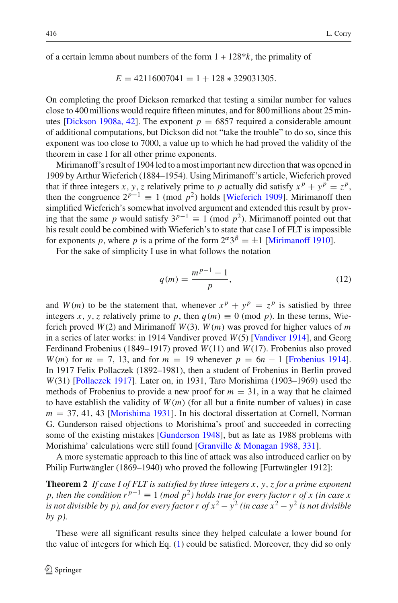of a certain lemma about numbers of the form  $1 + 128$ <sup>\*</sup>k, the primality of

$$
E = 42116007041 = 1 + 128 * 329031305.
$$

On completing the proof Dickson remarked that testing a similar number for values close to 400 millions would require fifteen minutes, and for 800 millions about 25 min-utes [\[Dickson 1908a, 42\]](#page-58-20). The exponent  $p = 6857$  required a considerable amount of additional computations, but Dickson did not "take the trouble" to do so, since this exponent was too close to 7000, a value up to which he had proved the validity of the theorem in case I for all other prime exponents.

Mirimanoff's result of 1904 led to a most important new direction that was opened in 1909 by Arthur Wieferich (1884–1954). Using Mirimanoff's article, Wieferich proved that if three integers *x*, *y*, *z* relatively prime to *p* actually did satisfy  $x^p + y^p = z^p$ , then the congruence  $2^{p-1} \equiv 1 \pmod{p^2}$  holds [\[Wieferich 1909\]](#page-62-6). Mirimanoff then simplified Wieferich's somewhat involved argument and extended this result by proving that the same *p* would satisfy  $3^{p-1} \equiv 1 \pmod{p^2}$ . Mirimanoff pointed out that his result could be combined with Wieferich's to state that case I of FLT is impossible for exponents *p*, where *p* is a prime of the form  $2^{\alpha}3^{\beta} = \pm 1$  [\[Mirimanoff 1910\]](#page-60-15).

<span id="page-23-0"></span>For the sake of simplicity I use in what follows the notation

<span id="page-23-1"></span>
$$
q(m) = \frac{m^{p-1} - 1}{p},
$$
\n(12)

and *W*(*m*) to be the statement that, whenever  $x^p + y^p = z^p$  is satisfied by three integers *x*, *y*, *z* relatively prime to *p*, then  $q(m) \equiv 0 \pmod{p}$ . In these terms, Wieferich proved *W*(2) and Mirimanoff *W*(3). *W*(*m*) was proved for higher values of *m* in a series of later works: in 1914 Vandiver proved *W*(5) [\[Vandiver 1914\]](#page-61-9), and Georg Ferdinand Frobenius (1849–1917) proved *W*(11) and *W*(17). Frobenius also proved *W*(*m*) for  $m = 7, 13$ , and for  $m = 19$  whenever  $p = 6n - 1$  [\[Frobenius 1914\]](#page-59-16). In 1917 Felix Pollaczek (1892–1981), then a student of Frobenius in Berlin proved *W*(31) [\[Pollaczek 1917\]](#page-61-10). Later on, in 1931, Taro Morishima (1903–1969) used the methods of Frobenius to provide a new proof for  $m = 31$ , in a way that he claimed to have establish the validity of  $W(m)$  (for all but a finite number of values) in case *m* = 37, 41, 43 [\[Morishima 1931\]](#page-60-16). In his doctoral dissertation at Cornell, Norman G. Gunderson raised objections to Morishima's proof and succeeded in correcting some of the existing mistakes [\[Gunderson 1948\]](#page-59-17), but as late as 1988 problems with Morishima' calculations were still found [\[Granville & Monagan 1988, 331\]](#page-59-18).

A more systematic approach to this line of attack was also introduced earlier on by Philip Furtwängler (1869–1940) who proved the following [Furtwängler 1912]:

**Theorem 2** *If case I of FLT is satisfied by three integers x*, *y*,*z for a prime exponent p, then the condition*  $r^{p-1} \equiv 1 \pmod{p^2}$  holds true for every factor r of x (in case x *is not divisible by p), and for every factor r of*  $x^2 - y^2$  *(in case*  $x^2 - y^2$  *is not divisible by p).*

These were all significant results since they helped calculate a lower bound for the value of integers for which Eq. [\(1\)](#page-4-1) could be satisfied. Moreover, they did so only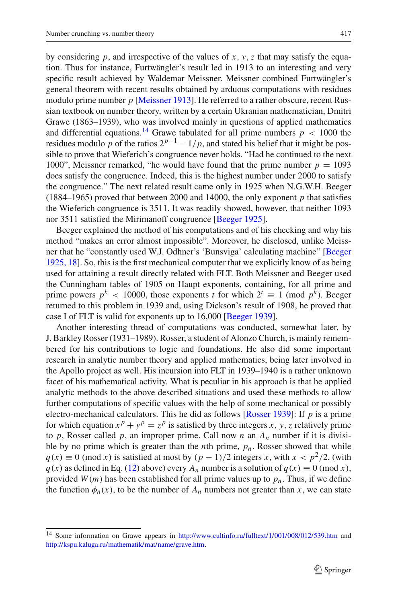by considering  $p$ , and irrespective of the values of  $x$ ,  $y$ ,  $z$  that may satisfy the equation. Thus for instance, Furtwängler's result led in 1913 to an interesting and very specific result achieved by Waldemar Meissner. Meissner combined Furtwängler's general theorem with recent results obtained by arduous computations with residues modulo prime number *p* [\[Meissner 1913\]](#page-60-17). He referred to a rather obscure, recent Russian textbook on number theory, written by a certain Ukranian mathematician, Dmitri Grawe (1863–1939), who was involved mainly in questions of applied mathematics and differential equations.<sup>14</sup> Grawe tabulated for all prime numbers  $p < 1000$  the residues modulo *p* of the ratios  $2^{p-1} - 1/p$ , and stated his belief that it might be possible to prove that Wieferich's congruence never holds. "Had he continued to the next 1000", Meissner remarked, "he would have found that the prime number  $p = 1093$ does satisfy the congruence. Indeed, this is the highest number under 2000 to satisfy the congruence." The next related result came only in 1925 when N.G.W.H. Beeger (1884–1965) proved that between 2000 and 14000, the only exponent *p* that satisfies the Wieferich congruence is 3511. It was readily showed, however, that neither 1093 nor 3511 satisfied the Mirimanoff congruence [\[Beeger 1925\]](#page-57-4).

Beeger explained the method of his computations and of his checking and why his method "makes an error almost impossible". Moreover, he disclosed, unlike Meissner that he "constantly used W.J. Odhner's 'Bunsviga' calculating machine" [Beeger 1925, 18]. So, this is the first mechanical computer that we explicitly know of as being used for attaining a result directly related with FLT. Both Meissner and Beeger used the Cunningham tables of 1905 on Haupt exponents, containing, for all prime and prime powers  $p^k$  < 10000, those exponents *t* for which  $2^t \equiv 1 \pmod{p^k}$ . Beeger returned to this problem in 1939 and, using Dickson's result of 1908, he proved that case I of FLT is valid for exponents up to 16,000 [\[Beeger 1939\]](#page-58-21).

Another interesting thread of computations was conducted, somewhat later, by J. Barkley Rosser (1931–1989). Rosser, a student of Alonzo Church, is mainly remembered for his contributions to logic and foundations. He also did some important research in analytic number theory and applied mathematics, being later involved in the Apollo project as well. His incursion into FLT in 1939–1940 is a rather unknown facet of his mathematical activity. What is peculiar in his approach is that he applied analytic methods to the above described situations and used these methods to allow further computations of specific values with the help of some mechanical or possibly electro-mechanical calculators. This he did as follows [\[Rosser 1939\]](#page-61-11): If *p* is a prime for which equation  $x^p + y^p = z^p$  is satisfied by three integers *x*, *y*, *z* relatively prime to *p*, Rosser called *p*, an improper prime. Call now *n* an  $A_n$  number if it is divisible by no prime which is greater than the *n*th prime, *pn*. Rosser showed that while *q*(*x*) ≡ 0 (mod *x*) is satisfied at most by  $(p − 1)/2$  integers *x*, with  $x < p^2/2$ , (with  $q(x)$  as defined in Eq. [\(12\)](#page-23-0) above) every  $A_n$  number is a solution of  $q(x) \equiv 0 \pmod{x}$ , provided  $W(m)$  has been established for all prime values up to  $p_n$ . Thus, if we define the function  $\phi_n(x)$ , to be the number of  $A_n$  numbers not greater than x, we can state

<span id="page-24-0"></span><sup>&</sup>lt;sup>14</sup> Some information on Grawe appears in <http://www.cultinfo.ru/fulltext/1/001/008/012/539.htm> and [http://kspu.kaluga.ru/mathematik/mat/name/grave.htm.](http://kspu.kaluga.ru/mathematik/mat/name/grave.htm)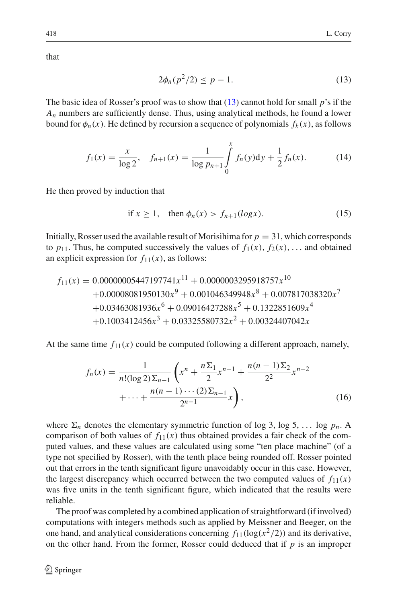<span id="page-25-0"></span>that

$$
2\phi_n(p^2/2) \le p - 1. \tag{13}
$$

The basic idea of Rosser's proof was to show that [\(13\)](#page-25-0) cannot hold for small *p*'s if the *An* numbers are sufficiently dense. Thus, using analytical methods, he found a lower bound for  $\phi_n(x)$ . He defined by recursion a sequence of polynomials  $f_k(x)$ , as follows

$$
f_1(x) = \frac{x}{\log 2}, \quad f_{n+1}(x) = \frac{1}{\log p_{n+1}} \int_0^x f_n(y) \, dy + \frac{1}{2} f_n(x). \tag{14}
$$

He then proved by induction that

if 
$$
x \ge 1
$$
, then  $\phi_n(x) > f_{n+1}(\log x)$ . (15)

Initially, Rosser used the available result of Morisihima for  $p = 31$ , which corresponds to  $p_{11}$ . Thus, he computed successively the values of  $f_1(x)$ ,  $f_2(x)$ , ... and obtained an explicit expression for  $f_{11}(x)$ , as follows:

$$
f_{11}(x) = 0.00000005447197741x^{11} + 0.0000003295918757x^{10}
$$
  
+0.00008081950130x<sup>9</sup> + 0.001046349948x<sup>8</sup> + 0.007817038320x<sup>7</sup>  
+0.03463081936x<sup>6</sup> + 0.09016427288x<sup>5</sup> + 0.1322851609x<sup>4</sup>  
+0.1003412456x<sup>3</sup> + 0.03325580732x<sup>2</sup> + 0.00324407042x

At the same time  $f_{11}(x)$  could be computed following a different approach, namely,

$$
f_n(x) = \frac{1}{n!(\log 2)\Sigma_{n-1}} \left( x^n + \frac{n\Sigma_1}{2} x^{n-1} + \frac{n(n-1)\Sigma_2}{2^2} x^{n-2} + \dots + \frac{n(n-1)\cdots(2)\Sigma_{n-1}}{2^{n-1}} x \right),
$$
\n(16)

where  $\Sigma_n$  denotes the elementary symmetric function of log 3, log 5, ... log  $p_n$ . A comparison of both values of  $f_{11}(x)$  thus obtained provides a fair check of the computed values, and these values are calculated using some "ten place machine" (of a type not specified by Rosser), with the tenth place being rounded off. Rosser pointed out that errors in the tenth significant figure unavoidably occur in this case. However, the largest discrepancy which occurred between the two computed values of  $f_{11}(x)$ was five units in the tenth significant figure, which indicated that the results were reliable.

The proof was completed by a combined application of straightforward (if involved) computations with integers methods such as applied by Meissner and Beeger, on the one hand, and analytical considerations concerning  $f_{11}(\log(x^2/2))$  and its derivative, on the other hand. From the former, Rosser could deduced that if *p* is an improper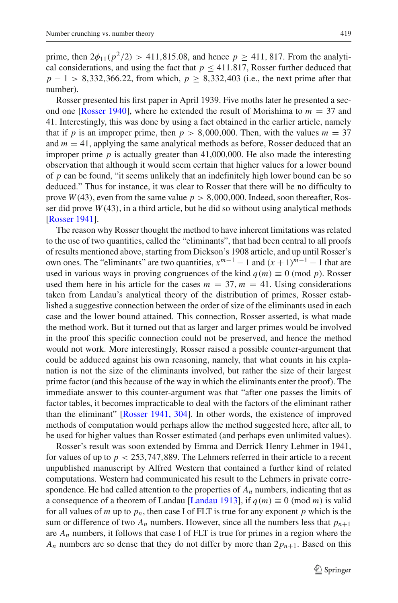prime, then  $2\phi_{11}(p^2/2) > 411,815.08$ , and hence  $p \ge 411,817$ . From the analytical considerations, and using the fact that  $p \le 411.817$ , Rosser further deduced that *p* − 1 > 8,332,366.22, from which, *p* ≥ 8,332,403 (i.e., the next prime after that number).

Rosser presented his first paper in April 1939. Five moths later he presented a sec-ond one [\[Rosser 1940\]](#page-61-12), where he extended the result of Morishima to  $m = 37$  and 41. Interestingly, this was done by using a fact obtained in the earlier article, namely that if *p* is an improper prime, then  $p > 8,000,000$ . Then, with the values  $m = 37$ and  $m = 41$ , applying the same analytical methods as before, Rosser deduced that an improper prime  $p$  is actually greater than  $41,000,000$ . He also made the interesting observation that although it would seem certain that higher values for a lower bound of *p* can be found, "it seems unlikely that an indefinitely high lower bound can be so deduced." Thus for instance, it was clear to Rosser that there will be no difficulty to prove  $W(43)$ , even from the same value  $p > 8,000,000$ . Indeed, soon thereafter, Rosser did prove  $W(43)$ , in a third article, but he did so without using analytical methods [\[Rosser 1941\]](#page-61-13).

The reason why Rosser thought the method to have inherent limitations was related to the use of two quantities, called the "eliminants", that had been central to all proofs of results mentioned above, starting from Dickson's 1908 article, and up until Rosser's own ones. The "eliminants" are two quantities,  $x^{m-1} - 1$  and  $(x + 1)^{m-1} - 1$  that are used in various ways in proving congruences of the kind  $q(m) \equiv 0 \pmod{p}$ . Rosser used them here in his article for the cases  $m = 37, m = 41$ . Using considerations taken from Landau's analytical theory of the distribution of primes, Rosser established a suggestive connection between the order of size of the eliminants used in each case and the lower bound attained. This connection, Rosser asserted, is what made the method work. But it turned out that as larger and larger primes would be involved in the proof this specific connection could not be preserved, and hence the method would not work. More interestingly, Rosser raised a possible counter-argument that could be adduced against his own reasoning, namely, that what counts in his explanation is not the size of the eliminants involved, but rather the size of their largest prime factor (and this because of the way in which the eliminants enter the proof). The immediate answer to this counter-argument was that "after one passes the limits of factor tables, it becomes impracticable to deal with the factors of the eliminant rather than the eliminant" [\[Rosser 1941, 304\]](#page-61-13). In other words, the existence of improved methods of computation would perhaps allow the method suggested here, after all, to be used for higher values than Rosser estimated (and perhaps even unlimited values).

Rosser's result was soon extended by Emma and Derrick Henry Lehmer in 1941, for values of up to *p* < 253,747,889. The Lehmers referred in their article to a recent unpublished manuscript by Alfred Western that contained a further kind of related computations. Western had communicated his result to the Lehmers in private correspondence. He had called attention to the properties of *An* numbers, indicating that as a consequence of a theorem of Landau [\[Landau 1913\]](#page-60-18), if  $q(m) \equiv 0 \pmod{m}$  is valid for all values of *m* up to  $p_n$ , then case I of FLT is true for any exponent *p* which is the sum or difference of two  $A_n$  numbers. However, since all the numbers less that  $p_{n+1}$ are  $A_n$  numbers, it follows that case I of FLT is true for primes in a region where the  $A_n$  numbers are so dense that they do not differ by more than  $2p_{n+1}$ . Based on this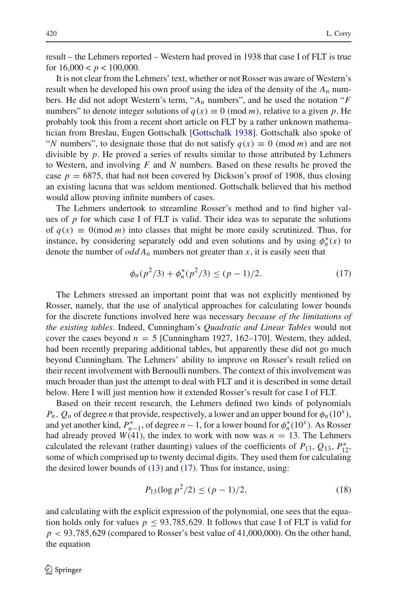result – the Lehmers reported – Western had proved in 1938 that case I of FLT is true for  $16,000 < p < 100,000$ .

It is not clear from the Lehmers' text, whether or not Rosser was aware of Western's result when he developed his own proof using the idea of the density of the *An* numbers. He did not adopt Western's term, "*An* numbers", and he used the notation "*F* numbers" to denote integer solutions of  $q(x) \equiv 0 \pmod{m}$ , relative to a given p. He probably took this from a recent short article on FLT by a rather unknown mathematician from Breslau, Eugen Gottschalk [\[Gottschalk 1938\]](#page-59-19). Gottschalk also spoke of "*N* numbers", to designate those that do not satisfy  $q(x) \equiv 0 \pmod{m}$  and are not divisible by *p*. He proved a series of results similar to those attributed by Lehmers to Western, and involving *F* and *N* numbers. Based on these results he proved the case  $p = 6875$ , that had not been covered by Dickson's proof of 1908, thus closing an existing lacuna that was seldom mentioned. Gottschalk believed that his method would allow proving infinite numbers of cases.

The Lehmers undertook to streamline Rosser's method and to find higher values of *p* for which case I of FLT is valid. Their idea was to separate the solutions of  $q(x) \equiv 0 \pmod{m}$  into classes that might be more easily scrutinized. Thus, for instance, by considering separately odd and even solutions and by using  $\phi_n^*(x)$  to denote the number of  $\text{odd} A_n$  numbers not greater than x, it is easily seen that

$$
\phi_n(p^2/3) + \phi_n^*(p^2/3) \le (p-1)/2. \tag{17}
$$

<span id="page-27-0"></span>The Lehmers stressed an important point that was not explicitly mentioned by Rosser, namely, that the use of analytical approaches for calculating lower bounds for the discrete functions involved here was necessary *because of the limitations of the existing tables*. Indeed, Cunningham's *Quadratic and Linear Tables* would not cover the cases beyond  $n = 5$  [Cunningham 1927, 162–170]. Western, they added, had been recently preparing additional tables, but apparently these did not go much beyond Cunningham. The Lehmers' ability to improve on Rosser's result relied on their recent involvement with Bernoulli numbers. The context of this involvement was much broader than just the attempt to deal with FLT and it is described in some detail below. Here I will just mention how it extended Rosser's result for case I of FLT.

Based on their recent research, the Lehmers defined two kinds of polynomials  $P_n$ ,  $Q_n$  of degree *n* that provide, respectively, a lower and an upper bound for  $\phi_n(10^x)$ , and yet another kind,  $P_{n-1}^*$ , of degree  $n-1$ , for a lower bound for  $\phi_n^*(10^x)$ . As Rosser had already proved  $W(41)$ , the index to work with now was  $n = 13$ . The Lehmers calculated the relevant (rather daunting) values of the coefficients of  $P_{13}$ ,  $Q_{13}$ ,  $P_{12}^*$ , some of which comprised up to twenty decimal digits. They used them for calculating the desired lower bounds of  $(13)$  and  $(17)$ . Thus for instance, using:

$$
P_{13}(\log p^2/2) \le (p-1)/2,\tag{18}
$$

and calculating with the explicit expression of the polynomial, one sees that the equation holds only for values  $p \leq 93,785,629$ . It follows that case I of FLT is valid for *p* < 93,785,629 (compared to Rosser's best value of 41,000,000). On the other hand, the equation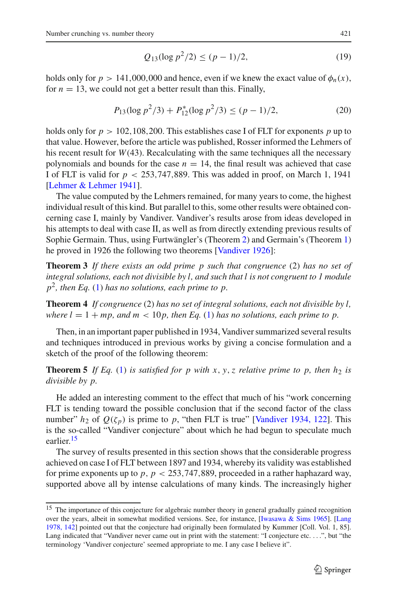$$
Q_{13}(\log p^2/2) \le (p-1)/2,\tag{19}
$$

holds only for  $p > 141,000,000$  and hence, even if we knew the exact value of  $\phi_n(x)$ , for  $n = 13$ , we could not get a better result than this. Finally,

$$
P_{13}(\log p^2/3) + P_{12}^*(\log p^2/3) \le (p-1)/2,\tag{20}
$$

holds only for  $p > 102, 108, 200$ . This establishes case I of FLT for exponents p up to that value. However, before the article was published, Rosser informed the Lehmers of his recent result for  $W(43)$ . Recalculating with the same techniques all the necessary polynomials and bounds for the case  $n = 14$ , the final result was achieved that case I of FLT is valid for  $p < 253,747,889$ . This was added in proof, on March 1, 1941 [\[Lehmer & Lehmer 1941\]](#page-60-19).

The value computed by the Lehmers remained, for many years to come, the highest individual result of this kind. But parallel to this, some other results were obtained concerning case I, mainly by Vandiver. Vandiver's results arose from ideas developed in his attempts to deal with case II, as well as from directly extending previous results of Sophie Germain. Thus, using Furtwängler's (Theorem [2\)](#page-23-1) and Germain's (Theorem [1\)](#page-5-2) he proved in 1926 the following two theorems [\[Vandiver 1926\]](#page-61-14):

**Theorem 3** *If there exists an odd prime p such that congruence* (2) *has no set of integral solutions, each not divisible by l, and such that l is not congruent to 1 module p*2*, then Eq.* [\(1\)](#page-4-1) *has no solutions, each prime to p.*

**Theorem 4** *If congruence* (2) *has no set of integral solutions, each not divisible by l, where*  $l = 1 + mp$ *, and*  $m < 10p$ *, then Eq.* [\(1\)](#page-4-1) *has no solutions, each prime to p.* 

Then, in an important paper published in 1934, Vandiver summarized several results and techniques introduced in previous works by giving a concise formulation and a sketch of the proof of the following theorem:

<span id="page-28-1"></span>**Theorem 5** If Eq. [\(1\)](#page-4-1) is satisfied for p with x, y, z relative prime to p, then  $h_2$  is *divisible by p.*

He added an interesting comment to the effect that much of his "work concerning FLT is tending toward the possible conclusion that if the second factor of the class number"  $h_2$  of  $Q(\zeta_p)$  is prime to p, "then FLT is true" [\[Vandiver 1934, 122\]](#page-62-7). This is the so-called "Vandiver conjecture" about which he had begun to speculate much earlier<sup>[15](#page-28-0)</sup>

The survey of results presented in this section shows that the considerable progress achieved on case I of FLT between 1897 and 1934, whereby its validity was established for prime exponents up to  $p, p < 253,747,889$ , proceeded in a rather haphazard way, supported above all by intense calculations of many kinds. The increasingly higher

<span id="page-28-0"></span><sup>&</sup>lt;sup>15</sup> The importance of this conjecture for algebraic number theory in general gradually gained recognition over the years, albeit in somewhat modified versions. See, for instance, [\[Iwasawa & Sims 1965\]](#page-59-20). [Lang 1978, 142[\]](#page-60-20) [pointed](#page-60-20) [out](#page-60-20) [that](#page-60-20) [the](#page-60-20) [conjecture](#page-60-20) [had](#page-60-20) [originally](#page-60-20) [been](#page-60-20) [formulated](#page-60-20) [by](#page-60-20) [Kummer](#page-60-20) [\[Coll.](#page-60-20) [Vol.](#page-60-20) [1](#page-60-20), 85]. Lang indicated that "Vandiver never came out in print with the statement: "I conjecture etc. ...", but "the terminology 'Vandiver conjecture' seemed appropriate to me. I any case I believe it".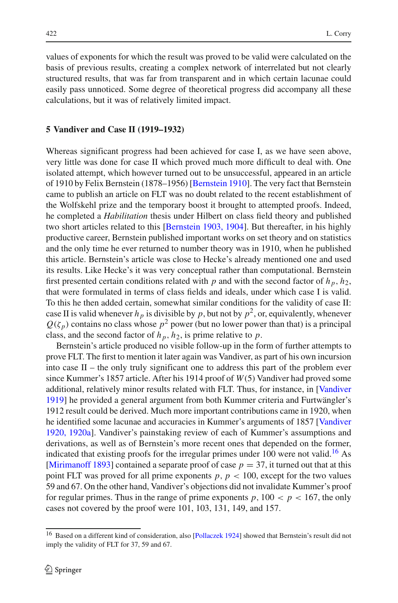values of exponents for which the result was proved to be valid were calculated on the basis of previous results, creating a complex network of interrelated but not clearly structured results, that was far from transparent and in which certain lacunae could easily pass unnoticed. Some degree of theoretical progress did accompany all these calculations, but it was of relatively limited impact.

#### <span id="page-29-0"></span>**5 Vandiver and Case II (1919–1932)**

Whereas significant progress had been achieved for case I, as we have seen above, very little was done for case II which proved much more difficult to deal with. One isolated attempt, which however turned out to be unsuccessful, appeared in an article of 1910 by Felix Bernstein (1878–1956) [\[Bernstein 1910\]](#page-58-22). The very fact that Bernstein came to publish an article on FLT was no doubt related to the recent establishment of the Wolfskehl prize and the temporary boost it brought to attempted proofs. Indeed, he completed a *Habilitation* thesis under Hilbert on class field theory and published two short articles related to this [Bernstein 1903, 1904]. But thereafter, in his highly productive career, Bernstein published important works on set theory and on statistics and the only time he ever returned to number theory was in 1910, when he published this article. Bernstein's article was close to Hecke's already mentioned one and used its results. Like Hecke's it was very conceptual rather than computational. Bernstein first presented certain conditions related with *p* and with the second factor of  $h_p$ ,  $h_2$ , that were formulated in terms of class fields and ideals, under which case I is valid. To this he then added certain, somewhat similar conditions for the validity of case II: case II is valid whenever  $h_p$  is divisible by p, but not by  $p^2$ , or, equivalently, whenever  $Q(\zeta_p)$  contains no class whose  $p^2$  power (but no lower power than that) is a principal class, and the second factor of  $h_p$ ,  $h_2$ , is prime relative to  $p$ .

Bernstein's article produced no visible follow-up in the form of further attempts to prove FLT. The first to mention it later again was Vandiver, as part of his own incursion into case  $II$  – the only truly significant one to address this part of the problem ever since Kummer's 1857 article. After his 1914 proof of *W*(5) Vandiver had proved some addit[ional,](#page-61-15) [relatively](#page-61-15) [minor](#page-61-15) [results](#page-61-15) [related](#page-61-15) [with](#page-61-15) [FLT.](#page-61-15) [Thus,](#page-61-15) [for](#page-61-15) [instance,](#page-61-15) [in](#page-61-15) [\[](#page-61-15)Vandiver 1919] he provided a general argument from both Kummer criteria and Furtwängler's 1912 result could be derived. Much more important contributions came in 1920, when he identified [some](#page-61-16) [lacunae](#page-61-16) [and](#page-61-16) [accuracies](#page-61-16) [in](#page-61-16) [Kummer's](#page-61-16) [arguments](#page-61-16) [of](#page-61-16) [1857](#page-61-16) [\[](#page-61-16)Vandiver 1920, 1920a]. Vandiver's painstaking review of each of Kummer's assumptions and derivations, as well as of Bernstein's more recent ones that depended on the former, indicated that existing proofs for the irregular primes under  $100$  were not valid.<sup>[16](#page-29-1)</sup> As [\[Mirimanoff 1893\]](#page-60-21) contained a separate proof of case *p* = 37, it turned out that at this point FLT was proved for all prime exponents  $p, p < 100$ , except for the two values 59 and 67. On the other hand, Vandiver's objections did not invalidate Kummer's proof for regular primes. Thus in the range of prime exponents  $p$ ,  $100 < p < 167$ , the only cases not covered by the proof were 101, 103, 131, 149, and 157.

<span id="page-29-1"></span><sup>&</sup>lt;sup>16</sup> Based on a different kind of consideration, also [\[Pollaczek 1924\]](#page-61-17) showed that Bernstein's result did not imply the validity of FLT for 37, 59 and 67.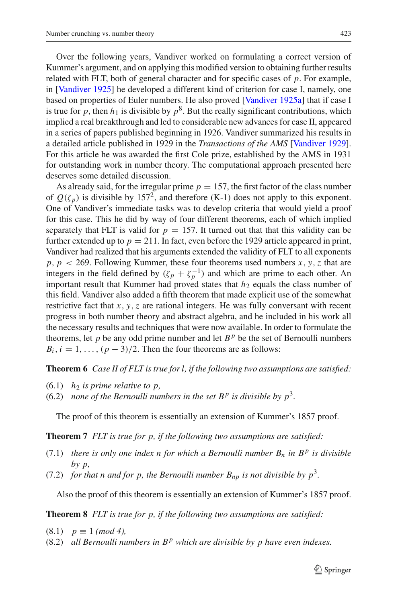Over the following years, Vandiver worked on formulating a correct version of Kummer's argument, and on applying this modified version to obtaining further results related with FLT, both of general character and for specific cases of *p*. For example, in [\[Vandiver 1925\]](#page-61-18) he developed a different kind of criterion for case I, namely, one based on properties of Euler numbers. He also proved [\[Vandiver 1925a\]](#page-61-19) that if case I is true for *p*, then  $h_1$  is divisible by  $p^8$ . But the really significant contributions, which implied a real breakthrough and led to considerable new advances for case II, appeared in a series of papers published beginning in 1926. Vandiver summarized his results in a detailed article published in 1929 in the *Transactions of the AMS* [\[Vandiver 1929\]](#page-61-20). For this article he was awarded the first Cole prize, established by the AMS in 1931 for outstanding work in number theory. The computational approach presented here deserves some detailed discussion.

As already said, for the irregular prime  $p = 157$ , the first factor of the class number of  $Q(\zeta_n)$  is divisible by 157<sup>2</sup>, and therefore (K-1) does not apply to this exponent. One of Vandiver's immediate tasks was to develop criteria that would yield a proof for this case. This he did by way of four different theorems, each of which implied separately that FLT is valid for  $p = 157$ . It turned out that that this validity can be further extended up to  $p = 211$ . In fact, even before the 1929 article appeared in print, Vandiver had realized that his arguments extended the validity of FLT to all exponents  $p, p < 269$ . Following Kummer, these four theorems used numbers *x*, *y*, *z* that are integers in the field defined by  $(\zeta_p + \zeta_p^{-1})$  and which are prime to each other. An important result that Kummer had proved states that  $h_2$  equals the class number of this field. Vandiver also added a fifth theorem that made explicit use of the somewhat restrictive fact that *x*, *y*,*z* are rational integers. He was fully conversant with recent progress in both number theory and abstract algebra, and he included in his work all the necessary results and techniques that were now available. In order to formulate the theorems, let *p* be any odd prime number and let  $B<sup>p</sup>$  be the set of Bernoulli numbers  $B_i$ ,  $i = 1, \ldots$ ,  $(p-3)/2$ . Then the four theorems are as follows:

<span id="page-30-0"></span>**Theorem 6** *Case II of FLT is true for l, if the following two assumptions are satisfied:*

- $(6.1)$  *h*<sub>2</sub> *is prime relative to p,*
- (6.2) *none of the Bernoulli numbers in the set*  $B^p$  *is divisible by*  $p^3$ *.*

The proof of this theorem is essentially an extension of Kummer's 1857 proof.

<span id="page-30-1"></span>**Theorem 7** *FLT is true for p, if the following two assumptions are satisfied:*

- (7.1) *there is only one index n for which a Bernoulli number*  $B_n$  *in*  $B^p$  *is divisible by p,*
- (7.2) *for that n and for p, the Bernoulli number*  $B_{np}$  *is not divisible by p*<sup>3</sup>.

Also the proof of this theorem is essentially an extension of Kummer's 1857 proof.

**Theorem 8** *FLT is true for p, if the following two assumptions are satisfied:*

 $(8.1)$  *p*  $\equiv$  1 *(mod 4)*,

(8.2) *all Bernoulli numbers in B<sup>p</sup> which are divisible by p have even indexes.*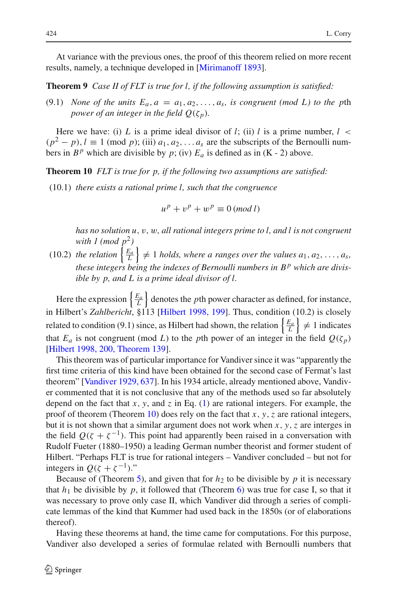<span id="page-31-1"></span>At variance with the previous ones, the proof of this theorem relied on more recent results, namely, a technique developed in [\[Mirimanoff 1893\]](#page-60-21).

**Theorem 9** *Case II of FLT is true for l, if the following assumption is satisfied:*

(9.1) *None of the units*  $E_a$ ,  $a = a_1, a_2, \ldots, a_s$ , *is congruent* (mod L) to the pth *power of an integer in the field*  $Q(\zeta_p)$ *.* 

Here we have: (i) *L* is a prime ideal divisor of *l*; (ii) *l* is a prime number,  $l \leq$  $(p^2 - p)$ ,  $l \equiv 1 \pmod{p}$ ; (iii)  $a_1, a_2, \ldots a_s$  are the subscripts of the Bernoulli numbers in  $B^p$  which are divisible by  $p$ ; (iv)  $E_a$  is defined as in (K - 2) above.

<span id="page-31-0"></span>**Theorem 10** *FLT is true for p, if the following two assumptions are satisfied:*

(10.1) *there exists a rational prime l, such that the congruence*

$$
u^p + v^p + w^p \equiv 0 \pmod{l}
$$

*has no solution u*, v, w*, all rational integers prime to l, and l is not congruent with 1 (mod*  $p^2$ *)* 

(10.2) the relation  $\left\{\frac{E_a}{L}\right\} \neq 1$  holds, where a ranges over the values  $a_1, a_2, \ldots, a_s$ , *these integers being the indexes of Bernoulli numbers in B<sup>p</sup> which are divisible by p, and L is a prime ideal divisor of l.*

Here the expression  $\left\{\frac{E_a}{L}\right\}$  denotes the *p*th power character as defined, for instance, in Hilbert's *Zahlbericht*, §113 [\[Hilbert 1998, 199\]](#page-59-2). Thus, condition (10.2) is closely related to condition (9.1) since, as Hilbert had shown, the relation  $\left\{\frac{E_a}{L}\right\} \neq 1$  indicates that  $E_a$  is not congruent (mod *L*) to the *p*th power of an integer in the field  $Q(\zeta_p)$ [\[Hilbert 1998, 200, Theorem 139\]](#page-59-2).

This theorem was of particular importance for Vandiver since it was "apparently the first time criteria of this kind have been obtained for the second case of Fermat's last theorem" [\[Vandiver 1929, 637\]](#page-61-20). In his 1934 article, already mentioned above, Vandiver commented that it is not conclusive that any of the methods used so far absolutely depend on the fact that  $x$ ,  $y$ , and  $z$  in Eq. [\(1\)](#page-4-1) are rational integers. For example, the proof of theorem (Theorem [10\)](#page-31-0) does rely on the fact that *x*, *y*,*z* are rational integers, but it is not shown that a similar argument does not work when  $x$ ,  $y$ ,  $z$  are interges in the field  $Q(\zeta + \zeta^{-1})$ . This point had apparently been raised in a conversation with Rudolf Fueter (1880–1950) a leading German number theorist and former student of Hilbert. "Perhaps FLT is true for rational integers – Vandiver concluded – but not for integers in  $Q(\zeta + \zeta^{-1})$ ."

Because of (Theorem [5\)](#page-28-1), and given that for  $h_2$  to be divisible by p it is necessary that  $h_1$  be divisible by p, it followed that (Theorem [6\)](#page-30-0) was true for case I, so that it was necessary to prove only case II, which Vandiver did through a series of complicate lemmas of the kind that Kummer had used back in the 1850s (or of elaborations thereof).

Having these theorems at hand, the time came for computations. For this purpose, Vandiver also developed a series of formulae related with Bernoulli numbers that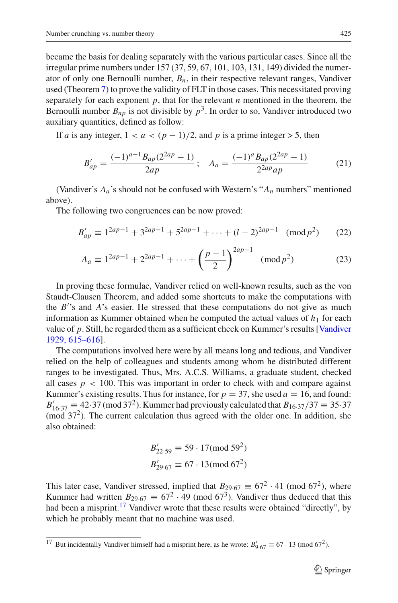became the basis for dealing separately with the various particular cases. Since all the irregular prime numbers under 157 (37, 59, 67, 101, 103, 131, 149) divided the numerator of only one Bernoulli number, *Bn*, in their respective relevant ranges, Vandiver used (Theorem [7\)](#page-30-1) to prove the validity of FLT in those cases. This necessitated proving separately for each exponent  $p$ , that for the relevant  $n$  mentioned in the theorem, the Bernoulli number  $B_{np}$  is not divisible by  $p^3$ . In order to so, Vandiver introduced two auxiliary quantities, defined as follow:

If *a* is any integer,  $1 < a < (p-1)/2$ , and *p* is a prime integer > 5, then

$$
B'_{ap} = \frac{(-1)^{a-1} B_{ap} (2^{2ap} - 1)}{2ap}; \quad A_a = \frac{(-1)^a B_{ap} (2^{2ap} - 1)}{2^{2ap} ap}
$$
(21)

(Vandiver's *Aa*'s should not be confused with Western's "*An* numbers" mentioned above).

The following two congruences can be now proved:

$$
B'_{ap} \equiv 1^{2ap-1} + 3^{2ap-1} + 5^{2ap-1} + \dots + (l-2)^{2ap-1} \pmod{p^2} \qquad (22)
$$

$$
A_a \equiv 1^{2ap-1} + 2^{2ap-1} + \dots + \left(\frac{p-1}{2}\right)^{2ap-1} \pmod{p^2}
$$
 (23)

In proving these formulae, Vandiver relied on well-known results, such as the von Staudt-Clausen Theorem, and added some shortcuts to make the computations with the *B* 's and *A*'s easier. He stressed that these computations do not give as much information as Kummer obtained when he computed the actual values of  $h_1$  for each value of *p*. Still, he regarded them as a sufficient check on Kummer's results [Vandiver 1929, 615–616[\].](#page-61-20)

The computations involved here were by all means long and tedious, and Vandiver relied on the help of colleagues and students among whom he distributed different ranges to be investigated. Thus, Mrs. A.C.S. Williams, a graduate student, checked all cases  $p < 100$ . This was important in order to check with and compare against Kummer's existing results. Thus for instance, for  $p = 37$ , she used  $a = 16$ , and found:  $B'_{16.37} \equiv 42.37 \pmod{37^2}$ . Kummer had previously calculated that  $B_{16.37}/37 \equiv 35.37$  $\pmod{37^2}$ . The current calculation thus agreed with the older one. In addition, she also obtained:

$$
B'_{22.59} \equiv 59 \cdot 17 \pmod{59^2}
$$
  

$$
B'_{29.67} \equiv 67 \cdot 13 \pmod{67^2}
$$

This later case, Vandiver stressed, implied that  $B_{29.67} \equiv 67^2 \cdot 41 \pmod{67^2}$ , where Kummer had written  $B_{29.67} \equiv 67^2 \cdot 49 \pmod{67^3}$ . Vandiver thus deduced that this had been a misprint.<sup>17</sup> Vandiver wrote that these results were obtained "directly", by which he probably meant that no machine was used.

<span id="page-32-0"></span><sup>&</sup>lt;sup>17</sup> But incidentally Vandiver himself had a misprint here, as he wrote:  $B'_{9.67} \equiv 67 \cdot 13 \pmod{67^2}$ .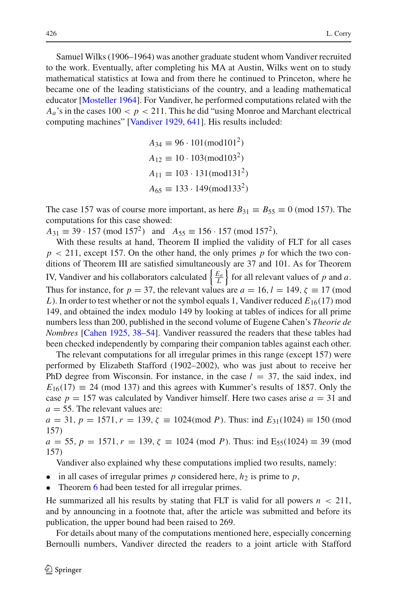Samuel Wilks (1906–1964) was another graduate student whom Vandiver recruited to the work. Eventually, after completing his MA at Austin, Wilks went on to study mathematical statistics at Iowa and from there he continued to Princeton, where he became one of the leading statisticians of the country, and a leading mathematical educator [\[Mosteller 1964\]](#page-60-22). For Vandiver, he performed computations related with the  $A_a$ 's in the cases  $100 < p < 211$ . This he did "using Monroe and Marchant electrical computing machines" [\[Vandiver 1929, 641\]](#page-61-20). His results included:

$$
A_{34} \equiv 96 \cdot 101 \pmod{101^2}
$$
  
\n
$$
A_{12} \equiv 10 \cdot 103 \pmod{103^2}
$$
  
\n
$$
A_{11} \equiv 103 \cdot 131 \pmod{131^2}
$$
  
\n
$$
A_{65} \equiv 133 \cdot 149 \pmod{133^2}
$$

The case 157 was of course more important, as here  $B_{31} \equiv B_{55} \equiv 0 \pmod{157}$ . The computations for this case showed:

 $A_{31} \equiv 39 \cdot 157 \pmod{157^2}$  and  $A_{55} \equiv 156 \cdot 157 \pmod{157^2}$ .

With these results at hand, Theorem II implied the validity of FLT for all cases  $p < 211$ , except 157. On the other hand, the only primes  $p$  for which the two conditions of Theorem III are satisfied simultaneously are 37 and 101. As for Theorem IV, Vandiver and his collaborators calculated  $\left\{\frac{E_a}{L}\right\}$  for all relevant values of *p* and *a*. Thus for instance, for  $p = 37$ , the relevant values are  $a = 16$ ,  $l = 149$ ,  $\zeta \equiv 17 \pmod{4}$ *L*). In order to test whether or not the symbol equals 1, Vandiver reduced  $E_{16}(17)$  mod 149, and obtained the index modulo 149 by looking at tables of indices for all prime numbers less than 200, published in the second volume of Eugene Cahen's *Theorie de Nombres* [\[Cahen 1925, 38–54\]](#page-58-23). Vandiver reassured the readers that these tables had been checked independently by comparing their companion tables against each other.

The relevant computations for all irregular primes in this range (except 157) were performed by Elizabeth Stafford (1902–2002), who was just about to receive her PhD degree from Wisconsin. For instance, in the case  $l = 37$ , the said index, ind  $E_{16}(17) \equiv 24 \pmod{137}$  and this agrees with Kummer's results of 1857. Only the case  $p = 157$  was calculated by Vandiver himself. Here two cases arise  $a = 31$  and  $a = 55$ . The relevant values are:

 $a = 31$ ,  $p = 1571$ ,  $r = 139$ ,  $\zeta \equiv 1024 \pmod{P}$ . Thus: ind  $E_{31}(1024) \equiv 150 \pmod{P}$ 157)

 $a = 55$ ,  $p = 1571$ ,  $r = 139$ ,  $\zeta \equiv 1024 \pmod{P}$ . Thus: ind E<sub>55</sub>(1024)  $\equiv 39 \pmod{P}$ 157)

Vandiver also explained why these computations implied two results, namely:

- in all cases of irregular primes  $p$  considered here,  $h_2$  is prime to  $p$ ,
- Theorem [6](#page-30-0) had been tested for all irregular primes.

He summarized all his results by stating that FLT is valid for all powers  $n < 211$ , and by announcing in a footnote that, after the article was submitted and before its publication, the upper bound had been raised to 269.

For details about many of the computations mentioned here, especially concerning Bernoulli numbers, Vandiver directed the readers to a joint article with Stafford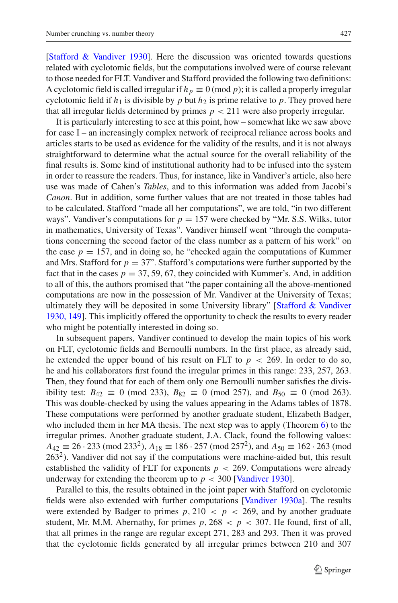[\[Stafford & Vandiver 1930\]](#page-61-21). Here the discussion was oriented towards questions related with cyclotomic fields, but the computations involved were of course relevant to those needed for FLT. Vandiver and Stafford provided the following two definitions: A cyclotomic field is called irregular if  $h_p \equiv 0 \pmod{p}$ ; it is called a properly irregular cyclotomic field if  $h_1$  is divisible by p but  $h_2$  is prime relative to p. They proved here that all irregular fields determined by primes *p* < 211 were also properly irregular.

It is particularly interesting to see at this point, how – somewhat like we saw above for case I – an increasingly complex network of reciprocal reliance across books and articles starts to be used as evidence for the validity of the results, and it is not always straightforward to determine what the actual source for the overall reliability of the final results is. Some kind of institutional authority had to be infused into the system in order to reassure the readers. Thus, for instance, like in Vandiver's article, also here use was made of Cahen's *Tables*, and to this information was added from Jacobi's *Canon*. But in addition, some further values that are not treated in those tables had to be calculated. Stafford "made all her computations", we are told, "in two different ways". Vandiver's computations for  $p = 157$  were checked by "Mr. S.S. Wilks, tutor in mathematics, University of Texas". Vandiver himself went "through the computations concerning the second factor of the class number as a pattern of his work" on the case  $p = 157$ , and in doing so, he "checked again the computations of Kummer" and Mrs. Stafford for  $p = 37$ ". Stafford's computations were further supported by the fact that in the cases  $p = 37, 59, 67$ , they coincided with Kummer's. And, in addition to all of this, the authors promised that "the paper containing all the above-mentioned computations are now in the possession of Mr. Vandiver at the University of Texas; ultimatel[y](#page-61-21) [they](#page-61-21) [will](#page-61-21) [be](#page-61-21) [deposited](#page-61-21) [in](#page-61-21) [some](#page-61-21) [University](#page-61-21) [library"](#page-61-21) [\[](#page-61-21)Stafford  $&$  Vandiver 1930, 149]. This implicitly offered the opportunity to check the results to every reader who might be potentially interested in doing so.

In subsequent papers, Vandiver continued to develop the main topics of his work on FLT, cyclotomic fields and Bernoulli numbers. In the first place, as already said, he extended the upper bound of his result on FLT to  $p < 269$ . In order to do so, he and his collaborators first found the irregular primes in this range: 233, 257, 263. Then, they found that for each of them only one Bernoulli number satisfies the divisibility test:  $B_{42} \equiv 0 \pmod{233}$ ,  $B_{82} \equiv 0 \pmod{257}$ , and  $B_{50} \equiv 0 \pmod{263}$ . This was double-checked by using the values appearing in the Adams tables of 1878. These computations were performed by another graduate student, Elizabeth Badger, who included them in her MA thesis. The next step was to apply (Theorem [6\)](#page-30-0) to the irregular primes. Another graduate student, J.A. Clack, found the following values:  $A_{42} \equiv 26 \cdot 233 \pmod{233^2}$ ,  $A_{18} \equiv 186 \cdot 257 \pmod{257^2}$ , and  $A_{50} \equiv 162 \cdot 263 \pmod{257^2}$ 2632). Vandiver did not say if the computations were machine-aided but, this result established the validity of FLT for exponents  $p < 269$ . Computations were already underway for extending the theorem up to  $p < 300$  [\[Vandiver 1930\]](#page-61-22).

Parallel to this, the results obtained in the joint paper with Stafford on cyclotomic fields were also extended with further computations [\[Vandiver 1930a\]](#page-61-23). The results were extended by Badger to primes  $p$ , 210  $\lt p \lt 269$ , and by another graduate student, Mr. M.M. Abernathy, for primes  $p, 268 < p < 307$ . He found, first of all, that all primes in the range are regular except 271, 283 and 293. Then it was proved that the cyclotomic fields generated by all irregular primes between 210 and 307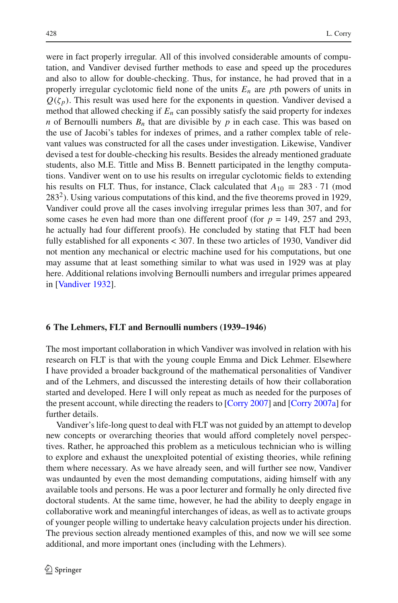were in fact properly irregular. All of this involved considerable amounts of computation, and Vandiver devised further methods to ease and speed up the procedures and also to allow for double-checking. Thus, for instance, he had proved that in a properly irregular cyclotomic field none of the units *En* are *p*th powers of units in  $Q(\zeta_p)$ . This result was used here for the exponents in question. Vandiver devised a method that allowed checking if  $E_n$  can possibly satisfy the said property for indexes *n* of Bernoulli numbers  $B_n$  that are divisible by *p* in each case. This was based on the use of Jacobi's tables for indexes of primes, and a rather complex table of relevant values was constructed for all the cases under investigation. Likewise, Vandiver devised a test for double-checking his results. Besides the already mentioned graduate students, also M.E. Tittle and Miss B. Bennett participated in the lengthy computations. Vandiver went on to use his results on irregular cyclotomic fields to extending his results on FLT. Thus, for instance, Clack calculated that  $A_{10} \equiv 283 \cdot 71$  (mod 2832). Using various computations of this kind, and the five theorems proved in 1929, Vandiver could prove all the cases involving irregular primes less than 307, and for some cases he even had more than one different proof (for  $p = 149$ , 257 and 293, he actually had four different proofs). He concluded by stating that FLT had been fully established for all exponents < 307. In these two articles of 1930, Vandiver did not mention any mechanical or electric machine used for his computations, but one may assume that at least something similar to what was used in 1929 was at play here. Additional relations involving Bernoulli numbers and irregular primes appeared in [\[Vandiver 1932\]](#page-61-24).

#### <span id="page-35-0"></span>**6 The Lehmers, FLT and Bernoulli numbers (1939–1946)**

The most important collaboration in which Vandiver was involved in relation with his research on FLT is that with the young couple Emma and Dick Lehmer. Elsewhere I have provided a broader background of the mathematical personalities of Vandiver and of the Lehmers, and discussed the interesting details of how their collaboration started and developed. Here I will only repeat as much as needed for the purposes of the present account, while directing the readers to [\[Corry 2007\]](#page-58-0) and [\[Corry 2007a\]](#page-58-1) for further details.

Vandiver's life-long quest to deal with FLT was not guided by an attempt to develop new concepts or overarching theories that would afford completely novel perspectives. Rather, he approached this problem as a meticulous technician who is willing to explore and exhaust the unexploited potential of existing theories, while refining them where necessary. As we have already seen, and will further see now, Vandiver was undaunted by even the most demanding computations, aiding himself with any available tools and persons. He was a poor lecturer and formally he only directed five doctoral students. At the same time, however, he had the ability to deeply engage in collaborative work and meaningful interchanges of ideas, as well as to activate groups of younger people willing to undertake heavy calculation projects under his direction. The previous section already mentioned examples of this, and now we will see some additional, and more important ones (including with the Lehmers).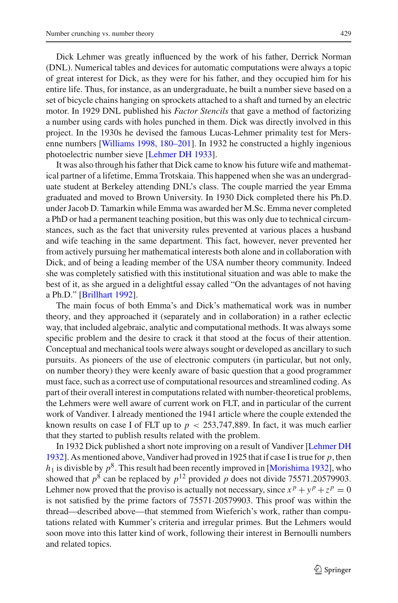Dick Lehmer was greatly influenced by the work of his father, Derrick Norman (DNL). Numerical tables and devices for automatic computations were always a topic of great interest for Dick, as they were for his father, and they occupied him for his entire life. Thus, for instance, as an undergraduate, he built a number sieve based on a set of bicycle chains hanging on sprockets attached to a shaft and turned by an electric motor. In 1929 DNL published his *Factor Stencils* that gave a method of factorizing a number using cards with holes punched in them. Dick was directly involved in this project. In the 1930s he devised the famous Lucas-Lehmer primality test for Mersenne numbers [\[Williams 1998, 180–201\]](#page-62-8). In 1932 he constructed a highly ingenious photoelectric number sieve [\[Lehmer DH 1933\]](#page-60-23).

It was also through his father that Dick came to know his future wife and mathematical partner of a lifetime, Emma Trotskaia. This happened when she was an undergraduate student at Berkeley attending DNL's class. The couple married the year Emma graduated and moved to Brown University. In 1930 Dick completed there his Ph.D. under Jacob D. Tamarkin while Emma was awarded her M.Sc. Emma never completed a PhD or had a permanent teaching position, but this was only due to technical circumstances, such as the fact that university rules prevented at various places a husband and wife teaching in the same department. This fact, however, never prevented her from actively pursuing her mathematical interests both alone and in collaboration with Dick, and of being a leading member of the USA number theory community. Indeed she was completely satisfied with this institutional situation and was able to make the best of it, as she argued in a delightful essay called "On the advantages of not having a Ph.D." [\[Brillhart 1992\]](#page-58-24).

The main focus of both Emma's and Dick's mathematical work was in number theory, and they approached it (separately and in collaboration) in a rather eclectic way, that included algebraic, analytic and computational methods. It was always some specific problem and the desire to crack it that stood at the focus of their attention. Conceptual and mechanical tools were always sought or developed as ancillary to such pursuits. As pioneers of the use of electronic computers (in particular, but not only, on number theory) they were keenly aware of basic question that a good programmer must face, such as a correct use of computational resources and streamlined coding. As part of their overall interest in computations related with number-theoretical problems, the Lehmers were well aware of current work on FLT, and in particular of the current work of Vandiver. I already mentioned the 1941 article where the couple extended the known results on case I of FLT up to  $p < 253,747,889$ . In fact, it was much earlier that they started to publish results related with the problem.

In [1932](#page-60-24) [Dick](#page-60-24) [published](#page-60-24) [a](#page-60-24) [short](#page-60-24) [note](#page-60-24) [improving](#page-60-24) [on](#page-60-24) [a](#page-60-24) [result](#page-60-24) [of](#page-60-24) [Vandiver](#page-60-24) [\[](#page-60-24)Lehmer DH 1932]. As mentioned above, Vandiver had proved in 1925 that if case I is true for *p*, then  $h_1$  is divisble by  $p^8$ . This result had been recently improved in [\[Morishima 1932\]](#page-60-25), who showed that  $p^8$  can be replaced by  $p^{12}$  provided p does not divide 75571.20579903. Lehmer now proved that the proviso is actually not necessary, since  $x^p + y^p + z^p = 0$ is not satisfied by the prime factors of 75571·20579903. This proof was within the thread—described above—that stemmed from Wieferich's work, rather than computations related with Kummer's criteria and irregular primes. But the Lehmers would soon move into this latter kind of work, following their interest in Bernoulli numbers and related topics.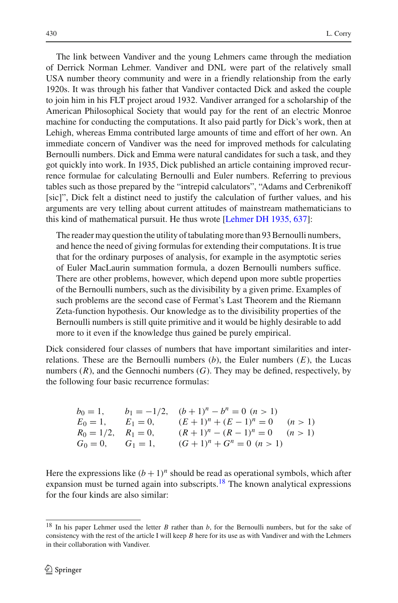The link between Vandiver and the young Lehmers came through the mediation of Derrick Norman Lehmer. Vandiver and DNL were part of the relatively small USA number theory community and were in a friendly relationship from the early 1920s. It was through his father that Vandiver contacted Dick and asked the couple to join him in his FLT project aroud 1932. Vandiver arranged for a scholarship of the American Philosophical Society that would pay for the rent of an electric Monroe machine for conducting the computations. It also paid partly for Dick's work, then at Lehigh, whereas Emma contributed large amounts of time and effort of her own. An immediate concern of Vandiver was the need for improved methods for calculating Bernoulli numbers. Dick and Emma were natural candidates for such a task, and they got quickly into work. In 1935, Dick published an article containing improved recurrence formulae for calculating Bernoulli and Euler numbers. Referring to previous tables such as those prepared by the "intrepid calculators", "Adams and Cerbrenikoff [sic]", Dick felt a distinct need to justify the calculation of further values, and his arguments are very telling about current attitudes of mainstream mathematicians to this kind of mathematical pursuit. He thus wrote [\[Lehmer DH 1935, 637\]](#page-60-26):

The reader may question the utility of tabulating more than 93 Bernoulli numbers, and hence the need of giving formulas for extending their computations. It is true that for the ordinary purposes of analysis, for example in the asymptotic series of Euler MacLaurin summation formula, a dozen Bernoulli numbers suffice. There are other problems, however, which depend upon more subtle properties of the Bernoulli numbers, such as the divisibility by a given prime. Examples of such problems are the second case of Fermat's Last Theorem and the Riemann Zeta-function hypothesis. Our knowledge as to the divisibility properties of the Bernoulli numbers is still quite primitive and it would be highly desirable to add more to it even if the knowledge thus gained be purely empirical.

Dick considered four classes of numbers that have important similarities and interrelations. These are the Bernoulli numbers  $(b)$ , the Euler numbers  $(E)$ , the Lucas numbers  $(R)$ , and the Gennochi numbers  $(G)$ . They may be defined, respectively, by the following four basic recurrence formulas:

$$
b_0 = 1, \t b_1 = -1/2, \t (b+1)^n - b^n = 0 \t (n > 1)
$$
  
\n
$$
E_0 = 1, \t E_1 = 0, \t (E+1)^n + (E-1)^n = 0 \t (n > 1)
$$
  
\n
$$
R_0 = 1/2, \t R_1 = 0, \t (R+1)^n - (R-1)^n = 0 \t (n > 1)
$$
  
\n
$$
G_0 = 0, \t G_1 = 1, \t (G+1)^n + G^n = 0 \t (n > 1)
$$

Here the expressions like  $(b+1)^n$  should be read as operational symbols, which after expansion must be turned again into subscripts.<sup>18</sup> The known analytical expressions for the four kinds are also similar:

<span id="page-37-0"></span><sup>18</sup> In his paper Lehmer used the letter *B* rather than *b*, for the Bernoulli numbers, but for the sake of consistency with the rest of the article I will keep *B* here for its use as with Vandiver and with the Lehmers in their collaboration with Vandiver.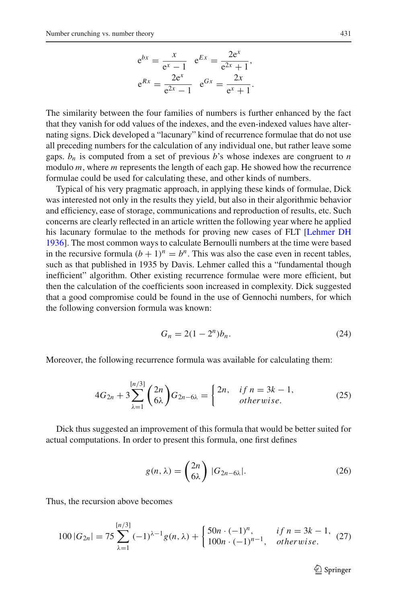$$
e^{bx} = \frac{x}{e^x - 1} e^{Ex} = \frac{2e^x}{e^{2x} + 1},
$$
  
 $e^{Rx} = \frac{2e^x}{e^{2x} - 1} e^{Gx} = \frac{2x}{e^x + 1}.$ 

The similarity between the four families of numbers is further enhanced by the fact that they vanish for odd values of the indexes, and the even-indexed values have alternating signs. Dick developed a "lacunary" kind of recurrence formulae that do not use all preceding numbers for the calculation of any individual one, but rather leave some gaps.  $b_n$  is computed from a set of previous  $b$ 's whose indexes are congruent to  $n$ modulo *m*, where *m* represents the length of each gap. He showed how the recurrence formulae could be used for calculating these, and other kinds of numbers.

Typical of his very pragmatic approach, in applying these kinds of formulae, Dick was interested not only in the results they yield, but also in their algorithmic behavior and efficiency, ease of storage, communications and reproduction of results, etc. Such concerns are clearly reflected in an article written the following year where he applied his l[acunary](#page-60-27) [formulae](#page-60-27) [to](#page-60-27) [the](#page-60-27) [methods](#page-60-27) [for](#page-60-27) [proving](#page-60-27) [new](#page-60-27) [cases](#page-60-27) [of](#page-60-27) [FLT](#page-60-27) [\[](#page-60-27)Lehmer DH 1936]. The most common ways to calculate Bernoulli numbers at the time were based in the recursive formula  $(b + 1)^n = b^n$ . This was also the case even in recent tables, such as that published in 1935 by Davis. Lehmer called this a "fundamental though inefficient" algorithm. Other existing recurrence formulae were more efficient, but then the calculation of the coefficients soon increased in complexity. Dick suggested that a good compromise could be found in the use of Gennochi numbers, for which the following conversion formula was known:

$$
G_n = 2(1 - 2^n)b_n.
$$
 (24)

Moreover, the following recurrence formula was available for calculating them:

$$
4G_{2n} + 3\sum_{\lambda=1}^{[n/3]} \binom{2n}{6\lambda} G_{2n-6\lambda} = \begin{cases} 2n, & \text{if } n = 3k - 1, \\ & \text{otherwise.} \end{cases} \tag{25}
$$

Dick thus suggested an improvement of this formula that would be better suited for actual computations. In order to present this formula, one first defines

$$
g(n,\lambda) = \begin{pmatrix} 2n \\ 6\lambda \end{pmatrix} |G_{2n-6\lambda}|.
$$
 (26)

Thus, the recursion above becomes

$$
100 |G_{2n}| = 75 \sum_{\lambda=1}^{\lfloor n/3 \rfloor} (-1)^{\lambda-1} g(n, \lambda) + \begin{cases} 50n \cdot (-1)^n, & \text{if } n = 3k - 1, \\ 100n \cdot (-1)^{n-1}, & \text{otherwise.} \end{cases} \tag{27}
$$

 $\mathcal{D}$  Springer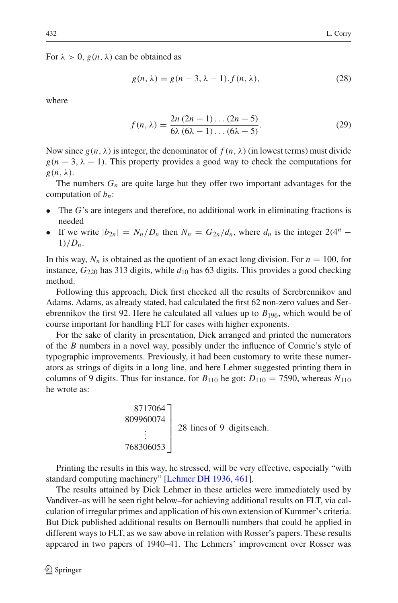For  $\lambda > 0$ ,  $g(n, \lambda)$  can be obtained as

$$
g(n, \lambda) = g(n-3, \lambda - 1).f(n, \lambda),\tag{28}
$$

where

$$
f(n,\lambda) = \frac{2n(2n-1)\dots(2n-5)}{6\lambda(6\lambda - 1)\dots(6\lambda - 5)}.
$$
 (29)

Now since  $g(n, \lambda)$  is integer, the denominator of  $f(n, \lambda)$  (in lowest terms) must divide  $g(n-3, \lambda - 1)$ . This property provides a good way to check the computations for  $g(n, \lambda)$ .

The numbers  $G_n$  are quite large but they offer two important advantages for the computation of *bn*:

- The *G*'s are integers and therefore, no additional work in eliminating fractions is needed
- If we write  $|b_{2n}| = N_n/D_n$  then  $N_n = G_{2n}/d_n$ , where  $d_n$  is the integer 2(4<sup>n</sup> −  $1)/D_n$ .

In this way,  $N_n$  is obtained as the quotient of an exact long division. For  $n = 100$ , for instance, *G*<sup>220</sup> has 313 digits, while *d*<sup>10</sup> has 63 digits. This provides a good checking method.

Following this approach, Dick first checked all the results of Serebrennikov and Adams. Adams, as already stated, had calculated the first 62 non-zero values and Serebrennikov the first 92. Here he calculated all values up to  $B_{196}$ , which would be of course important for handling FLT for cases with higher exponents.

For the sake of clarity in presentation, Dick arranged and printed the numerators of the *B* numbers in a novel way, possibly under the influence of Comrie's style of typographic improvements. Previously, it had been customary to write these numerators as strings of digits in a long line, and here Lehmer suggested printing them in columns of 9 digits. Thus for instance, for  $B_{110}$  he got:  $D_{110} = 7590$ , whereas  $N_{110}$ he wrote as:

8717064 ⎤ 809960074 . . . 768306053  $\overline{\phantom{a}}$  $\overline{\phantom{a}}$  $\overline{\phantom{a}}$  $\overline{\phantom{a}}$ 28 lines of 9 digits each.

Printing the results in this way, he stressed, will be very effective, especially "with standard computing machinery" [\[Lehmer DH 1936, 461\]](#page-60-27).

The results attained by Dick Lehmer in these articles were immediately used by Vandiver–as will be seen right below–for achieving additional results on FLT, via calculation of irregular primes and application of his own extension of Kummer's criteria. But Dick published additional results on Bernoulli numbers that could be applied in different ways to FLT, as we saw above in relation with Rosser's papers. These results appeared in two papers of 1940–41. The Lehmers' improvement over Rosser was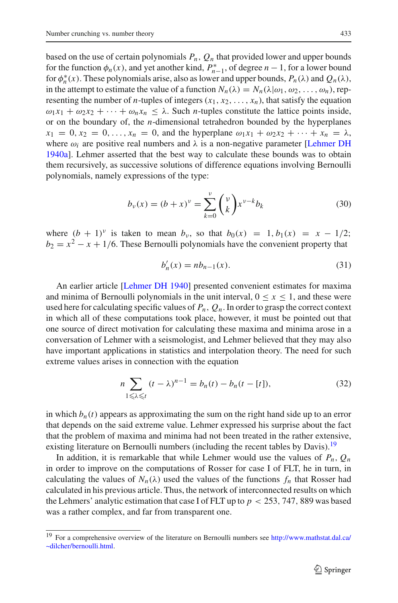based on the use of certain polynomials  $P_n$ ,  $Q_n$  that provided lower and upper bounds for the function  $\phi_n(x)$ , and yet another kind,  $P_{n-1}^*$ , of degree  $n-1$ , for a lower bound for  $\phi_n^*(x)$ . These polynomials arise, also as lower and upper bounds,  $P_n(\lambda)$  and  $Q_n(\lambda)$ , in the attempt to estimate the value of a function  $N_n(\lambda) = N_n(\lambda|\omega_1, \omega_2, \dots, \omega_n)$ , representing the number of *n*-tuples of integers  $(x_1, x_2, \ldots, x_n)$ , that satisfy the equation  $\omega_1 x_1 + \omega_2 x_2 + \cdots + \omega_n x_n \leq \lambda$ . Such *n*-tuples constitute the lattice points inside, or on the boundary of, the *n*-dimensional tetrahedron bounded by the hyperplanes  $x_1 = 0, x_2 = 0, \ldots, x_n = 0$ , and the hyperplane  $\omega_1 x_1 + \omega_2 x_2 + \cdots + x_n = \lambda$ , where  $\omega_i$  [are](#page-60-28) [positive](#page-60-28) [real](#page-60-28) [numbers](#page-60-28) [and](#page-60-28)  $\lambda$  is a non-negative parameter [Lehmer DH 1940a]. Lehmer asserted that the best way to calculate these bounds was to obtain them recursively, as successive solutions of difference equations involving Bernoulli polynomials, namely expressions of the type:

$$
b_{\nu}(x) = (b+x)^{\nu} = \sum_{k=0}^{\nu} {\nu \choose k} x^{\nu-k} b_k
$$
 (30)

where  $(b + 1)^{v}$  is taken to mean  $b_{v}$ , so that  $b_{0}(x) = 1, b_{1}(x) = x - 1/2$ ;  $b_2 = x^2 - x + 1/6$ . These Bernoulli polynomials have the convenient property that

$$
b'_n(x) = nb_{n-1}(x).
$$
 (31)

An earlier article [\[Lehmer DH 1940\]](#page-60-29) presented convenient estimates for maxima and minima of Bernoulli polynomials in the unit interval,  $0 \le x \le 1$ , and these were used here for calculating specific values of  $P_n$ ,  $Q_n$ . In order to grasp the correct context in which all of these computations took place, however, it must be pointed out that one source of direct motivation for calculating these maxima and minima arose in a conversation of Lehmer with a seismologist, and Lehmer believed that they may also have important applications in statistics and interpolation theory. The need for such extreme values arises in connection with the equation

$$
n \sum_{1 \leq \lambda \leq t} (t - \lambda)^{n-1} = b_n(t) - b_n(t - [t]),
$$
\n(32)

in which  $b_n(t)$  appears as approximating the sum on the right hand side up to an error that depends on the said extreme value. Lehmer expressed his surprise about the fact that the problem of maxima and minima had not been treated in the rather extensive, existing literature on Bernoulli numbers (including the recent tables by Davis).<sup>19</sup>

In addition, it is remarkable that while Lehmer would use the values of  $P_n$ ,  $Q_n$ in order to improve on the computations of Rosser for case I of FLT, he in turn, in calculating the values of  $N_n(\lambda)$  used the values of the functions  $f_n$  that Rosser had calculated in his previous article. Thus, the network of interconnected results on which the Lehmers' analytic estimation that case I of FLT up to  $p < 253$ , 747, 889 was based was a rather complex, and far from transparent one.

<span id="page-40-0"></span><sup>19</sup> For a comprehensive overview of the literature on Bernoulli numbers see [http://www.mathstat.dal.ca/](http://www.mathstat.dal.ca/~dilcher/bernoulli.html) [~dilcher/bernoulli.html.](http://www.mathstat.dal.ca/~dilcher/bernoulli.html)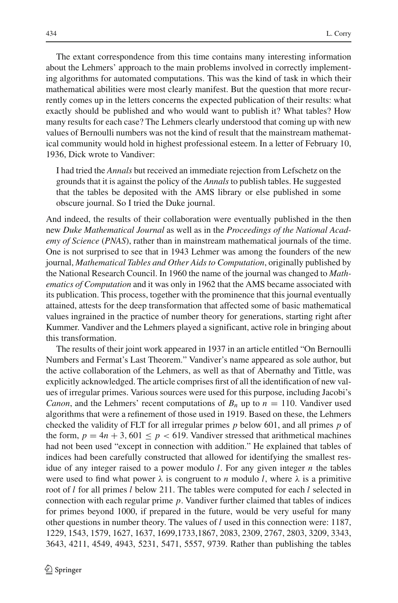The extant correspondence from this time contains many interesting information about the Lehmers' approach to the main problems involved in correctly implementing algorithms for automated computations. This was the kind of task in which their mathematical abilities were most clearly manifest. But the question that more recurrently comes up in the letters concerns the expected publication of their results: what exactly should be published and who would want to publish it? What tables? How many results for each case? The Lehmers clearly understood that coming up with new values of Bernoulli numbers was not the kind of result that the mainstream mathematical community would hold in highest professional esteem. In a letter of February 10, 1936, Dick wrote to Vandiver:

I had tried the *Annals* but received an immediate rejection from Lefschetz on the grounds that it is against the policy of the *Annals* to publish tables. He suggested that the tables be deposited with the AMS library or else published in some obscure journal. So I tried the Duke journal.

And indeed, the results of their collaboration were eventually published in the then new *Duke Mathematical Journal* as well as in the *Proceedings of the National Academy of Science* (*PNAS*), rather than in mainstream mathematical journals of the time. One is not surprised to see that in 1943 Lehmer was among the founders of the new journal, *Mathematical Tables and Other Aids to Computation*, originally published by the National Research Council. In 1960 the name of the journal was changed to *Mathematics of Computation* and it was only in 1962 that the AMS became associated with its publication. This process, together with the prominence that this journal eventually attained, attests for the deep transformation that affected some of basic mathematical values ingrained in the practice of number theory for generations, starting right after Kummer. Vandiver and the Lehmers played a significant, active role in bringing about this transformation.

The results of their joint work appeared in 1937 in an article entitled "On Bernoulli Numbers and Fermat's Last Theorem." Vandiver's name appeared as sole author, but the active collaboration of the Lehmers, as well as that of Abernathy and Tittle, was explicitly acknowledged. The article comprises first of all the identification of new values of irregular primes. Various sources were used for this purpose, including Jacobi's *Canon*, and the Lehmers' recent computations of  $B_n$  up to  $n = 110$ . Vandiver used algorithms that were a refinement of those used in 1919. Based on these, the Lehmers checked the validity of FLT for all irregular primes *p* below 601, and all primes *p* of the form,  $p = 4n + 3$ , 601  $\leq p < 619$ . Vandiver stressed that arithmetical machines had not been used "except in connection with addition." He explained that tables of indices had been carefully constructed that allowed for identifying the smallest residue of any integer raised to a power modulo *l*. For any given integer *n* the tables were used to find what power  $\lambda$  is congruent to *n* modulo *l*, where  $\lambda$  is a primitive root of *l* for all primes *l* below 211. The tables were computed for each *l* selected in connection with each regular prime *p*. Vandiver further claimed that tables of indices for primes beyond 1000, if prepared in the future, would be very useful for many other questions in number theory. The values of *l* used in this connection were: 1187, 1229, 1543, 1579, 1627, 1637, 1699,1733,1867, 2083, 2309, 2767, 2803, 3209, 3343, 3643, 4211, 4549, 4943, 5231, 5471, 5557, 9739. Rather than publishing the tables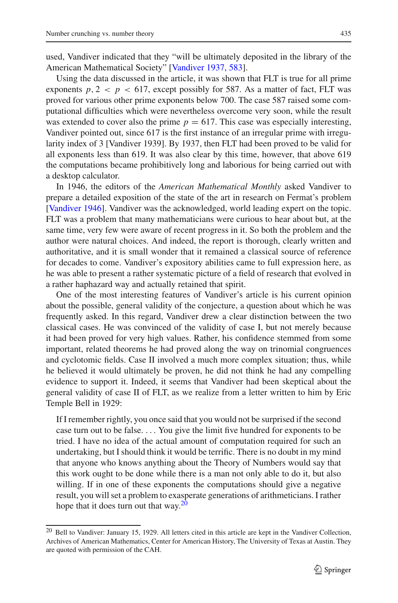used, Vandiver indicated that they "will be ultimately deposited in the library of the American Mathematical Society" [\[Vandiver 1937, 583\]](#page-62-9).

Using the data discussed in the article, it was shown that FLT is true for all prime exponents  $p, 2 < p < 617$ , except possibly for 587. As a matter of fact, FLT was proved for various other prime exponents below 700. The case 587 raised some computational difficulties which were nevertheless overcome very soon, while the result was extended to cover also the prime  $p = 617$ . This case was especially interesting, Vandiver pointed out, since 617 is the first instance of an irregular prime with irregularity index of 3 [Vandiver 1939]. By 1937, then FLT had been proved to be valid for all exponents less than 619. It was also clear by this time, however, that above 619 the computations became prohibitively long and laborious for being carried out with a desktop calculator.

In 1946, the editors of the *American Mathematical Monthly* asked Vandiver to prepare a detailed exposition of the state of the art in research on Fermat's problem [\[Vandiver 1946\]](#page-62-10). Vandiver was the acknowledged, world leading expert on the topic. FLT was a problem that many mathematicians were curious to hear about but, at the same time, very few were aware of recent progress in it. So both the problem and the author were natural choices. And indeed, the report is thorough, clearly written and authoritative, and it is small wonder that it remained a classical source of reference for decades to come. Vandiver's expository abilities came to full expression here, as he was able to present a rather systematic picture of a field of research that evolved in a rather haphazard way and actually retained that spirit.

One of the most interesting features of Vandiver's article is his current opinion about the possible, general validity of the conjecture, a question about which he was frequently asked. In this regard, Vandiver drew a clear distinction between the two classical cases. He was convinced of the validity of case I, but not merely because it had been proved for very high values. Rather, his confidence stemmed from some important, related theorems he had proved along the way on trinomial congruences and cyclotomic fields. Case II involved a much more complex situation; thus, while he believed it would ultimately be proven, he did not think he had any compelling evidence to support it. Indeed, it seems that Vandiver had been skeptical about the general validity of case II of FLT, as we realize from a letter written to him by Eric Temple Bell in 1929:

If I remember rightly, you once said that you would not be surprised if the second case turn out to be false. ... You give the limit five hundred for exponents to be tried. I have no idea of the actual amount of computation required for such an undertaking, but I should think it would be terrific. There is no doubt in my mind that anyone who knows anything about the Theory of Numbers would say that this work ought to be done while there is a man not only able to do it, but also willing. If in one of these exponents the computations should give a negative result, you will set a problem to exasperate generations of arithmeticians. I rather hope that it does turn out that way. $20$ 

<span id="page-42-0"></span><sup>&</sup>lt;sup>20</sup> Bell to Vandiver: January 15, 1929. All letters cited in this article are kept in the Vandiver Collection, Archives of American Mathematics, Center for American History, The University of Texas at Austin. They are quoted with permission of the CAH.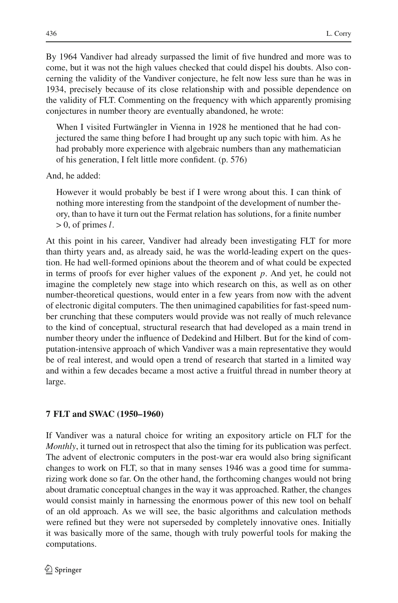By 1964 Vandiver had already surpassed the limit of five hundred and more was to come, but it was not the high values checked that could dispel his doubts. Also concerning the validity of the Vandiver conjecture, he felt now less sure than he was in 1934, precisely because of its close relationship with and possible dependence on the validity of FLT. Commenting on the frequency with which apparently promising conjectures in number theory are eventually abandoned, he wrote:

When I visited Furtwängler in Vienna in 1928 he mentioned that he had conjectured the same thing before I had brought up any such topic with him. As he had probably more experience with algebraic numbers than any mathematician of his generation, I felt little more confident. (p. 576)

And, he added:

However it would probably be best if I were wrong about this. I can think of nothing more interesting from the standpoint of the development of number theory, than to have it turn out the Fermat relation has solutions, for a finite number  $> 0$ , of primes *l*.

At this point in his career, Vandiver had already been investigating FLT for more than thirty years and, as already said, he was the world-leading expert on the question. He had well-formed opinions about the theorem and of what could be expected in terms of proofs for ever higher values of the exponent *p*. And yet, he could not imagine the completely new stage into which research on this, as well as on other number-theoretical questions, would enter in a few years from now with the advent of electronic digital computers. The then unimagined capabilities for fast-speed number crunching that these computers would provide was not really of much relevance to the kind of conceptual, structural research that had developed as a main trend in number theory under the influence of Dedekind and Hilbert. But for the kind of computation-intensive approach of which Vandiver was a main representative they would be of real interest, and would open a trend of research that started in a limited way and within a few decades became a most active a fruitful thread in number theory at large.

### <span id="page-43-0"></span>**7 FLT and SWAC (1950–1960)**

If Vandiver was a natural choice for writing an expository article on FLT for the *Monthly*, it turned out in retrospect that also the timing for its publication was perfect. The advent of electronic computers in the post-war era would also bring significant changes to work on FLT, so that in many senses 1946 was a good time for summarizing work done so far. On the other hand, the forthcoming changes would not bring about dramatic conceptual changes in the way it was approached. Rather, the changes would consist mainly in harnessing the enormous power of this new tool on behalf of an old approach. As we will see, the basic algorithms and calculation methods were refined but they were not superseded by completely innovative ones. Initially it was basically more of the same, though with truly powerful tools for making the computations.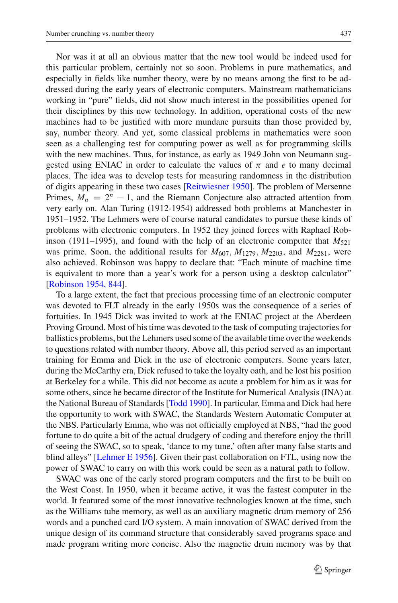Nor was it at all an obvious matter that the new tool would be indeed used for this particular problem, certainly not so soon. Problems in pure mathematics, and especially in fields like number theory, were by no means among the first to be addressed during the early years of electronic computers. Mainstream mathematicians working in "pure" fields, did not show much interest in the possibilities opened for their disciplines by this new technology. In addition, operational costs of the new machines had to be justified with more mundane pursuits than those provided by, say, number theory. And yet, some classical problems in mathematics were soon seen as a challenging test for computing power as well as for programming skills with the new machines. Thus, for instance, as early as 1949 John von Neumann suggested using ENIAC in order to calculate the values of  $\pi$  and  $e$  to many decimal places. The idea was to develop tests for measuring randomness in the distribution of digits appearing in these two cases [\[Reitwiesner 1950\]](#page-61-25). The problem of Mersenne Primes,  $M_n = 2^n - 1$ , and the Riemann Conjecture also attracted attention from very early on. Alan Turing (1912-1954) addressed both problems at Manchester in 1951–1952. The Lehmers were of course natural candidates to pursue these kinds of problems with electronic computers. In 1952 they joined forces with Raphael Robinson (1911–1995), and found with the help of an electronic computer that  $M_{521}$ was prime. Soon, the additional results for  $M_{607}$ ,  $M_{1279}$ ,  $M_{2203}$ , and  $M_{2281}$ , were also achieved. Robinson was happy to declare that: "Each minute of machine time is equivalent to more than a year's work for a person using a desktop calculator" [\[Robinson 1954, 844\]](#page-61-26).

To a large extent, the fact that precious processing time of an electronic computer was devoted to FLT already in the early 1950s was the consequence of a series of fortuities. In 1945 Dick was invited to work at the ENIAC project at the Aberdeen Proving Ground. Most of his time was devoted to the task of computing trajectories for ballistics problems, but the Lehmers used some of the available time over the weekends to questions related with number theory. Above all, this period served as an important training for Emma and Dick in the use of electronic computers. Some years later, during the McCarthy era, Dick refused to take the loyalty oath, and he lost his position at Berkeley for a while. This did not become as acute a problem for him as it was for some others, since he became director of the Institute for Numerical Analysis (INA) at the National Bureau of Standards [\[Todd 1990\]](#page-61-27). In particular, Emma and Dick had here the opportunity to work with SWAC, the Standards Western Automatic Computer at the NBS. Particularly Emma, who was not officially employed at NBS, "had the good fortune to do quite a bit of the actual drudgery of coding and therefore enjoy the thrill of seeing the SWAC, so to speak, 'dance to my tune,' often after many false starts and blind alleys" [\[Lehmer E 1956\]](#page-60-30). Given their past collaboration on FTL, using now the power of SWAC to carry on with this work could be seen as a natural path to follow.

SWAC was one of the early stored program computers and the first to be built on the West Coast. In 1950, when it became active, it was the fastest computer in the world. It featured some of the most innovative technologies known at the time, such as the Williams tube memory, as well as an auxiliary magnetic drum memory of 256 words and a punched card I/O system. A main innovation of SWAC derived from the unique design of its command structure that considerably saved programs space and made program writing more concise. Also the magnetic drum memory was by that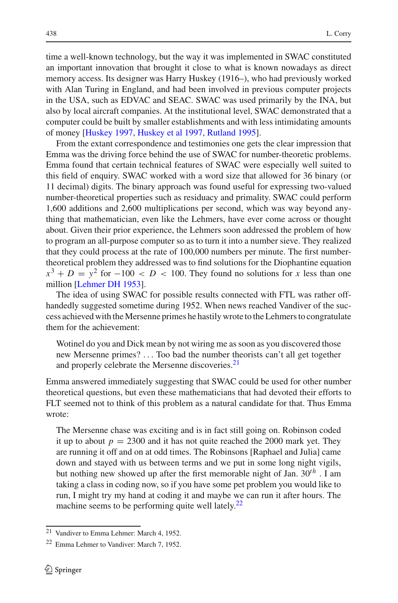time a well-known technology, but the way it was implemented in SWAC constituted an important innovation that brought it close to what is known nowadays as direct memory access. Its designer was Harry Huskey (1916–), who had previously worked with Alan Turing in England, and had been involved in previous computer projects in the USA, such as EDVAC and SEAC. SWAC was used primarily by the INA, but also by local aircraft companies. At the institutional level, SWAC demonstrated that a computer could be built by smaller establishments and with less intimidating amounts of money [\[Huskey 1997,](#page-59-21) [Huskey et al 1997,](#page-59-21) [Rutland 1995\]](#page-61-28).

From the extant correspondence and testimonies one gets the clear impression that Emma was the driving force behind the use of SWAC for number-theoretic problems. Emma found that certain technical features of SWAC were especially well suited to this field of enquiry. SWAC worked with a word size that allowed for 36 binary (or 11 decimal) digits. The binary approach was found useful for expressing two-valued number-theoretical properties such as residuacy and primality. SWAC could perform 1,600 additions and 2,600 multiplications per second, which was way beyond anything that mathematician, even like the Lehmers, have ever come across or thought about. Given their prior experience, the Lehmers soon addressed the problem of how to program an all-purpose computer so as to turn it into a number sieve. They realized that they could process at the rate of 100,000 numbers per minute. The first numbertheoretical problem they addressed was to find solutions for the Diophantine equation  $x^3 + D = y^2$  for  $-100 < D < 100$ . They found no solutions for *x* less than one million [\[Lehmer DH 1953\]](#page-60-31).

The idea of using SWAC for possible results connected with FTL was rather offhandedly suggested sometime during 1952. When news reached Vandiver of the success achieved with the Mersenne primes he hastily wrote to the Lehmers to congratulate them for the achievement:

Wotinel do you and Dick mean by not wiring me as soon as you discovered those new Mersenne primes? ... Too bad the number theorists can't all get together and properly celebrate the Mersenne discoveries.<sup>21</sup>

Emma answered immediately suggesting that SWAC could be used for other number theoretical questions, but even these mathematicians that had devoted their efforts to FLT seemed not to think of this problem as a natural candidate for that. Thus Emma wrote:

The Mersenne chase was exciting and is in fact still going on. Robinson coded it up to about  $p = 2300$  and it has not quite reached the 2000 mark yet. They are running it off and on at odd times. The Robinsons [Raphael and Julia] came down and stayed with us between terms and we put in some long night vigils, but nothing new showed up after the first memorable night of Jan. 30*th* . I am taking a class in coding now, so if you have some pet problem you would like to run, I might try my hand at coding it and maybe we can run it after hours. The machine seems to be performing quite well lately.<sup>22</sup>

<sup>21</sup> Vandiver to Emma Lehmer: March 4, 1952.

<span id="page-45-1"></span><span id="page-45-0"></span><sup>22</sup> Emma Lehmer to Vandiver: March 7, 1952.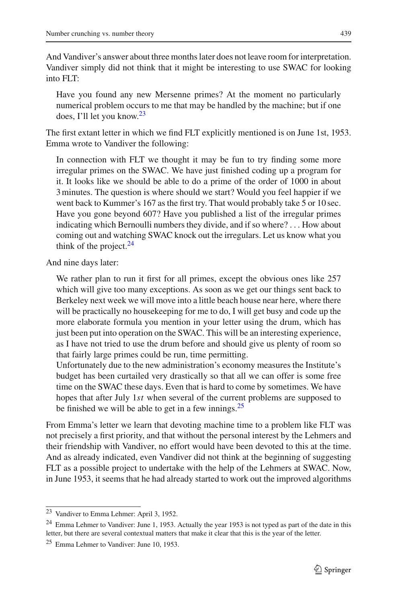And Vandiver's answer about three months later does not leave room for interpretation. Vandiver simply did not think that it might be interesting to use SWAC for looking into FLT:

Have you found any new Mersenne primes? At the moment no particularly numerical problem occurs to me that may be handled by the machine; but if one does, I'll let you know[.23](#page-46-0)

The first extant letter in which we find FLT explicitly mentioned is on June 1st, 1953. Emma wrote to Vandiver the following:

In connection with FLT we thought it may be fun to try finding some more irregular primes on the SWAC. We have just finished coding up a program for it. It looks like we should be able to do a prime of the order of 1000 in about 3 minutes. The question is where should we start? Would you feel happier if we went back to Kummer's 167 as the first try. That would probably take 5 or 10 sec. Have you gone beyond 607? Have you published a list of the irregular primes indicating which Bernoulli numbers they divide, and if so where? ... How about coming out and watching SWAC knock out the irregulars. Let us know what you think of the project. $24$ 

And nine days later:

We rather plan to run it first for all primes, except the obvious ones like 257 which will give too many exceptions. As soon as we get our things sent back to Berkeley next week we will move into a little beach house near here, where there will be practically no housekeeping for me to do, I will get busy and code up the more elaborate formula you mention in your letter using the drum, which has just been put into operation on the SWAC. This will be an interesting experience, as I have not tried to use the drum before and should give us plenty of room so that fairly large primes could be run, time permitting.

Unfortunately due to the new administration's economy measures the Institute's budget has been curtailed very drastically so that all we can offer is some free time on the SWAC these days. Even that is hard to come by sometimes. We have hopes that after July 1*st* when several of the current problems are supposed to be finished we will be able to get in a few innings. $^{25}$  $^{25}$  $^{25}$ 

From Emma's letter we learn that devoting machine time to a problem like FLT was not precisely a first priority, and that without the personal interest by the Lehmers and their friendship with Vandiver, no effort would have been devoted to this at the time. And as already indicated, even Vandiver did not think at the beginning of suggesting FLT as a possible project to undertake with the help of the Lehmers at SWAC. Now, in June 1953, it seems that he had already started to work out the improved algorithms

 $\overline{23}$  Vandiver to Emma Lehmer: April 3, 1952.

<span id="page-46-1"></span><span id="page-46-0"></span><sup>&</sup>lt;sup>24</sup> Emma Lehmer to Vandiver: June 1, 1953. Actually the year 1953 is not typed as part of the date in this letter, but there are several contextual matters that make it clear that this is the year of the letter.

<span id="page-46-2"></span><sup>25</sup> Emma Lehmer to Vandiver: June 10, 1953.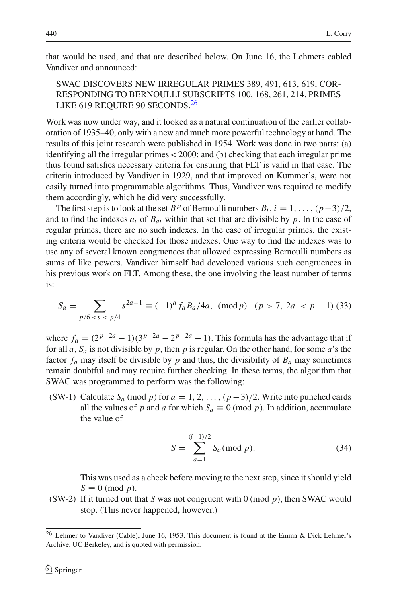that would be used, and that are described below. On June 16, the Lehmers cabled Vandiver and announced:

SWAC DISCOVERS NEW IRREGULAR PRIMES 389, 491, 613, 619, COR-RESPONDING TO BERNOULLI SUBSCRIPTS 100, 168, 261, 214. PRIMES LIKE 619 REQUIRE 90 SECONDS.<sup>[26](#page-47-0)</sup>

Work was now under way, and it looked as a natural continuation of the earlier collaboration of 1935–40, only with a new and much more powerful technology at hand. The results of this joint research were published in 1954. Work was done in two parts: (a) identifying all the irregular primes < 2000; and (b) checking that each irregular prime thus found satisfies necessary criteria for ensuring that FLT is valid in that case. The criteria introduced by Vandiver in 1929, and that improved on Kummer's, were not easily turned into programmable algorithms. Thus, Vandiver was required to modify them accordingly, which he did very successfully.

The first step is to look at the set *B<sup>p</sup>* of Bernoulli numbers  $B_i$ ,  $i = 1, \ldots, (p-3)/2$ , and to find the indexes  $a_i$  of  $B_{ai}$  within that set that are divisible by  $p$ . In the case of regular primes, there are no such indexes. In the case of irregular primes, the existing criteria would be checked for those indexes. One way to find the indexes was to use any of several known congruences that allowed expressing Bernoulli numbers as sums of like powers. Vandiver himself had developed various such congruences in his previous work on FLT. Among these, the one involving the least number of terms is:

$$
S_a = \sum_{p/6 < s < p/4} s^{2a-1} \equiv (-1)^a f_a B_a / 4a, \pmod{p} \quad (p > 7, \ 2a < p - 1) \tag{33}
$$

where  $f_a = (2^{p-2a} - 1)(3^{p-2a} - 2^{p-2a} - 1)$ . This formula has the advantage that if for all  $a$ ,  $S_a$  is not divisible by  $p$ , then  $p$  is regular. On the other hand, for some  $a$ 's the factor  $f_a$  may itself be divisible by p and thus, the divisibility of  $B_a$  may sometimes remain doubtful and may require further checking. In these terms, the algorithm that SWAC was programmed to perform was the following:

(SW-1) Calculate  $S_a$  (mod *p*) for  $a = 1, 2, \ldots$ ,  $(p-3)/2$ . Write into punched cards all the values of *p* and *a* for which  $S_a \equiv 0 \pmod{p}$ . In addition, accumulate the value of

$$
S = \sum_{a=1}^{(l-1)/2} S_a \pmod{p}.
$$
 (34)

This was used as a check before moving to the next step, since it should yield  $S \equiv 0 \pmod{p}$ .

(SW-2) If it turned out that *S* was not congruent with 0 (mod *p*), then SWAC would stop. (This never happened, however.)

<span id="page-47-0"></span><sup>&</sup>lt;sup>26</sup> Lehmer to Vandiver (Cable), June 16, 1953. This document is found at the Emma & Dick Lehmer's Archive, UC Berkeley, and is quoted with permission.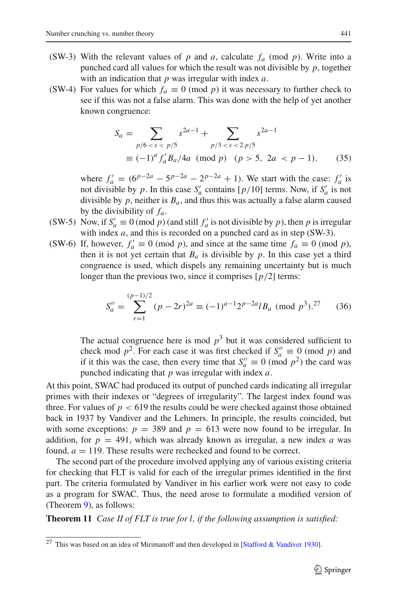- (SW-3) With the relevant values of  $p$  and  $a$ , calculate  $f_a$  (mod  $p$ ). Write into a punched card all values for which the result was not divisible by *p*, together with an indication that *p* was irregular with index *a*.
- (SW-4) For values for which  $f_a \equiv 0 \pmod{p}$  it was necessary to further check to see if this was not a false alarm. This was done with the help of yet another known congruence:

$$
S_a = \sum_{p/6 < s < p/5} s^{2a-1} + \sum_{p/3 < s < 2 \ p/5} s^{2a-1}
$$
\n
$$
\equiv (-1)^a f'_a B_a / 4a \pmod{p} \quad (p > 5, \ 2a < p - 1). \tag{35}
$$

where  $f'_a = (6^{p-2a} - 5^{p-2a} - 2^{p-2a} + 1)$ . We start with the case:  $f'_a$  is not divisible by *p*. In this case  $S'_a$  contains  $[p/10]$  terms. Now, if  $S'_a$  is not divisible by  $p$ , neither is  $B_a$ , and thus this was actually a false alarm caused by the divisibility of *fa*.

- (SW-5) Now, if  $S'_a \equiv 0 \pmod{p}$  (and still  $f'_a$  is not divisible by *p*), then *p* is irregular with index *a*, and this is recorded on a punched card as in step (SW-3).
- (SW-6) If, however,  $f'_a \equiv 0 \pmod{p}$ , and since at the same time  $f_a \equiv 0 \pmod{p}$ , then it is not yet certain that  $B_a$  is divisible by  $p$ . In this case yet a third congruence is used, which dispels any remaining uncertainty but is much longer than the previous two, since it comprises [*p*/2] terms:

$$
S_{a}^{"} = \sum_{r=1}^{(p-1)/2} (p-2r)^{2a} \equiv (-1)^{a-1} 2^{p-2a} l B_a \pmod{p^3}.
$$
<sup>(36)</sup>

The actual congruence here is mod  $p<sup>3</sup>$  but it was considered sufficient to check mod  $p^2$ . For each case it was first checked if  $S_a^{\prime\prime} \equiv 0 \pmod{p}$  and if it this was the case, then every time that  $S''_a \equiv 0 \pmod{p^2}$  the card was punched indicating that *p* was irregular with index *a*.

At this point, SWAC had produced its output of punched cards indicating all irregular primes with their indexes or "degrees of irregularity". The largest index found was three. For values of  $p < 619$  the results could be were checked against those obtained back in 1937 by Vandiver and the Lehmers. In principle, the results coincided, but with some exceptions:  $p = 389$  and  $p = 613$  were now found to be irregular. In addition, for  $p = 491$ , which was already known as irregular, a new index *a* was found,  $a = 119$ . These results were rechecked and found to be correct.

The second part of the procedure involved applying any of various existing criteria for checking that FLT is valid for each of the irregular primes identified in the first part. The criteria formulated by Vandiver in his earlier work were not easy to code as a program for SWAC. Thus, the need arose to formulate a modified version of (Theorem [9\)](#page-31-1), as follows:

**Theorem 11** *Case II of FLT is true for l, if the following assumption is satisfied:*

<sup>&</sup>lt;sup>27</sup> This was based on an idea of Mirimanoff and then developed in [\[Stafford & Vandiver 1930\]](#page-61-21).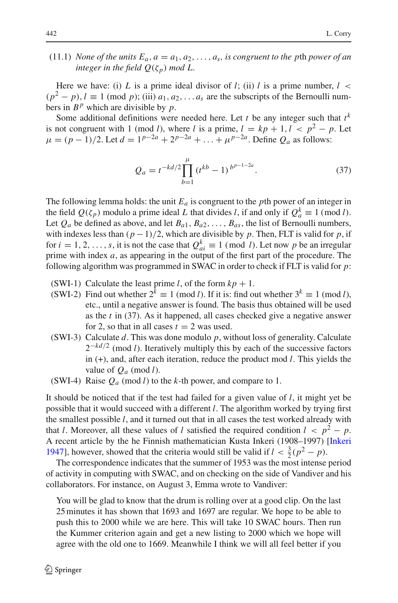(11.1) *None of the units*  $E_a$ ,  $a = a_1, a_2, \ldots, a_s$ , *is congruent to the pth power of an integer in the field*  $Q(\zeta_p)$  *mod* L.

Here we have: (i) *L* is a prime ideal divisor of *l*; (ii) *l* is a prime number,  $l$  <  $(p^2 - p)$ ,  $l \equiv 1 \pmod{p}$ ; (iii)  $a_1, a_2, \ldots a_s$  are the subscripts of the Bernoulli numbers in  $B^p$  which are divisible by *p*.

Some additional definitions were needed here. Let *t* be any integer such that  $t^k$ is not congruent with 1 (mod *l*), where *l* is a prime,  $l = kp + 1, l < p<sup>2</sup> - p$ . Let  $\mu = (p-1)/2$ . Let  $d = 1^{p-2a} + 2^{p-2a} + \ldots + \mu^{p-2a}$ . Define  $Q_a$  as follows:

$$
Q_a = t^{-kd/2} \prod_{b=1}^{\mu} (t^{kb} - 1)^{b^{p-1-2a}}.
$$
 (37)

The following lemma holds: the unit  $E_a$  is congruent to the *p*th power of an integer in the field  $Q(\zeta_p)$  modulo a prime ideal *L* that divides *l*, if and only if  $Q_a^k \equiv 1 \pmod{l}$ . Let  $Q_a$  be defined as above, and let  $B_{a1}, B_{a2}, \ldots, B_{as}$ , the list of Bernoulli numbers, with indexes less than  $(p-1)/2$ , which are divisible by p. Then, FLT is valid for p, if for  $i = 1, 2, ..., s$ , it is not the case that  $Q_{ai}^k \equiv 1 \pmod{l}$ . Let now *p* be an irregular prime with index *a*, as appearing in the output of the first part of the procedure. The following algorithm was programmed in SWAC in order to check if FLT is valid for *p*:

- (SWI-1) Calculate the least prime *l*, of the form  $kp + 1$ .
- (SWI-2) Find out whether  $2^k \equiv 1 \pmod{l}$ . If it is: find out whether  $3^k \equiv 1 \pmod{l}$ , etc., until a negative answer is found. The basis thus obtained will be used as the *t* in (37). As it happened, all cases checked give a negative answer for 2, so that in all cases  $t = 2$  was used.
- (SWI-3) Calculate *d*. This was done modulo *p*, without loss of generality. Calculate 2<sup>−*kd*/2</sup> (mod *l*). Iteratively multiply this by each of the successive factors in (+), and, after each iteration, reduce the product mod *l*. This yields the value of  $Q_a$  (mod *l*).
- (SWI-4) Raise *Qa* (mod *l*) to the *k*-th power, and compare to 1.

It should be noticed that if the test had failed for a given value of *l*, it might yet be possible that it would succeed with a different *l*. The algorithm worked by trying first the smallest possible *l*, and it turned out that in all cases the test worked already with that *l*. Moreover, all these values of *l* satisfied the required condition  $l < p^2 - p$ . A re[cent](#page-59-22) [article](#page-59-22) [by](#page-59-22) [the](#page-59-22) [he](#page-59-22) [Finnish](#page-59-22) [mathematician](#page-59-22) [Kusta](#page-59-22) [Inkeri](#page-59-22) [\(1908–1997\)](#page-59-22) [\[](#page-59-22)Inkeri 1947], however, showed that the criteria would still be valid if  $l < \frac{3}{2}(p^2 - p)$ .

The correspondence indicates that the summer of 1953 was the most intense period of activity in computing with SWAC, and on checking on the side of Vandiver and his collaborators. For instance, on August 3, Emma wrote to Vandiver:

You will be glad to know that the drum is rolling over at a good clip. On the last 25 minutes it has shown that 1693 and 1697 are regular. We hope to be able to push this to 2000 while we are here. This will take 10 SWAC hours. Then run the Kummer criterion again and get a new listing to 2000 which we hope will agree with the old one to 1669. Meanwhile I think we will all feel better if you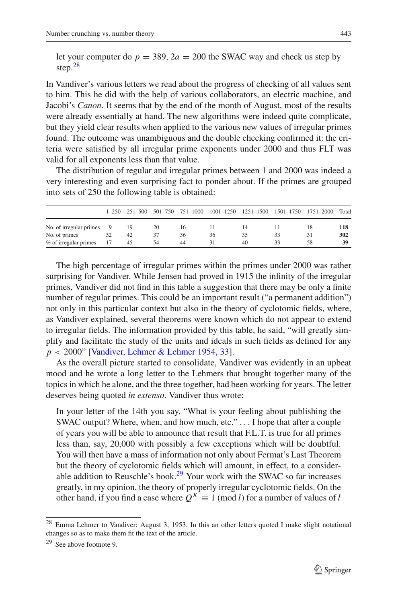let your computer do  $p = 389$ ,  $2a = 200$  the SWAC way and check us step by step.<sup>[28](#page-50-0)</sup>

In Vandiver's various letters we read about the progress of checking of all values sent to him. This he did with the help of various collaborators, an electric machine, and Jacobi's *Canon*. It seems that by the end of the month of August, most of the results were already essentially at hand. The new algorithms were indeed quite complicate, but they yield clear results when applied to the various new values of irregular primes found. The outcome was unambiguous and the double checking confirmed it: the criteria were satisfied by all irregular prime exponents under 2000 and thus FLT was valid for all exponents less than that value.

The distribution of regular and irregular primes between 1 and 2000 was indeed a very interesting and even surprising fact to ponder about. If the primes are grouped into sets of 250 the following table is obtained:

|                           | $1 - 250$ | $251 - 500$ |    | 501-750 751-1000 | $1001 - 1250$ | 1251-1500 1501-1750 1751-2000 |    |    | Total |
|---------------------------|-----------|-------------|----|------------------|---------------|-------------------------------|----|----|-------|
| No. of irregular primes 9 |           | 19          | 20 | 16               |               | 14                            |    |    | 118   |
| No. of primes             | 52        | 42          | 37 | 36               | 36            | 35                            | 33 | 31 | 302   |
| % of irregular primes     | 17        | 45          | 54 | 44               | 31            | 40                            | 33 | 58 | 39    |

The high percentage of irregular primes within the primes under 2000 was rather surprising for Vandiver. While Jensen had proved in 1915 the infinity of the irregular primes, Vandiver did not find in this table a suggestion that there may be only a finite number of regular primes. This could be an important result ("a permanent addition") not only in this particular context but also in the theory of cyclotomic fields, where, as Vandiver explained, several theorems were known which do not appear to extend to irregular fields. The information provided by this table, he said, "will greatly simplify and facilitate the study of the units and ideals in such fields as defined for any *p* < 2000" [\[Vandiver, Lehmer & Lehmer 1954, 33\]](#page-62-11).

As the overall picture started to consolidate, Vandiver was evidently in an upbeat mood and he wrote a long letter to the Lehmers that brought together many of the topics in which he alone, and the three together, had been working for years. The letter deserves being quoted *in extenso*. Vandiver thus wrote:

In your letter of the 14th you say, "What is your feeling about publishing the SWAC output? Where, when, and how much, etc." ... I hope that after a couple of years you will be able to announce that result that F.L.T. is true for all primes less than, say, 20,000 with possibly a few exceptions which will be doubtful. You will then have a mass of information not only about Fermat's Last Theorem but the theory of cyclotomic fields which will amount, in effect, to a considerable addition to Reuschle's book.<sup>29</sup> Your work with the SWAC so far increases greatly, in my opinion, the theory of properly irregular cyclotomic fields. On the other hand, if you find a case where  $Q^K \equiv 1 \pmod{l}$  for a number of values of *l* 

<sup>28</sup> Emma Lehmer to Vandiver: August 3, 1953. In this an other letters quoted I make slight notational changes so as to make them fit the text of the article.

<span id="page-50-1"></span><span id="page-50-0"></span><sup>29</sup> See above footnote 9.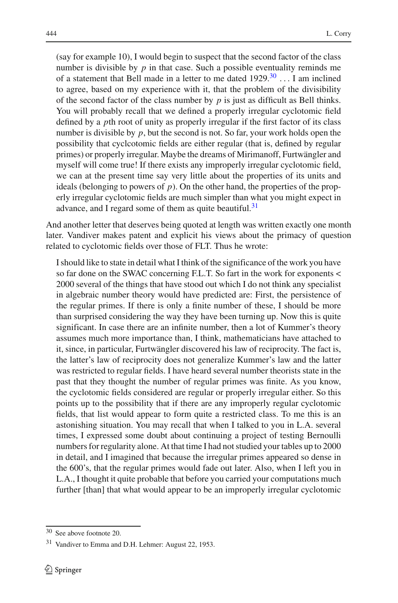(say for example 10), I would begin to suspect that the second factor of the class number is divisible by *p* in that case. Such a possible eventuality reminds me of a statement that Bell made in a letter to me dated  $1929$ .<sup>30</sup> ... I am inclined to agree, based on my experience with it, that the problem of the divisibility of the second factor of the class number by  $p$  is just as difficult as Bell thinks. You will probably recall that we defined a properly irregular cyclotomic field defined by a *p*th root of unity as properly irregular if the first factor of its class number is divisible by *p*, but the second is not. So far, your work holds open the possibility that cyclcotomic fields are either regular (that is, defined by regular primes) or properly irregular. Maybe the dreams of Mirimanoff, Furtwängler and myself will come true! If there exists any improperly irregular cyclotomic field, we can at the present time say very little about the properties of its units and ideals (belonging to powers of *p*). On the other hand, the properties of the properly irregular cyclotomic fields are much simpler than what you might expect in advance, and I regard some of them as quite beautiful.<sup>31</sup>

And another letter that deserves being quoted at length was written exactly one month later. Vandiver makes patent and explicit his views about the primacy of question related to cyclotomic fields over those of FLT. Thus he wrote:

I should like to state in detail what I think of the significance of the work you have so far done on the SWAC concerning F.L.T. So fart in the work for exponents < 2000 several of the things that have stood out which I do not think any specialist in algebraic number theory would have predicted are: First, the persistence of the regular primes. If there is only a finite number of these, I should be more than surprised considering the way they have been turning up. Now this is quite significant. In case there are an infinite number, then a lot of Kummer's theory assumes much more importance than, I think, mathematicians have attached to it, since, in particular, Furtwängler discovered his law of reciprocity. The fact is, the latter's law of reciprocity does not generalize Kummer's law and the latter was restricted to regular fields. I have heard several number theorists state in the past that they thought the number of regular primes was finite. As you know, the cyclotomic fields considered are regular or properly irregular either. So this points up to the possibility that if there are any improperly regular cyclotomic fields, that list would appear to form quite a restricted class. To me this is an astonishing situation. You may recall that when I talked to you in L.A. several times, I expressed some doubt about continuing a project of testing Bernoulli numbers for regularity alone. At that time I had not studied your tables up to 2000 in detail, and I imagined that because the irregular primes appeared so dense in the 600's, that the regular primes would fade out later. Also, when I left you in L.A., I thought it quite probable that before you carried your computations much further [than] that what would appear to be an improperly irregular cyclotomic

<sup>30</sup> See above footnote 20.

<span id="page-51-1"></span><span id="page-51-0"></span><sup>31</sup> Vandiver to Emma and D.H. Lehmer: August 22, 1953.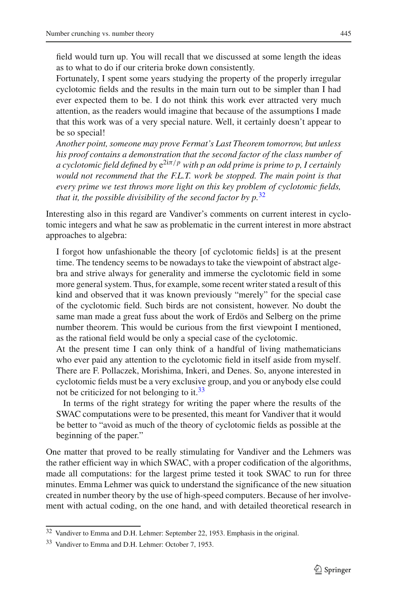Fortunately, I spent some years studying the property of the properly irregular cyclotomic fields and the results in the main turn out to be simpler than I had ever expected them to be. I do not think this work ever attracted very much attention, as the readers would imagine that because of the assumptions I made that this work was of a very special nature. Well, it certainly doesn't appear to be so special!

*Another point, someone may prove Fermat's Last Theorem tomorrow, but unless his proof contains a demonstration that the second factor of the class number of a cyclotomic field defined by*  $e^{2i\pi/p}$  *with p* an odd prime is prime to *p*, *I certainly would not recommend that the F.L.T. work be stopped. The main point is that every prime we test throws more light on this key problem of cyclotomic fields, that it, the possible divisibility of the second factor by p.*[32](#page-52-0)

Interesting also in this regard are Vandiver's comments on current interest in cyclotomic integers and what he saw as problematic in the current interest in more abstract approaches to algebra:

I forgot how unfashionable the theory [of cyclotomic fields] is at the present time. The tendency seems to be nowadays to take the viewpoint of abstract algebra and strive always for generality and immerse the cyclotomic field in some more general system. Thus, for example, some recent writer stated a result of this kind and observed that it was known previously "merely" for the special case of the cyclotomic field. Such birds are not consistent, however. No doubt the same man made a great fuss about the work of Erdös and Selberg on the prime number theorem. This would be curious from the first viewpoint I mentioned, as the rational field would be only a special case of the cyclotomic.

At the present time I can only think of a handful of living mathematicians who ever paid any attention to the cyclotomic field in itself aside from myself. There are F. Pollaczek, Morishima, Inkeri, and Denes. So, anyone interested in cyclotomic fields must be a very exclusive group, and you or anybody else could not be criticized for not belonging to it. $33$ 

In terms of the right strategy for writing the paper where the results of the SWAC computations were to be presented, this meant for Vandiver that it would be better to "avoid as much of the theory of cyclotomic fields as possible at the beginning of the paper."

One matter that proved to be really stimulating for Vandiver and the Lehmers was the rather efficient way in which SWAC, with a proper codification of the algorithms, made all computations: for the largest prime tested it took SWAC to run for three minutes. Emma Lehmer was quick to understand the significance of the new situation created in number theory by the use of high-speed computers. Because of her involvement with actual coding, on the one hand, and with detailed theoretical research in

<sup>32</sup> Vandiver to Emma and D.H. Lehmer: September 22, 1953. Emphasis in the original.

<span id="page-52-1"></span><span id="page-52-0"></span><sup>33</sup> Vandiver to Emma and D.H. Lehmer: October 7, 1953.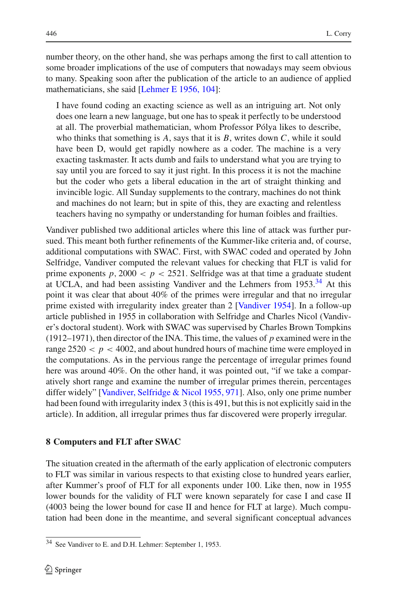number theory, on the other hand, she was perhaps among the first to call attention to some broader implications of the use of computers that nowadays may seem obvious to many. Speaking soon after the publication of the article to an audience of applied mathematicians, she said [\[Lehmer E 1956, 104\]](#page-60-30):

I have found coding an exacting science as well as an intriguing art. Not only does one learn a new language, but one has to speak it perfectly to be understood at all. The proverbial mathematician, whom Professor Pólya likes to describe, who thinks that something is *A*, says that it is *B*, writes down *C*, while it sould have been D, would get rapidly nowhere as a coder. The machine is a very exacting taskmaster. It acts dumb and fails to understand what you are trying to say until you are forced to say it just right. In this process it is not the machine but the coder who gets a liberal education in the art of straight thinking and invincible logic. All Sunday supplements to the contrary, machines do not think and machines do not learn; but in spite of this, they are exacting and relentless teachers having no sympathy or understanding for human foibles and frailties.

Vandiver published two additional articles where this line of attack was further pursued. This meant both further refinements of the Kummer-like criteria and, of course, additional computations with SWAC. First, with SWAC coded and operated by John Selfridge, Vandiver computed the relevant values for checking that FLT is valid for prime exponents  $p$ , 2000  $\lt p \lt 2521$ . Selfridge was at that time a graduate student at UCLA, and had been assisting Vandiver and the Lehmers from  $1953<sup>34</sup>$  $1953<sup>34</sup>$  $1953<sup>34</sup>$  At this point it was clear that about 40% of the primes were irregular and that no irregular prime existed with irregularity index greater than 2 [\[Vandiver 1954\]](#page-62-3). In a follow-up article published in 1955 in collaboration with Selfridge and Charles Nicol (Vandiver's doctoral student). Work with SWAC was supervised by Charles Brown Tompkins (1912–1971), then director of the INA. This time, the values of *p* examined were in the range  $2520 < p < 4002$ , and about hundred hours of machine time were employed in the computations. As in the pervious range the percentage of irregular primes found here was around 40%. On the other hand, it was pointed out, "if we take a comparatively short range and examine the number of irregular primes therein, percentages differ widely" [\[Vandiver, Selfridge & Nicol 1955, 971\]](#page-62-12). Also, only one prime number had been found with irregularity index 3 (this is 491, but this is not explicitly said in the article). In addition, all irregular primes thus far discovered were properly irregular.

## <span id="page-53-0"></span>**8 Computers and FLT after SWAC**

The situation created in the aftermath of the early application of electronic computers to FLT was similar in various respects to that existing close to hundred years earlier, after Kummer's proof of FLT for all exponents under 100. Like then, now in 1955 lower bounds for the validity of FLT were known separately for case I and case II (4003 being the lower bound for case II and hence for FLT at large). Much computation had been done in the meantime, and several significant conceptual advances

<span id="page-53-1"></span><sup>34</sup> See Vandiver to E. and D.H. Lehmer: September 1, 1953.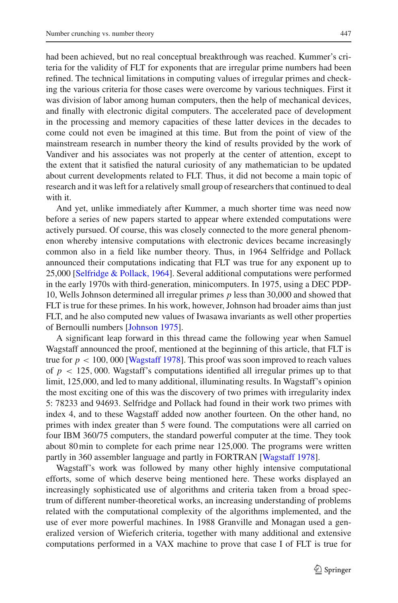had been achieved, but no real conceptual breakthrough was reached. Kummer's criteria for the validity of FLT for exponents that are irregular prime numbers had been refined. The technical limitations in computing values of irregular primes and checking the various criteria for those cases were overcome by various techniques. First it was division of labor among human computers, then the help of mechanical devices, and finally with electronic digital computers. The accelerated pace of development in the processing and memory capacities of these latter devices in the decades to come could not even be imagined at this time. But from the point of view of the mainstream research in number theory the kind of results provided by the work of Vandiver and his associates was not properly at the center of attention, except to the extent that it satisfied the natural curiosity of any mathematician to be updated about current developments related to FLT. Thus, it did not become a main topic of research and it was left for a relatively small group of researchers that continued to deal with it.

And yet, unlike immediately after Kummer, a much shorter time was need now before a series of new papers started to appear where extended computations were actively pursued. Of course, this was closely connected to the more general phenomenon whereby intensive computations with electronic devices became increasingly common also in a field like number theory. Thus, in 1964 Selfridge and Pollack announced their computations indicating that FLT was true for any exponent up to 25,000 [\[Selfridge & Pollack, 1964\]](#page-61-29). Several additional computations were performed in the early 1970s with third-generation, minicomputers. In 1975, using a DEC PDP-10, Wells Johnson determined all irregular primes *p* less than 30,000 and showed that FLT is true for these primes. In his work, however, Johnson had broader aims than just FLT, and he also computed new values of Iwasawa invariants as well other properties of Bernoulli numbers [\[Johnson 1975\]](#page-59-23).

A significant leap forward in this thread came the following year when Samuel Wagstaff announced the proof, mentioned at the beginning of this article, that FLT is true for  $p < 100$ , 000 [\[Wagstaff 1978\]](#page-62-13). This proof was soon improved to reach values of  $p < 125,000$ . Wagstaff's computations identified all irregular primes up to that limit, 125,000, and led to many additional, illuminating results. In Wagstaff's opinion the most exciting one of this was the discovery of two primes with irregularity index 5: 78233 and 94693. Selfridge and Pollack had found in their work two primes with index 4, and to these Wagstaff added now another fourteen. On the other hand, no primes with index greater than 5 were found. The computations were all carried on four IBM 360/75 computers, the standard powerful computer at the time. They took about 80 min to complete for each prime near 125,000. The programs were written partly in 360 assembler language and partly in FORTRAN [\[Wagstaff 1978\]](#page-62-13).

Wagstaff's work was followed by many other highly intensive computational efforts, some of which deserve being mentioned here. These works displayed an increasingly sophisticated use of algorithms and criteria taken from a broad spectrum of different number-theoretical works, an increasing understanding of problems related with the computational complexity of the algorithms implemented, and the use of ever more powerful machines. In 1988 Granville and Monagan used a generalized version of Wieferich criteria, together with many additional and extensive computations performed in a VAX machine to prove that case I of FLT is true for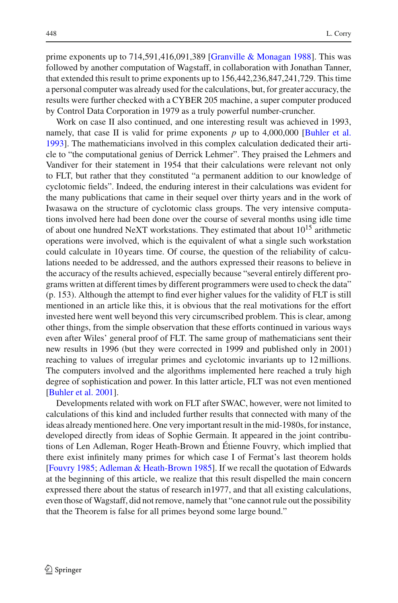prime exponents up to 714,591,416,091,389 [\[Granville & Monagan 1988\]](#page-59-18). This was followed by another computation of Wagstaff, in collaboration with Jonathan Tanner, that extended this result to prime exponents up to 156,442,236,847,241,729. This time a personal computer was already used for the calculations, but, for greater accuracy, the results were further checked with a CYBER 205 machine, a super computer produced by Control Data Corporation in 1979 as a truly powerful number-cruncher.

Work on case II also continued, and one interesting result was achieved in 1993, nam[ely,](#page-58-25) [that](#page-58-25) [case](#page-58-25) [II](#page-58-25) [is](#page-58-25) [valid](#page-58-25) [for](#page-58-25) [prime](#page-58-25) [exponents](#page-58-25) *p* up to 4,000,000 [Buhler et al. 1993]. The mathematicians involved in this complex calculation dedicated their article to "the computational genius of Derrick Lehmer". They praised the Lehmers and Vandiver for their statement in 1954 that their calculations were relevant not only to FLT, but rather that they constituted "a permanent addition to our knowledge of cyclotomic fields". Indeed, the enduring interest in their calculations was evident for the many publications that came in their sequel over thirty years and in the work of Iwasawa on the structure of cyclotomic class groups. The very intensive computations involved here had been done over the course of several months using idle time of about one hundred NeXT workstations. They estimated that about  $10^{15}$  arithmetic operations were involved, which is the equivalent of what a single such workstation could calculate in 10 years time. Of course, the question of the reliability of calculations needed to be addressed, and the authors expressed their reasons to believe in the accuracy of the results achieved, especially because "several entirely different programs written at different times by different programmers were used to check the data" (p. 153). Although the attempt to find ever higher values for the validity of FLT is still mentioned in an article like this, it is obvious that the real motivations for the effort invested here went well beyond this very circumscribed problem. This is clear, among other things, from the simple observation that these efforts continued in various ways even after Wiles' general proof of FLT. The same group of mathematicians sent their new results in 1996 (but they were corrected in 1999 and published only in 2001) reaching to values of irregular primes and cyclotomic invariants up to 12 millions. The computers involved and the algorithms implemented here reached a truly high degree of sophistication and power. In this latter article, FLT was not even mentioned [\[Buhler et al. 2001\]](#page-58-26).

Developments related with work on FLT after SWAC, however, were not limited to calculations of this kind and included further results that connected with many of the ideas already mentioned here. One very important result in the mid-1980s, for instance, developed directly from ideas of Sophie Germain. It appeared in the joint contributions of Len Adleman, Roger Heath-Brown and Étienne Fouvry, which implied that there exist infinitely many primes for which case I of Fermat's last theorem holds [\[Fouvry 1985;](#page-59-24) [Adleman & Heath-Brown 1985\]](#page-57-5). If we recall the quotation of Edwards at the beginning of this article, we realize that this result dispelled the main concern expressed there about the status of research in1977, and that all existing calculations, even those of Wagstaff, did not remove, namely that "one cannot rule out the possibility that the Theorem is false for all primes beyond some large bound."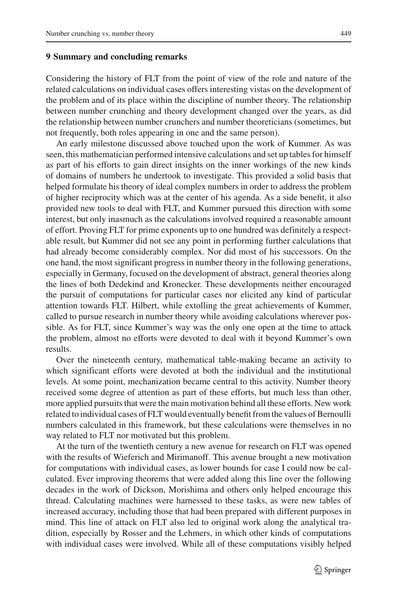#### <span id="page-56-0"></span>**9 Summary and concluding remarks**

Considering the history of FLT from the point of view of the role and nature of the related calculations on individual cases offers interesting vistas on the development of the problem and of its place within the discipline of number theory. The relationship between number crunching and theory development changed over the years, as did the relationship between number crunchers and number theoreticians (sometimes, but not frequently, both roles appearing in one and the same person).

An early milestone discussed above touched upon the work of Kummer. As was seen, this mathematician performed intensive calculations and set up tables for himself as part of his efforts to gain direct insights on the inner workings of the new kinds of domains of numbers he undertook to investigate. This provided a solid basis that helped formulate his theory of ideal complex numbers in order to address the problem of higher reciprocity which was at the center of his agenda. As a side benefit, it also provided new tools to deal with FLT, and Kummer pursued this direction with some interest, but only inasmuch as the calculations involved required a reasonable amount of effort. Proving FLT for prime exponents up to one hundred was definitely a respectable result, but Kummer did not see any point in performing further calculations that had already become considerably complex. Nor did most of his successors. On the one hand, the most significant progress in number theory in the following generations, especially in Germany, focused on the development of abstract, general theories along the lines of both Dedekind and Kronecker. These developments neither encouraged the pursuit of computations for particular cases nor elicited any kind of particular attention towards FLT. Hilbert, while extolling the great achievements of Kummer, called to pursue research in number theory while avoiding calculations wherever possible. As for FLT, since Kummer's way was the only one open at the time to attack the problem, almost no efforts were devoted to deal with it beyond Kummer's own results.

Over the nineteenth century, mathematical table-making became an activity to which significant efforts were devoted at both the individual and the institutional levels. At some point, mechanization became central to this activity. Number theory received some degree of attention as part of these efforts, but much less than other, more applied pursuits that were the main motivation behind all these efforts. New work related to individual cases of FLT would eventually benefit from the values of Bernoulli numbers calculated in this framework, but these calculations were themselves in no way related to FLT nor motivated but this problem.

At the turn of the twentieth century a new avenue for research on FLT was opened with the results of Wieferich and Mirimanoff. This avenue brought a new motivation for computations with individual cases, as lower bounds for case I could now be calculated. Ever improving theorems that were added along this line over the following decades in the work of Dickson, Morishima and others only helped encourage this thread. Calculating machines were harnessed to these tasks, as were new tables of increased accuracy, including those that had been prepared with different purposes in mind. This line of attack on FLT also led to original work along the analytical tradition, especially by Rosser and the Lehmers, in which other kinds of computations with individual cases were involved. While all of these computations visibly helped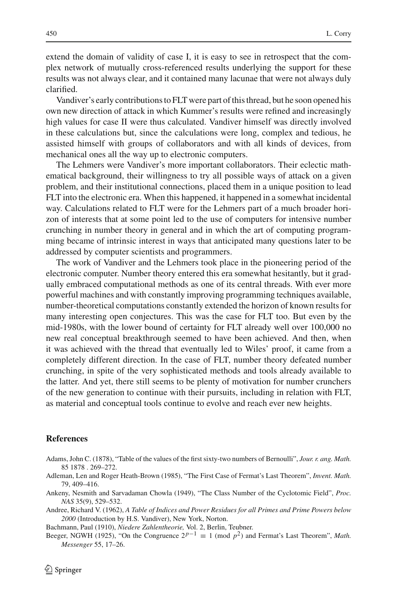extend the domain of validity of case I, it is easy to see in retrospect that the complex network of mutually cross-referenced results underlying the support for these results was not always clear, and it contained many lacunae that were not always duly clarified.

Vandiver's early contributions to FLT were part of this thread, but he soon opened his own new direction of attack in which Kummer's results were refined and increasingly high values for case II were thus calculated. Vandiver himself was directly involved in these calculations but, since the calculations were long, complex and tedious, he assisted himself with groups of collaborators and with all kinds of devices, from mechanical ones all the way up to electronic computers.

The Lehmers were Vandiver's more important collaborators. Their eclectic mathematical background, their willingness to try all possible ways of attack on a given problem, and their institutional connections, placed them in a unique position to lead FLT into the electronic era. When this happened, it happened in a somewhat incidental way. Calculations related to FLT were for the Lehmers part of a much broader horizon of interests that at some point led to the use of computers for intensive number crunching in number theory in general and in which the art of computing programming became of intrinsic interest in ways that anticipated many questions later to be addressed by computer scientists and programmers.

The work of Vandiver and the Lehmers took place in the pioneering period of the electronic computer. Number theory entered this era somewhat hesitantly, but it gradually embraced computational methods as one of its central threads. With ever more powerful machines and with constantly improving programming techniques available, number-theoretical computations constantly extended the horizon of known results for many interesting open conjectures. This was the case for FLT too. But even by the mid-1980s, with the lower bound of certainty for FLT already well over 100,000 no new real conceptual breakthrough seemed to have been achieved. And then, when it was achieved with the thread that eventually led to Wiles' proof, it came from a completely different direction. In the case of FLT, number theory defeated number crunching, in spite of the very sophisticated methods and tools already available to the latter. And yet, there still seems to be plenty of motivation for number crunchers of the new generation to continue with their pursuits, including in relation with FLT, as material and conceptual tools continue to evolve and reach ever new heights.

#### **References**

<span id="page-57-2"></span>Adams, John C. (1878), "Table of the values of the first sixty-two numbers of Bernoulli", *Jour. r. ang. Math.* 85 1878 . 269–272.

- <span id="page-57-0"></span>Ankeny, Nesmith and Sarvadaman Chowla (1949), "The Class Number of the Cyclotomic Field", *Proc. NAS* 35(9), 529–532.
- <span id="page-57-3"></span>Andree, Richard V. (1962), *A Table of Indices and Power Residues for all Primes and Prime Powers below 2000* (Introduction by H.S. Vandiver), New York, Norton.
- <span id="page-57-1"></span>Bachmann, Paul (1910), *Niedere Zahlentheorie,* Vol. 2, Berlin, Teubner.

<span id="page-57-4"></span>Beeger, NGWH (1925), "On the Congruence  $2^{p-1} \equiv 1 \pmod{p^2}$  and Fermat's Last Theorem", *Math. Messenger* 55, 17–26.

<span id="page-57-5"></span>Adleman, Len and Roger Heath-Brown (1985), "The First Case of Fermat's Last Theorem", *Invent. Math.* 79, 409–416.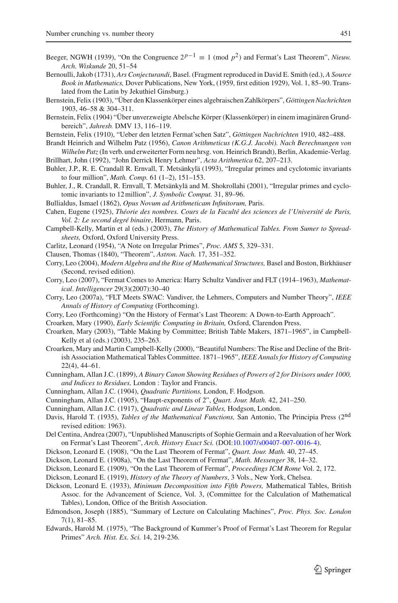- <span id="page-58-21"></span>Beeger, NGWH (1939), "On the Congruence  $2^{p-1} \equiv 1 \pmod{p^2}$  and Fermat's Last Theorem", *Nieuw. Arch. Wiskunde* 20, 51–54
- Bernoulli, Jakob (1731), *Ars Conjecturandi*, Basel. (Fragment reproduced in David E. Smith (ed.), *A Source Book in Mathematics,* Dover Publications, New York, (1959, first edition 1929), Vol. 1, 85–90. Translated from the Latin by Jekuthiel Ginsburg.)
- Bernstein, Felix (1903), "Über den Klassenkörper eines algebraischen Zahlkörpers", *Göttingen Nachrichten* 1903, 46–58 & 304–311.
- Bernstein, Felix (1904) "Über unverzweigte Abelsche Körper (Klassenkörper) in einem imaginären Grundbereich", *Jahresb.* DMV 13, 116–119.
- <span id="page-58-22"></span>Bernstein, Felix (1910), "Ueber den letzten Fermat'schen Satz", *Göttingen Nachrichten* 1910, 482–488.
- <span id="page-58-11"></span>Brandt Heinrich and Wilhelm Patz (1956), *Canon Arithmeticus (K.G.J. Jacobi). Nach Berechnungen von Wilhelm Patz*(In verb. und erweiterter Form neu hrsg. von. Heinrich Brandt), Berlin, Akademie-Verlag.

<span id="page-58-24"></span>Brillhart, John (1992), "John Derrick Henry Lehmer", *Acta Arithmetica* 62, 207–213.

- <span id="page-58-25"></span>Buhler, J.P., R. E. Crandall R. Ernvall, T. Metsänkylä (1993), "Irregular primes and cyclotomic invariants to four million", *Math. Comp.* 61 (1–2), 151–153.
- <span id="page-58-26"></span>Buhler, J., R. Crandall, R. Ernvall, T. Metsänkylä and M. Shokrollahi (2001), "Irregular primes and cyclotomic invariants to 12 million", *J. Symbolic Comput.* 31, 89–96.
- Bullialdus, Ismael (1862), *Opus Novum ad Arithmeticam Infinitorum,* Paris.
- <span id="page-58-23"></span><span id="page-58-8"></span>Cahen, Eugene (1925), *Théorie des nombres. Cours de la Faculté des sciences de l'Université de Paris, Vol. 2: Le second degré binaire*, Hermann, Paris.
- <span id="page-58-10"></span>Campbell-Kelly, Martin et al (eds.) (2003), *The History of Mathematical Tables. From Sumer to Spreadsheets,* Oxford, Oxford University Press.
- <span id="page-58-9"></span><span id="page-58-7"></span>Carlitz, Leonard (1954), "A Note on Irregular Primes", *Proc. AMS* 5, 329–331.
- Clausen, Thomas (1840), "Theorem", *Astron. Nach.* 17, 351–352.
- <span id="page-58-3"></span>Corry, Leo (2004), *Modern Algebra and the Rise of Mathematical Structures,* Basel and Boston, Birkhäuser (Second, revised edition).
- <span id="page-58-0"></span>Corry, Leo (2007), "Fermat Comes to America: Harry Schultz Vandiver and FLT (1914–1963), *Mathematical*. *Intelligencer* 29(3)(2007):30–40
- <span id="page-58-1"></span>Corry, Leo (2007a), "FLT Meets SWAC: Vandiver, the Lehmers, Computers and Number Theory", *IEEE Annals of History of Computing* (Forthcoming).
- <span id="page-58-17"></span><span id="page-58-2"></span>Corry, Leo (Forthcoming) "On the History of Fermat's Last Theorem: A Down-to-Earth Approach".
- Croarken, Mary (1990), *Early Scientific Computing in Britain,* Oxford, Clarendon Press.
- <span id="page-58-12"></span>Croarken, Mary (2003), "Table Making by Committee; British Table Makers, 1871–1965", in Campbell-Kelly et al (eds.) (2003), 235–263.
- Croarken, Mary and Martin Campbell-Kelly (2000), "Beautiful Numbers: The Rise and Decline of the British Association Mathematical Tables Committee. 1871–1965", *IEEE Annals for History of Computing* 22(4), 44–61.
- <span id="page-58-14"></span>Cunningham, Allan J.C. (1899), *A Binary Canon Showing Residues of Powers of 2 for Divisors under 1000, and Indices to Residues,* London : Taylor and Francis.
- <span id="page-58-15"></span>Cunningham, Allan J.C. (1904), *Quadratic Partitions,* London, F. Hodgson.
- <span id="page-58-16"></span>Cunningham, Allan J.C. (1905), "Haupt-exponents of 2", *Quart. Jour. Math.* 42, 241–250.
- Cunningham, Allan J.C. (1917), *Quadratic and Linear Tables,* Hodgson, London.
- <span id="page-58-6"></span>Davis, Harold T. (1935), *Tables of the Mathematical Functions,* San Antonio, The Principia Press (2nd revised edition: 1963).
- <span id="page-58-4"></span>Del Centina, Andrea (2007), "Unpublished Manuscripts of Sophie Germain and a Reevaluation of her Work on Fermat's Last Theorem", *Arch. History Exact Sci.* (DOI[:10.1007/s00407-007-0016-4\)](http://dx.doi.org/10.1007/s00407-007-0016-4).
- Dickson, Leonard E. (1908), "On the Last Theorem of Fermat", *Quart. Jour. Math.* 40, 27–45.

<span id="page-58-20"></span>Dickson, Leonard E. (1908a), "On the Last Theorem of Fermat", *Math. Messenger* 38, 14–32.

- <span id="page-58-18"></span>Dickson, Leonard E. (1909), "On the Last Theorem of Fermat", *Proceedings ICM Rome* Vol. 2, 172.
- Dickson, Leonard E. (1919), *History of the Theory of Numbers*, 3 Vols., New York, Chelsea.
- <span id="page-58-19"></span>Dickson, Leonard E. (1933), *Minimum Decomposition into Fifth Powers,* Mathematical Tables, British Assoc. for the Advancement of Science, Vol. 3, (Committee for the Calculation of Mathematical Tables), London, Office of the British Association.
- <span id="page-58-13"></span>Edmondson, Joseph (1885), "Summary of Lecture on Calculating Machines", *Proc. Phys. Soc. London* 7(1), 81–85.
- <span id="page-58-5"></span>Edwards, Harold M. (1975), "The Background of Kummer's Proof of Fermat's Last Theorem for Regular Primes" *Arch. Hist. Ex. Sci.* 14, 219-236.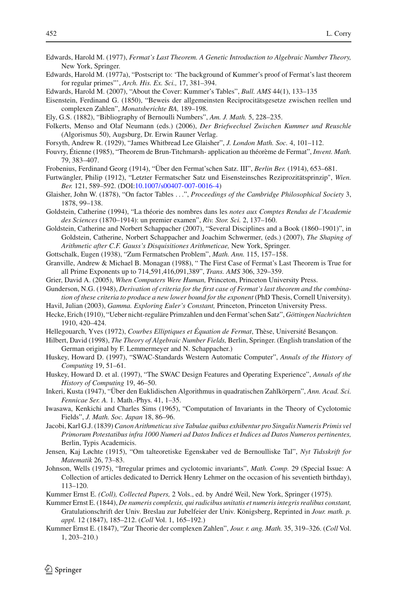- <span id="page-59-0"></span>Edwards, Harold M. (1977), *Fermat's Last Theorem. A Genetic Introduction to Algebraic Number Theory,* New York, Springer.
- Edwards, Harold M. (1977a), "Postscript to: 'The background of Kummer's proof of Fermat's last theorem for regular primes"', *Arch. His. Ex. Sci.,* 17, 381–394.
- Edwards, Harold M. (2007), "About the Cover: Kummer's Tables", *Bull. AMS* 44(1), 133–135
- <span id="page-59-11"></span><span id="page-59-5"></span>Eisenstein, Ferdinand G. (1850), "Beweis der allgemeinsten Reciprocitätsgesetze zwischen reellen und complexen Zahlen", *Monatsberichte BA,* 189–198.
- <span id="page-59-10"></span>Ely, G.S. (1882), "Bibliography of Bernoulli Numbers", *Am. J. Math.* 5, 228–235.
- <span id="page-59-12"></span>Folkerts, Menso and Olaf Neumann (eds.) (2006), *Der Briefwechsel Zwischen Kummer und Reuschle* (Algorismus 50), Augsburg, Dr. Erwin Rauner Verlag.
- <span id="page-59-14"></span>Forsyth, Andrew R. (1929), "James Whitbread Lee Glaisher", *J. London Math. Soc.* 4, 101–112.
- <span id="page-59-24"></span>Fouvry, Étienne (1985), "Theorem de Brun-Titchmarsh- application au théorème de Fermat", *Invent. Math.* 79, 383–407.
- <span id="page-59-16"></span>Frobenius, Ferdinand Georg (1914), "Über den Fermat'schen Satz. III", *Berlin Ber.* (1914), 653–681.
- Furtwängler, Philip (1912), "Letzter Fermatscher Satz und Eisensteinsches Reziprozitätsprinzip", *Wien. Ber.* 121, 589–592. (DOI[:10.1007/s00407-007-0016-4\)](http://dx.doi.org/10.1007/s00407-007-0016-4)
- <span id="page-59-15"></span>Glaisher, John W. (1878), "On factor Tables ...", *Proceedings of the Cambridge Philosophical Society* 3, 1878, 99–138.
- Goldstein, Catherine (1994), "La théorie des nombres dans les *notes aux Comptes Rendus de l'Academie des Sciences* (1870–1914): un premier examen", *Riv. Stor. Sci.* 2, 137–160.
- <span id="page-59-6"></span>Goldstein, Catherine and Norbert Schappacher (2007), "Several Disciplines and a Book (1860–1901)", in Goldstein, Catherine, Norbert Schappacher and Joachim Schwermer, (eds.) (2007), *The Shaping of Arithmetic after C.F. Gauss's Disquisitiones Arithmeticae,* New York, Springer.
- <span id="page-59-19"></span>Gottschalk, Eugen (1938), "Zum Fermatschen Problem", *Math. Ann.* 115, 157–158.
- <span id="page-59-18"></span>Granville, Andrew & Michael B. Monagan (1988), " The First Case of Fermat's Last Theorem is True for all Prime Exponents up to 714,591,416,091,389", *Trans. AMS* 306, 329–359.
- <span id="page-59-13"></span>Grier, David A. (2005), *When Computers Were Human,* Princeton, Princeton University Press.
- <span id="page-59-17"></span>Gunderson, N.G. (1948), *Derivation of criteria for the first case of Fermat's last theorem and the combination of these criteria to produce a new lower bound for the exponent* (PhD Thesis, Cornell University).

<span id="page-59-9"></span>Havil, Julian (2003), *Gamma. Exploring Euler's Constant,* Princeton, Princeton University Press.

- <span id="page-59-7"></span>Hecke, Erich (1910), "Ueber nicht-reguläre Primzahlen und den Fermat'schen Satz", *Göttingen Nachrichten* 1910, 420–424.
- <span id="page-59-1"></span>Hellegouarch, Yves (1972), *Courbes Elliptiques et Équation de Fermat*, Thèse, Université Besançon.
- <span id="page-59-2"></span>Hilbert, David (1998), *The Theory of Algebraic Number Fields,* Berlin, Springer. (English translation of the German original by F. Lemmermeyer and N. Schappacher.)
- <span id="page-59-21"></span>Huskey, Howard D. (1997), "SWAC-Standards Western Automatic Computer", *Annals of the History of Computing* 19, 51–61.
- Huskey, Howard D. et al. (1997), "The SWAC Design Features and Operating Experience", *Annals of the History of Computing* 19, 46–50.
- <span id="page-59-22"></span>Inkeri, Kusta (1947), "Über den Euklidischen Algorithmus in quadratischen Zahlkörpern", *Ann. Acad. Sci. Fennicae Ser. A.* 1. Math.-Phys. 41, 1–35.
- <span id="page-59-20"></span>Iwasawa, Kenkichi and Charles Sims (1965), "Computation of Invariants in the Theory of Cyclotomic Fields", *J. Math. Soc. Japan* 18, 86–96.
- Jacobi, Karl G.J. (1839)*Canon Arithmeticus sive Tabulae quibus exhibentur pro Singulis Numeris Primis vel Primorum Potestatibus infra 1000 Numeri ad Datos Indices et Indices ad Datos Numeros pertinentes,* Berlin, Typis Academicis.
- <span id="page-59-8"></span>Jensen, Kaj Løchte (1915), "Om talteoretiske Egenskaber ved de Bernoulliske Tal", *Nyt Tidsskrift for Matematik* 26, 73–83.
- <span id="page-59-23"></span>Johnson, Wells (1975), "Irregular primes and cyclotomic invariants", *Math. Comp.* 29 (Special Issue: A Collection of articles dedicated to Derrick Henry Lehmer on the occasion of his seventieth birthday), 113–120.
- Kummer Ernst E. *(Coll), Collected Papers,* 2 Vols., ed. by André Weil, New York, Springer (1975).
- <span id="page-59-4"></span>Kummer Ernst E. (1844), *De numeris complexis, qui radicibus unitatis et numeris integris realibus constant,* Gratulationschrift der Univ. Breslau zur Jubelfeier der Univ. Königsberg, Reprinted in *Jour. math. p. appl.* 12 (1847), 185–212. (*Coll* Vol. 1, 165–192.)
- <span id="page-59-3"></span>Kummer Ernst E. (1847), "Zur Theorie der complexen Zahlen", *Jour. r. ang. Math.* 35, 319–326. (*Coll* Vol. 1, 203–210.)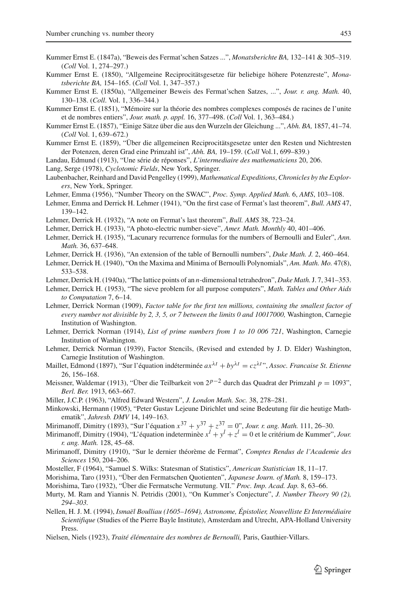- Kummer Ernst E. (1847a), "Beweis des Fermat'schen Satzes ...", *Monatsberichte BA,* 132–141 & 305–319. (*Coll* Vol. 1, 274–297.)
- <span id="page-60-4"></span>Kummer Ernst E. (1850), "Allgemeine Reciprocitätsgesetze für beliebige höhere Potenzreste", *Monatsberichte BA,* 154–165. (*Coll* Vol. 1, 347–357.)
- Kummer Ernst E. (1850a), "Allgemeiner Beweis des Fermat'schen Satzes, ...", *Jour. r. ang. Math.* 40, 130–138. (*Coll*. Vol. 1, 336–344.)
- <span id="page-60-2"></span>Kummer Ernst E. (1851), "Mémoire sur la théorie des nombres complexes composés de racines de l'unite et de nombres entiers", *Jour. math. p. appl.* 16, 377–498. (*Coll* Vol. 1, 363–484.)
- <span id="page-60-6"></span>Kummer Ernst E. (1857), "Einige Sätze über die aus den Wurzeln der Gleichung ...", *Abh. BA,* 1857, 41–74. (*Coll* Vol. 1, 639–672.)
- <span id="page-60-5"></span>Kummer Ernst E. (1859), "Über die allgemeinen Reciprocitätsgesetze unter den Resten und Nichtresten der Potenzen, deren Grad eine Primzahl ist", *Abh. BA,* 19–159. (*Coll* Vol.1, 699–839.)
- <span id="page-60-18"></span>Landau, Edmund (1913), "Une série de réponses", *L'intermediaire des mathematiciens* 20, 206.
- <span id="page-60-20"></span>Lang, Serge (1978), *Cyclotomic Fields*, New York, Springer.
- <span id="page-60-1"></span>Laubenbacher, Reinhard and David Pengelley (1999), *Mathematical Expeditions*, *Chronicles by the Explorers*, New York, Springer.
- <span id="page-60-30"></span>Lehmer, Emma (1956), "Number Theory on the SWAC", *Proc. Symp. Applied Math.* 6, *AMS*, 103–108.
- <span id="page-60-19"></span>Lehmer, Emma and Derrick H. Lehmer (1941), "On the first case of Fermat's last theorem", *Bull. AMS* 47,  $139 - 142$
- <span id="page-60-24"></span>Lehmer, Derrick H. (1932), "A note on Fermat's last theorem", *Bull. AMS* 38, 723–24.
- <span id="page-60-23"></span>Lehmer, Derrick H. (1933), "A photo-electric number-sieve", *Amer. Math. Monthly* 40, 401–406.
- <span id="page-60-26"></span>Lehmer, Derrick H. (1935), "Lacunary recurrence formulas for the numbers of Bernoulli and Euler", *Ann. Math.* 36, 637–648.
- <span id="page-60-27"></span>Lehmer, Derrick H. (1936), "An extension of the table of Bernoulli numbers", *Duke Math. J.* 2, 460–464.
- <span id="page-60-29"></span>Lehmer, Derrick H. (1940), "On the Maxima and Minima of Bernoulli Polynomials", *Am. Math. Mo.* 47(8), 533–538.
- <span id="page-60-28"></span>Lehmer, Derrick H. (1940a), "The lattice points of an *n*-dimensional tetrahedron", *Duke Math.*J. 7, 341–353.
- <span id="page-60-31"></span>Lehmer, Derrick H. (1953), "The sieve problem for all purpose computers", *Math. Tables and Other Aids to Computation* 7, 6–14.
- <span id="page-60-11"></span>Lehmer, Derrick Norman (1909), *Factor table for the first ten millions, containing the smallest factor of every number not divisible by 2, 3, 5, or 7 between the limits 0 and 10017000,* Washington, Carnegie Institution of Washington.
- <span id="page-60-12"></span>Lehmer, Derrick Norman (1914), *List of prime numbers from 1 to 10 006 721*, Washington, Carnegie Institution of Washington.
- <span id="page-60-13"></span>Lehmer, Derrick Norman (1939), Factor Stencils, (Revised and extended by J. D. Elder) Washington, Carnegie Institution of Washington.
- <span id="page-60-14"></span>Maillet, Edmond (1897), "Sur l'équation indéterminée  $ax^{\lambda t} + by^{\lambda t} = cz^{\lambda t}$ ", *Assoc. Francaise St. Etienne* 26, 156–168.
- <span id="page-60-17"></span>Meissner, Waldemar (1913), "Über die Teilbarkeit von 2*p*−<sup>2</sup> durch das Quadrat der Primzahl *<sup>p</sup>* <sup>=</sup> 1093", *Berl. Ber.* 1913, 663–667.
- <span id="page-60-10"></span>Miller, J.C.P. (1963), "Alfred Edward Western", *J. London Math. Soc.* 38, 278–281.
- <span id="page-60-0"></span>Minkowski, Hermann (1905), "Peter Gustav Lejeune Dirichlet und seine Bedeutung für die heutige Mathematik", *Jahresb. DMV* 14, 149–163.
- <span id="page-60-21"></span>Mirimanoff, Dimitry (1893), "Sur l'équation  $x^{37} + y^{37} + z^{37} = 0$ ", *Jour. r. ang. Math.* 111, 26–30.
- <span id="page-60-7"></span>Mirimanoff, Dimitry (1904), "L'équation indeterminèe *<sup>x</sup><sup>l</sup>* <sup>+</sup> *<sup>y</sup><sup>l</sup>* <sup>+</sup> *<sup>z</sup><sup>l</sup>* <sup>=</sup> 0 et le critérium de Kummer", *Jour. r. ang. Math.* 128, 45–68.
- <span id="page-60-15"></span>Mirimanoff, Dimitry (1910), "Sur le dernier théorème de Fermat", *Comptes Rendus de l'Academie des Sciences* 150, 204–206.
- Mosteller, F (1964), "Samuel S. Wilks: Statesman of Statistics", *American Statistician* 18, 11–17.
- <span id="page-60-25"></span><span id="page-60-22"></span><span id="page-60-16"></span>Morishima, Taro (1931), "Über den Fermatschen Quotienten", *Japanese Journ. of Math.* 8, 159–173.
- Morishima, Taro (1932), "Über die Fermatsche Vermutung. VII." *Proc. Imp. Acad. Jap.* 8, 63–66.
- <span id="page-60-3"></span>Murty, M. Ram and Yiannis N. Petridis (2001), "On Kummer's Conjecture", *J. Number Theory 90 (2), 294–303.*
- <span id="page-60-9"></span>Nellen, H. J. M. (1994), *Ismaël Boulliau (1605–1694), Astronome, Épistolier, Nouvelliste Et Intermédiaire Scientifique* (Studies of the Pierre Bayle Institute), Amsterdam and Utrecht, APA-Holland University Press.
- <span id="page-60-8"></span>Nielsen, Niels (1923), *Traité élémentaire des nombres de Bernoulli,* Paris, Gauthier-Villars.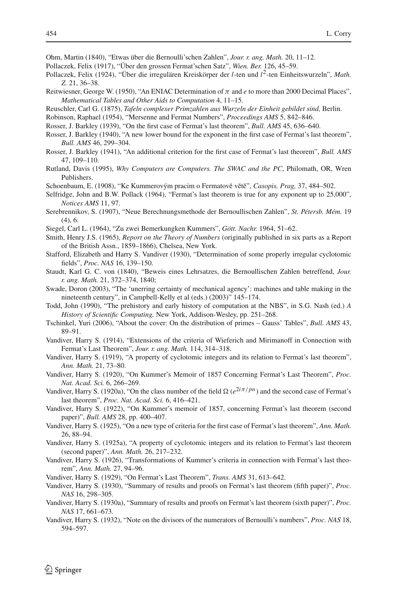<span id="page-61-1"></span>Ohm, Martin (1840), "Etwas über die Bernoulli'schen Zahlen", *Jour. r. ang. Math.* 20, 11–12.

- <span id="page-61-17"></span><span id="page-61-10"></span>Pollaczek, Felix (1917), "Über den grossen Fermat'schen Satz", *Wien. Ber.* 126, 45–59.
- Pollaczek, Felix (1924), "Über die irregulären Kreiskörper der *l*-ten und *l* 2-ten Einheitswurzeln", *Math. Z.* 21, 36–38.
- <span id="page-61-25"></span>Reitwiesner, George W. (1950), "An ENIAC Determination of π and *e* to more than 2000 Decimal Places", *Mathematical Tables and Other Aids to Computation* 4, 11–15.
- <span id="page-61-6"></span>Reuschler, Carl G. (1875), *Tafeln complexer Primzahlen aus Wurzeln der Einheit gebildet sind,* Berlin.
- <span id="page-61-26"></span>Robinson, Raphael (1954), "Mersenne and Fermat Numbers", *Proceedings AMS* 5, 842–846.
- <span id="page-61-11"></span>Rosser, J. Barkley (1939), "On the first case of Fermat's last theorem", *Bull. AMS* 45, 636–640.
- <span id="page-61-12"></span>Rosser, J. Barkley (1940), "A new lower bound for the exponent in the first case of Fermat's last theorem", *Bull. AMS* 46, 299–304.
- <span id="page-61-13"></span>Rosser, J. Barkley (1941), "An additional criterion for the first case of Fermat's last theorem", *Bull. AMS* 47, 109–110.
- <span id="page-61-28"></span>Rutland, Davis (1995), *Why Computers are Computers. The SWAC and the PC*, Philomath, OR, Wren Publishers.
- <span id="page-61-2"></span>Schoenbaum, E. (1908), "Ke Kummerovým pracim o Fermatově větě", Casopis, Prag, 37, 484–502.
- <span id="page-61-29"></span>Selfridge, John and B.W. Pollack (1964), "Fermat's last theorem is true for any exponent up to 25,000", *Notices AMS* 11, 97.
- <span id="page-61-4"></span>Serebrennikov, S. (1907), "Neue Berechnungsmethode der Bernoullischen Zahlen", *St. Pétersb. Mém.* 19 (4), 6.
- Siegel, Carl L. (1964), "Zu zwei Bemerkungken Kummers", *Gött. Nachr.* 1964, 51–62.
- <span id="page-61-3"></span><span id="page-61-0"></span>Smith, Henry J.S. (1965), *Report on the Theory of Numbers* (originally published in six parts as a Report of the British Assn., 1859–1866), Chelsea, New York.
- <span id="page-61-21"></span>Stafford, Elizabeth and Harry S. Vandiver (1930), "Determination of some properly irregular cyclotomic fields", *Proc. NAS* 16, 139–150.
- <span id="page-61-5"></span>Staudt, Karl G. C. von (1840), "Beweis eines Lehrsatzes, die Bernoullischen Zahlen betreffend, *Jour. r. ang. Math.* 21, 372–374, 1840;
- <span id="page-61-8"></span>Swade, Doron (2003), "The 'unerring certainty of mechanical agency': machines and table making in the nineteenth century", in Campbell-Kelly et al (eds.) (2003)" 145–174.
- <span id="page-61-27"></span>Todd, John (1990), "The prehistory and early history of computation at the NBS", in S.G. Nash (ed.) *A History of Scientific Computing,* New York, Addison-Wesley, pp. 251–268.
- <span id="page-61-7"></span>Tschinkel, Yuri (2006), "About the cover: On the distribution of primes – Gauss' Tables", *Bull. AMS* 43, 89–91.
- <span id="page-61-9"></span>Vandiver, Harry S. (1914), "Extensions of the criteria of Wieferich and Mirimanoff in Connection with Fermat's Last Theorem", *Jour. r. ang. Math.* 114, 314–318.
- <span id="page-61-15"></span>Vandiver, Harry S. (1919), "A property of cyclotomic integers and its relation to Fermat's last theorem", *Ann. Math.* 21, 73–80.
- <span id="page-61-16"></span>Vandiver, Harry S. (1920), "On Kummer's Memoir of 1857 Concerning Fermat's Last Theorem", *Proc. Nat. Acad. Sci.* 6, 266–269.
- Vandiver, Harry S. (1920a), "On the class number of the field  $\Omega(e^{2i\pi/pn})$  and the second case of Fermat's last theorem", *Proc. Nat. Acad. Sci.* 6, 416–421.
- Vandiver, Harry S. (1922), "On Kummer's memoir of 1857, concerning Fermat's last theorem (second paper)", *Bull. AMS* 28, pp. 400–407.
- <span id="page-61-18"></span>Vandiver, Harry S. (1925), "On a new type of criteria for the first case of Fermat's last theorem", *Ann. Math.* 26, 88–94.
- <span id="page-61-19"></span>Vandiver, Harry S. (1925a), "A property of cyclotomic integers and its relation to Fermat's last theorem (second paper)", *Ann. Math.* 26, 217–232.
- <span id="page-61-14"></span>Vandiver, Harry S. (1926), "Transformations of Kummer's criteria in connection with Fermat's last theorem", *Ann. Math.* 27, 94–96.
- <span id="page-61-20"></span>Vandiver, Harry S. (1929), "On Fermat's Last Theorem", *Trans. AMS* 31, 613–642.
- <span id="page-61-22"></span>Vandiver, Harry S. (1930), "Summary of results and proofs on Fermat's last theorem (fifth paper)", *Proc. NAS* 16, 298–305.
- <span id="page-61-23"></span>Vandiver, Harry S. (1930a), "Summary of results and proofs on Fermat's last theorem (sixth paper)", *Proc. NAS* 17, 661–673.
- <span id="page-61-24"></span>Vandiver, Harry S. (1932), "Note on the divisors of the numerators of Bernoulli's numbers", *Proc. NAS* 18, 594–597.